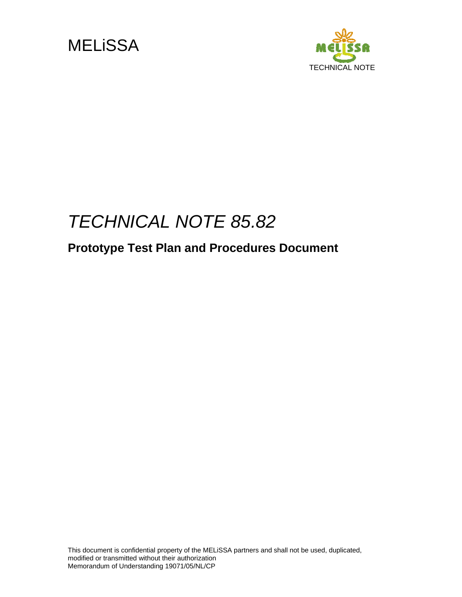



# *TECHNICAL NOTE 85.82*

## **Prototype Test Plan and Procedures Document**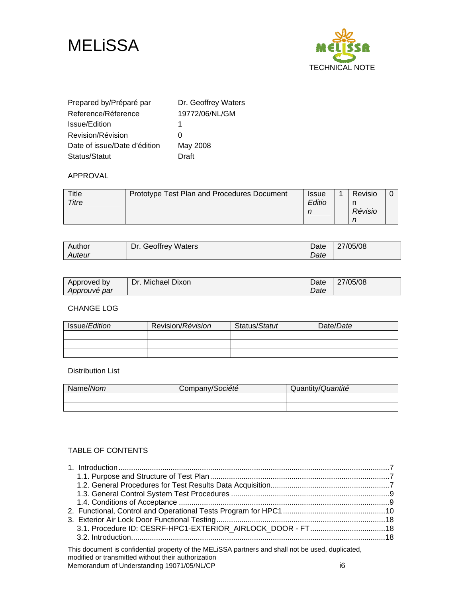



| Prepared by/Préparé par      | Dr. Geoffrey Waters |
|------------------------------|---------------------|
| Reference/Réference          | 19772/06/NL/GM      |
| Issue/Edition                | 1                   |
| Revision/Révision            | O                   |
| Date of issue/Date d'édition | May 2008            |
| Status/Statut                | Draft               |

#### APPROVAL

| Title<br>Titre | Prototype Test Plan and Procedures Document | <b>Issue</b><br>Editio | Revisio |  |
|----------------|---------------------------------------------|------------------------|---------|--|
|                |                                             |                        | Révisio |  |

| Author | <b>Geoffrey Waters</b><br>Dr. | Date | 27/05/08 |
|--------|-------------------------------|------|----------|
| Auteur |                               | Date |          |

| Approved by  | Dr. Michael Dixon | Date | 27/05/08 |
|--------------|-------------------|------|----------|
| Approuvé par |                   | Date |          |

CHANGE LOG

| Issue/Edition | Revision/Révision | Status/Statut | Date/Date |
|---------------|-------------------|---------------|-----------|
|               |                   |               |           |
|               |                   |               |           |
|               |                   |               |           |

#### Distribution List

| Name/Nom | Company/Société | Quantity/Quantité |
|----------|-----------------|-------------------|
|          |                 |                   |
|          |                 |                   |

#### TABLE OF CONTENTS

| This document is confidential property of the MELISSA partners and shall not be used, duplicated,<br>modified or transmitted without their authorization |  |
|----------------------------------------------------------------------------------------------------------------------------------------------------------|--|

Memorandum of Understanding 19071/05/NL/CP in the state of the state of the state of the state of the state of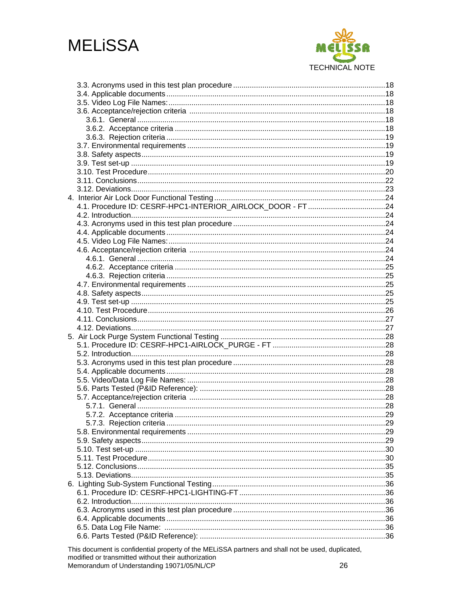

This document is confidential property of the MELiSSA partners and shall not be used, duplicated, modified or transmitted without their authorization Memorandum of Understanding 19071/05/NL/CP 26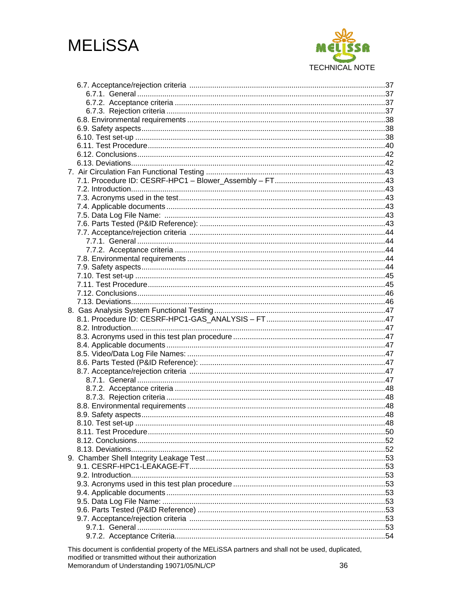

This document is confidential property of the MELiSSA partners and shall not be used, duplicated, modified or transmitted without their authorization Memorandum of Understanding 19071/05/NL/CP 36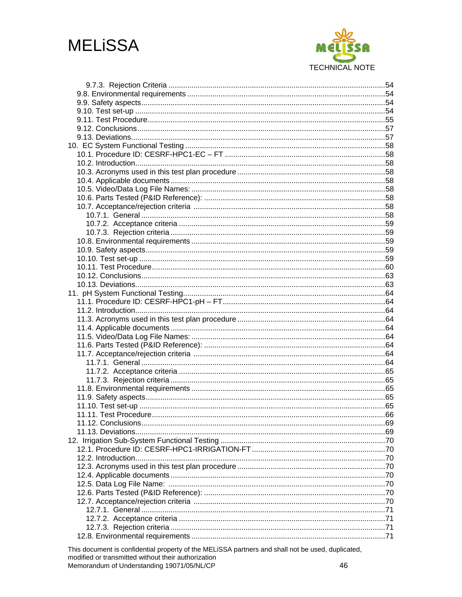

This document is confidential property of the MELiSSA partners and shall not be used, duplicated, modified or transmitted without their authorization Memorandum of Understanding 19071/05/NL/CP 46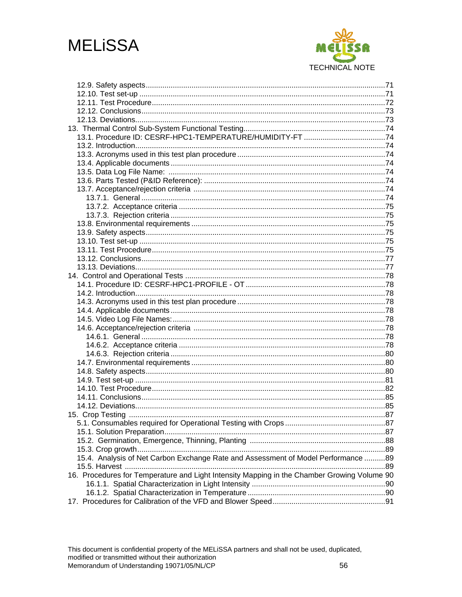

| 15.4. Analysis of Net Carbon Exchange Rate and Assessment of Model Performance 89           |  |
|---------------------------------------------------------------------------------------------|--|
|                                                                                             |  |
| 16. Procedures for Temperature and Light Intensity Mapping in the Chamber Growing Volume 90 |  |
|                                                                                             |  |
|                                                                                             |  |
|                                                                                             |  |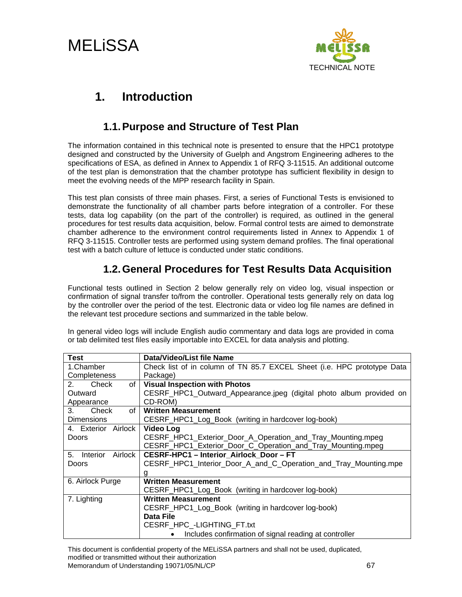# MELiSSA



## **1. Introduction**

## **1.1. Purpose and Structure of Test Plan**

The information contained in this technical note is presented to ensure that the HPC1 prototype designed and constructed by the University of Guelph and Angstrom Engineering adheres to the specifications of ESA, as defined in Annex to Appendix 1 of RFQ 3-11515. An additional outcome of the test plan is demonstration that the chamber prototype has sufficient flexibility in design to meet the evolving needs of the MPP research facility in Spain.

This test plan consists of three main phases. First, a series of Functional Tests is envisioned to demonstrate the functionality of all chamber parts before integration of a controller. For these tests, data log capability (on the part of the controller) is required, as outlined in the general procedures for test results data acquisition, below. Formal control tests are aimed to demonstrate chamber adherence to the environment control requirements listed in Annex to Appendix 1 of RFQ 3-11515. Controller tests are performed using system demand profiles. The final operational test with a batch culture of lettuce is conducted under static conditions.

## **1.2. General Procedures for Test Results Data Acquisition**

Functional tests outlined in Section 2 below generally rely on video log, visual inspection or confirmation of signal transfer to/from the controller. Operational tests generally rely on data log by the controller over the period of the test. Electronic data or video log file names are defined in the relevant test procedure sections and summarized in the table below.

In general video logs will include English audio commentary and data logs are provided in coma or tab delimited test files easily importable into EXCEL for data analysis and plotting.

| <b>Test</b>                    | Data/Video/List file Name                                               |
|--------------------------------|-------------------------------------------------------------------------|
| 1.Chamber                      | Check list of in column of TN 85.7 EXCEL Sheet (i.e. HPC prototype Data |
| Completeness                   | Package)                                                                |
| 2.<br>Check<br>of l            | <b>Visual Inspection with Photos</b>                                    |
| Outward                        | CESRF_HPC1_Outward_Appearance.jpeg (digital photo album provided on     |
| Appearance                     | CD-ROM)                                                                 |
| of <sub>1</sub><br>3.<br>Check | <b>Written Measurement</b>                                              |
| <b>Dimensions</b>              | CESRF_HPC1_Log_Book (writing in hardcover log-book)                     |
| 4. Exterior Airlock            | Video Log                                                               |
| <b>Doors</b>                   | CESRF_HPC1_Exterior_Door_A_Operation_and_Tray_Mounting.mpeg             |
|                                | CESRF_HPC1_Exterior_Door_C_Operation_and_Tray_Mounting.mpeg             |
| 5. Interior<br>Airlock         | <b>CESRF-HPC1 - Interior Airlock Door - FT</b>                          |
| <b>Doors</b>                   | CESRF_HPC1_Interior_Door_A_and_C_Operation_and_Tray_Mounting.mpe        |
|                                | g                                                                       |
| 6. Airlock Purge               | <b>Written Measurement</b>                                              |
|                                | CESRF_HPC1_Log_Book (writing in hardcover log-book)                     |
| 7. Lighting                    | <b>Written Measurement</b>                                              |
|                                | CESRF_HPC1_Log_Book (writing in hardcover log-book)                     |
|                                | Data File                                                               |
|                                | CESRF HPC -LIGHTING FT.txt                                              |
|                                | Includes confirmation of signal reading at controller                   |

This document is confidential property of the MELiSSA partners and shall not be used, duplicated, modified or transmitted without their authorization Memorandum of Understanding 19071/05/NL/CP 67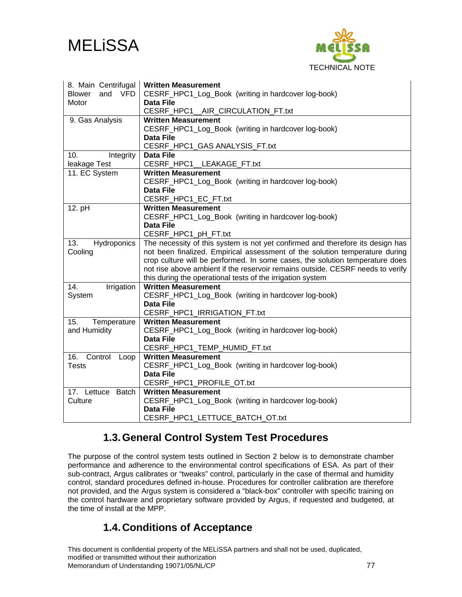



| 8. Main Centrifugal                | <b>Written Measurement</b>                                                     |
|------------------------------------|--------------------------------------------------------------------------------|
| <b>VFD</b><br>and<br><b>Blower</b> | CESRF_HPC1_Log_Book (writing in hardcover log-book)                            |
| Motor                              | <b>Data File</b>                                                               |
|                                    | CESRF_HPC1__AIR_CIRCULATION_FT.txt                                             |
| 9. Gas Analysis                    | <b>Written Measurement</b>                                                     |
|                                    | CESRF_HPC1_Log_Book (writing in hardcover log-book)                            |
|                                    | Data File                                                                      |
|                                    | CESRF_HPC1_GAS ANALYSIS_FT.txt                                                 |
| 10.<br>Integrity                   | <b>Data File</b>                                                               |
| leakage Test                       | CESRF_HPC1__LEAKAGE_FT.txt                                                     |
| 11. EC System                      | <b>Written Measurement</b>                                                     |
|                                    | CESRF_HPC1_Log_Book (writing in hardcover log-book)                            |
|                                    | Data File                                                                      |
|                                    | CESRF_HPC1_EC_FT.txt                                                           |
| 12. pH                             | <b>Written Measurement</b>                                                     |
|                                    | CESRF_HPC1_Log_Book (writing in hardcover log-book)                            |
|                                    | Data File                                                                      |
|                                    | CESRF_HPC1_pH_FT.txt                                                           |
| 13.<br>Hydroponics                 | The necessity of this system is not yet confirmed and therefore its design has |
| Cooling                            | not been finalized. Empirical assessment of the solution temperature during    |
|                                    | crop culture will be performed. In some cases, the solution temperature does   |
|                                    | not rise above ambient if the reservoir remains outside. CESRF needs to verify |
|                                    | this during the operational tests of the irrigation system                     |
| 14.<br>Irrigation                  | <b>Written Measurement</b>                                                     |
| System                             | CESRF_HPC1_Log_Book (writing in hardcover log-book)                            |
|                                    | <b>Data File</b>                                                               |
|                                    | CESRF_HPC1_IRRIGATION_FT.txt                                                   |
| 15.<br>Temperature                 | <b>Written Measurement</b>                                                     |
| and Humidity                       | CESRF_HPC1_Log_Book (writing in hardcover log-book)                            |
|                                    | <b>Data File</b>                                                               |
|                                    | CESRF_HPC1_TEMP_HUMID_FT.txt                                                   |
| 16.<br>Control<br>Loop             | <b>Written Measurement</b>                                                     |
| <b>Tests</b>                       | CESRF_HPC1_Log_Book (writing in hardcover log-book)                            |
|                                    | <b>Data File</b>                                                               |
|                                    | CESRF_HPC1_PROFILE_OT.txt                                                      |
| 17. Lettuce<br><b>Batch</b>        | <b>Written Measurement</b>                                                     |
| Culture                            | CESRF_HPC1_Log_Book (writing in hardcover log-book)                            |
|                                    | <b>Data File</b>                                                               |
|                                    | CESRF_HPC1_LETTUCE_BATCH_OT.txt                                                |

### **1.3. General Control System Test Procedures**

The purpose of the control system tests outlined in Section 2 below is to demonstrate chamber performance and adherence to the environmental control specifications of ESA. As part of their sub-contract, Argus calibrates or "tweaks" control, particularly in the case of thermal and humidity control, standard procedures defined in-house. Procedures for controller calibration are therefore not provided, and the Argus system is considered a "black-box" controller with specific training on the control hardware and proprietary software provided by Argus, if requested and budgeted, at the time of install at the MPP.

### **1.4. Conditions of Acceptance**

This document is confidential property of the MELiSSA partners and shall not be used, duplicated, modified or transmitted without their authorization Memorandum of Understanding 19071/05/NL/CP 77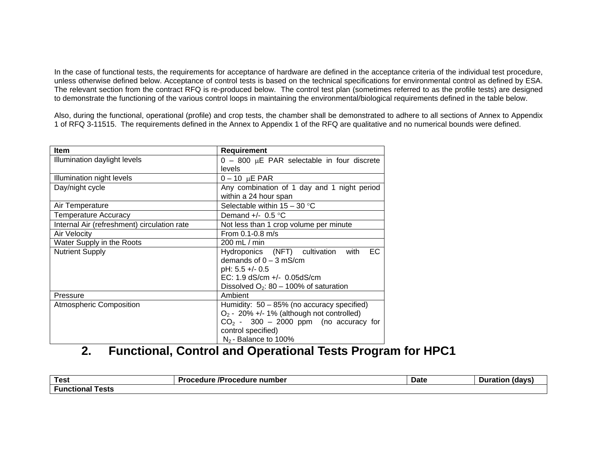In the case of functional tests, the requirements for acceptance of hardware are defined in the acceptance criteria of the individual test procedure, unless otherwise defined below. Acceptance of control tests is based on the technical specifications for environmental control as defined by ESA. The relevant section from the contract RFQ is re-produced below. The control test plan (sometimes referred to as the profile tests) are designed to demonstrate the functioning of the various control loops in maintaining the environmental/biological requirements defined in the table below.

Also, during the functional, operational (profile) and crop tests, the chamber shall be demonstrated to adhere to all sections of Annex to Appendix 1 of RFQ 3-11515. The requirements defined in the Annex to Appendix 1 of the RFQ are qualitative and no numerical bounds were defined.

| Item                                        | Requirement                                        |  |  |
|---------------------------------------------|----------------------------------------------------|--|--|
| Illumination daylight levels                | $0 - 800$ µE PAR selectable in four discrete       |  |  |
|                                             | levels                                             |  |  |
| Illumination night levels                   | $0 - 10 \mu E$ PAR                                 |  |  |
| Day/night cycle                             | Any combination of 1 day and 1 night period        |  |  |
|                                             | within a 24 hour span                              |  |  |
| Air Temperature                             | Selectable within $15 - 30$ °C                     |  |  |
| <b>Temperature Accuracy</b>                 | Demand $+/-$ 0.5 °C                                |  |  |
| Internal Air (refreshment) circulation rate | Not less than 1 crop volume per minute             |  |  |
| <b>Air Velocity</b>                         | From $0.1 - 0.8$ m/s                               |  |  |
| Water Supply in the Roots                   | $200$ mL $/$ min                                   |  |  |
| <b>Nutrient Supply</b>                      | <b>EC</b><br>Hydroponics (NFT) cultivation<br>with |  |  |
|                                             | demands of $0 - 3$ mS/cm                           |  |  |
|                                             | $pH: 5.5 +/- 0.5$                                  |  |  |
|                                             | EC: 1.9 $dS/cm +/- 0.05dS/cm$                      |  |  |
|                                             | Dissolved $O_2$ : 80 – 100% of saturation          |  |  |
| Pressure                                    | Ambient                                            |  |  |
| <b>Atmospheric Composition</b>              | Humidity: $50 - 85%$ (no accuracy specified)       |  |  |
|                                             | $O_2$ - 20% +/- 1% (although not controlled)       |  |  |
|                                             | $CO2$ - 300 - 2000 ppm (no accuracy for            |  |  |
|                                             | control specified)                                 |  |  |
|                                             | $N_2$ -Balance to 100%                             |  |  |

## **2. Functional, Control and Operational Tests Program for HPC1**

| <b>Test</b>         | .<br>number<br>ocedure /Procedure | <b>Date</b> | (davs<br>Duration |
|---------------------|-----------------------------------|-------------|-------------------|
| Tests<br>-unctional |                                   |             |                   |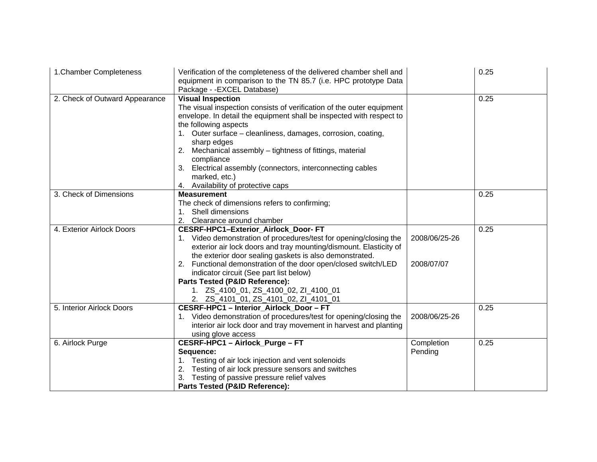| 1. Chamber Completeness        | Verification of the completeness of the delivered chamber shell and<br>equipment in comparison to the TN 85.7 (i.e. HPC prototype Data<br>Package - - EXCEL Database)                                                                                                                                                                                                                                                                                                               |                             | 0.25 |
|--------------------------------|-------------------------------------------------------------------------------------------------------------------------------------------------------------------------------------------------------------------------------------------------------------------------------------------------------------------------------------------------------------------------------------------------------------------------------------------------------------------------------------|-----------------------------|------|
| 2. Check of Outward Appearance | <b>Visual Inspection</b><br>The visual inspection consists of verification of the outer equipment<br>envelope. In detail the equipment shall be inspected with respect to<br>the following aspects<br>1. Outer surface - cleanliness, damages, corrosion, coating,<br>sharp edges<br>2. Mechanical assembly - tightness of fittings, material<br>compliance<br>3.<br>Electrical assembly (connectors, interconnecting cables<br>marked, etc.)<br>4. Availability of protective caps |                             | 0.25 |
| 3. Check of Dimensions         | <b>Measurement</b><br>The check of dimensions refers to confirming;<br>1. Shell dimensions<br>2.<br>Clearance around chamber                                                                                                                                                                                                                                                                                                                                                        |                             | 0.25 |
| 4. Exterior Airlock Doors      | CESRF-HPC1-Exterior_Airlock_Door-FT<br>1. Video demonstration of procedures/test for opening/closing the<br>exterior air lock doors and tray mounting/dismount. Elasticity of<br>the exterior door sealing gaskets is also demonstrated.<br>2. Functional demonstration of the door open/closed switch/LED<br>indicator circuit (See part list below)<br>Parts Tested (P&ID Reference):<br>1. ZS_4100_01, ZS_4100_02, ZI_4100_01<br>2. ZS_4101_01, ZS_4101_02, ZI_4101_01           | 2008/06/25-26<br>2008/07/07 | 0.25 |
| 5. Interior Airlock Doors      | <b>CESRF-HPC1 - Interior Airlock Door - FT</b><br>1. Video demonstration of procedures/test for opening/closing the<br>interior air lock door and tray movement in harvest and planting<br>using glove access                                                                                                                                                                                                                                                                       | 2008/06/25-26               | 0.25 |
| 6. Airlock Purge               | CESRF-HPC1 - Airlock_Purge - FT<br>Sequence:<br>1. Testing of air lock injection and vent solenoids<br>2. Testing of air lock pressure sensors and switches<br>3. Testing of passive pressure relief valves<br>Parts Tested (P&ID Reference):                                                                                                                                                                                                                                       | Completion<br>Pending       | 0.25 |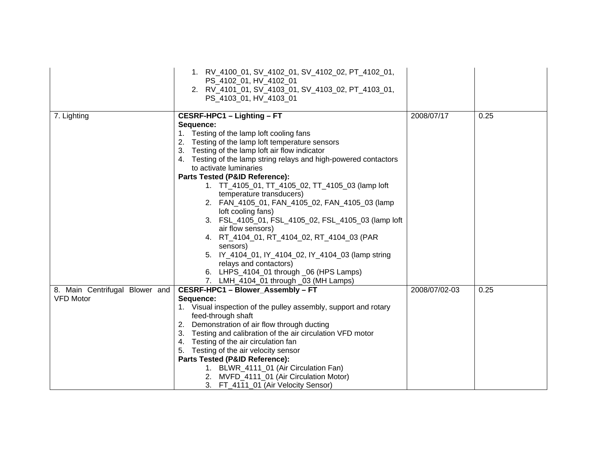|                                                    | 1. RV_4100_01, SV_4102_01, SV_4102_02, PT_4102_01,<br>PS_4102_01, HV_4102_01<br>2. RV_4101_01, SV_4103_01, SV_4103_02, PT_4103_01,<br>PS_4103_01, HV_4103_01                                                                                                                                                                                                                                                                                                                                                                                                                                                                                                                                                                                                                               |               |      |
|----------------------------------------------------|--------------------------------------------------------------------------------------------------------------------------------------------------------------------------------------------------------------------------------------------------------------------------------------------------------------------------------------------------------------------------------------------------------------------------------------------------------------------------------------------------------------------------------------------------------------------------------------------------------------------------------------------------------------------------------------------------------------------------------------------------------------------------------------------|---------------|------|
| 7. Lighting                                        | CESRF-HPC1 - Lighting - FT<br>Sequence:<br>1. Testing of the lamp loft cooling fans<br>2. Testing of the lamp loft temperature sensors<br>3. Testing of the lamp loft air flow indicator<br>4. Testing of the lamp string relays and high-powered contactors<br>to activate luminaries<br>Parts Tested (P&ID Reference):<br>1. TT_4105_01, TT_4105_02, TT_4105_03 (lamp loft<br>temperature transducers)<br>2. FAN_4105_01, FAN_4105_02, FAN_4105_03 (lamp<br>loft cooling fans)<br>3. FSL_4105_01, FSL_4105_02, FSL_4105_03 (lamp loft<br>air flow sensors)<br>4. RT_4104_01, RT_4104_02, RT_4104_03 (PAR<br>sensors)<br>5. IY_4104_01, IY_4104_02, IY_4104_03 (lamp string<br>relays and contactors)<br>6. LHPS_4104_01 through _06 (HPS Lamps)<br>7. LMH_4104_01 through _03 (MH Lamps) | 2008/07/17    | 0.25 |
| 8. Main Centrifugal Blower and<br><b>VFD Motor</b> | CESRF-HPC1 - Blower Assembly - FT<br>Sequence:<br>1. Visual inspection of the pulley assembly, support and rotary<br>feed-through shaft<br>2. Demonstration of air flow through ducting<br>3. Testing and calibration of the air circulation VFD motor<br>4. Testing of the air circulation fan<br>5. Testing of the air velocity sensor<br>Parts Tested (P&ID Reference):<br>1. BLWR_4111_01 (Air Circulation Fan)<br>2. MVFD_4111_01 (Air Circulation Motor)<br>3. FT_4111_01 (Air Velocity Sensor)                                                                                                                                                                                                                                                                                      | 2008/07/02-03 | 0.25 |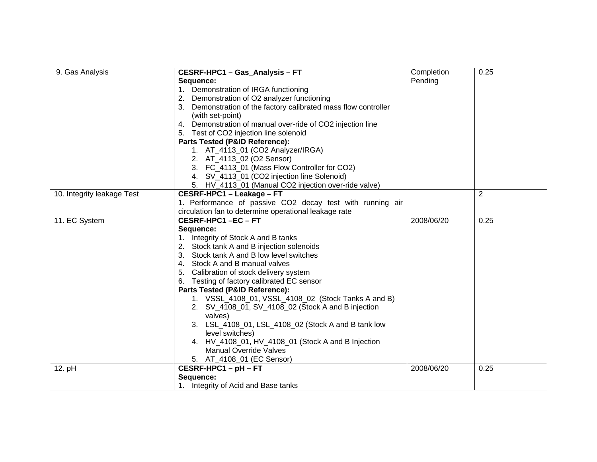| 9. Gas Analysis            | CESRF-HPC1 - Gas_Analysis - FT<br>Sequence:<br>1. Demonstration of IRGA functioning<br>2. Demonstration of O2 analyzer functioning<br>3. Demonstration of the factory calibrated mass flow controller<br>(with set-point)<br>4. Demonstration of manual over-ride of CO2 injection line<br>5. Test of CO2 injection line solenoid<br>Parts Tested (P&ID Reference):<br>1. AT_4113_01 (CO2 Analyzer/IRGA)<br>2. AT_4113_02 (O2 Sensor)<br>3. FC_4113_01 (Mass Flow Controller for CO2)<br>4. SV_4113_01 (CO2 injection line Solenoid)<br>5. HV_4113_01 (Manual CO2 injection over-ride valve) | Completion<br>Pending | 0.25 |
|----------------------------|----------------------------------------------------------------------------------------------------------------------------------------------------------------------------------------------------------------------------------------------------------------------------------------------------------------------------------------------------------------------------------------------------------------------------------------------------------------------------------------------------------------------------------------------------------------------------------------------|-----------------------|------|
| 10. Integrity leakage Test | CESRF-HPC1 - Leakage - FT                                                                                                                                                                                                                                                                                                                                                                                                                                                                                                                                                                    |                       | 2    |
|                            | 1. Performance of passive CO2 decay test with running air                                                                                                                                                                                                                                                                                                                                                                                                                                                                                                                                    |                       |      |
| 11. EC System              | circulation fan to determine operational leakage rate<br>CESRF-HPC1-EC-FT                                                                                                                                                                                                                                                                                                                                                                                                                                                                                                                    | 2008/06/20            | 0.25 |
|                            | Sequence:                                                                                                                                                                                                                                                                                                                                                                                                                                                                                                                                                                                    |                       |      |
|                            | 1. Integrity of Stock A and B tanks                                                                                                                                                                                                                                                                                                                                                                                                                                                                                                                                                          |                       |      |
|                            | 2. Stock tank A and B injection solenoids                                                                                                                                                                                                                                                                                                                                                                                                                                                                                                                                                    |                       |      |
|                            | 3. Stock tank A and B low level switches                                                                                                                                                                                                                                                                                                                                                                                                                                                                                                                                                     |                       |      |
|                            | 4. Stock A and B manual valves                                                                                                                                                                                                                                                                                                                                                                                                                                                                                                                                                               |                       |      |
|                            | 5. Calibration of stock delivery system                                                                                                                                                                                                                                                                                                                                                                                                                                                                                                                                                      |                       |      |
|                            | 6. Testing of factory calibrated EC sensor                                                                                                                                                                                                                                                                                                                                                                                                                                                                                                                                                   |                       |      |
|                            | Parts Tested (P&ID Reference):                                                                                                                                                                                                                                                                                                                                                                                                                                                                                                                                                               |                       |      |
|                            | 1. VSSL_4108_01, VSSL_4108_02 (Stock Tanks A and B)                                                                                                                                                                                                                                                                                                                                                                                                                                                                                                                                          |                       |      |
|                            | 2. SV_4108_01, SV_4108_02 (Stock A and B injection                                                                                                                                                                                                                                                                                                                                                                                                                                                                                                                                           |                       |      |
|                            | valves)                                                                                                                                                                                                                                                                                                                                                                                                                                                                                                                                                                                      |                       |      |
|                            | 3. LSL_4108_01, LSL_4108_02 (Stock A and B tank low                                                                                                                                                                                                                                                                                                                                                                                                                                                                                                                                          |                       |      |
|                            | level switches)                                                                                                                                                                                                                                                                                                                                                                                                                                                                                                                                                                              |                       |      |
|                            | 4. HV_4108_01, HV_4108_01 (Stock A and B Injection                                                                                                                                                                                                                                                                                                                                                                                                                                                                                                                                           |                       |      |
|                            | <b>Manual Override Valves</b>                                                                                                                                                                                                                                                                                                                                                                                                                                                                                                                                                                |                       |      |
|                            | 5. AT_4108_01 (EC Sensor)                                                                                                                                                                                                                                                                                                                                                                                                                                                                                                                                                                    |                       |      |
| 12. pH                     | CESRF-HPC1-pH-FT                                                                                                                                                                                                                                                                                                                                                                                                                                                                                                                                                                             | 2008/06/20            | 0.25 |
|                            | Sequence:                                                                                                                                                                                                                                                                                                                                                                                                                                                                                                                                                                                    |                       |      |
|                            | 1. Integrity of Acid and Base tanks                                                                                                                                                                                                                                                                                                                                                                                                                                                                                                                                                          |                       |      |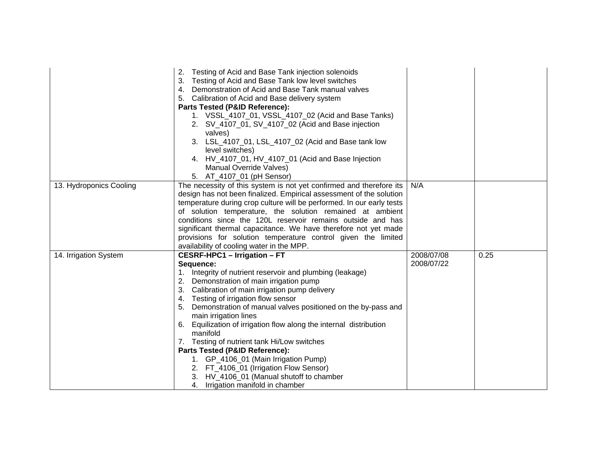|                         | Testing of Acid and Base Tank injection solenoids<br>Testing of Acid and Base Tank low level switches<br>3.<br>4. Demonstration of Acid and Base Tank manual valves<br>5. Calibration of Acid and Base delivery system<br>Parts Tested (P&ID Reference):<br>1. VSSL_4107_01, VSSL_4107_02 (Acid and Base Tanks)<br>2. SV_4107_01, SV_4107_02 (Acid and Base injection<br>valves)<br>3. LSL_4107_01, LSL_4107_02 (Acid and Base tank low<br>level switches)<br>4. HV_4107_01, HV_4107_01 (Acid and Base Injection<br>Manual Override Valves)<br>5. AT_4107_01 (pH Sensor)                                                                                                                  |                          |      |
|-------------------------|-------------------------------------------------------------------------------------------------------------------------------------------------------------------------------------------------------------------------------------------------------------------------------------------------------------------------------------------------------------------------------------------------------------------------------------------------------------------------------------------------------------------------------------------------------------------------------------------------------------------------------------------------------------------------------------------|--------------------------|------|
| 13. Hydroponics Cooling | The necessity of this system is not yet confirmed and therefore its<br>design has not been finalized. Empirical assessment of the solution<br>temperature during crop culture will be performed. In our early tests<br>of solution temperature, the solution remained at ambient<br>conditions since the 120L reservoir remains outside and has<br>significant thermal capacitance. We have therefore not yet made<br>provisions for solution temperature control given the limited<br>availability of cooling water in the MPP.                                                                                                                                                          | N/A                      |      |
| 14. Irrigation System   | <b>CESRF-HPC1 - Irrigation - FT</b><br>Sequence:<br>1. Integrity of nutrient reservoir and plumbing (leakage)<br>2. Demonstration of main irrigation pump<br>3. Calibration of main irrigation pump delivery<br>4. Testing of irrigation flow sensor<br>5. Demonstration of manual valves positioned on the by-pass and<br>main irrigation lines<br>6. Equilization of irrigation flow along the internal distribution<br>manifold<br>7. Testing of nutrient tank Hi/Low switches<br>Parts Tested (P&ID Reference):<br>1. GP_4106_01 (Main Irrigation Pump)<br>2. FT_4106_01 (Irrigation Flow Sensor)<br>3. HV_4106_01 (Manual shutoff to chamber<br>Irrigation manifold in chamber<br>4. | 2008/07/08<br>2008/07/22 | 0.25 |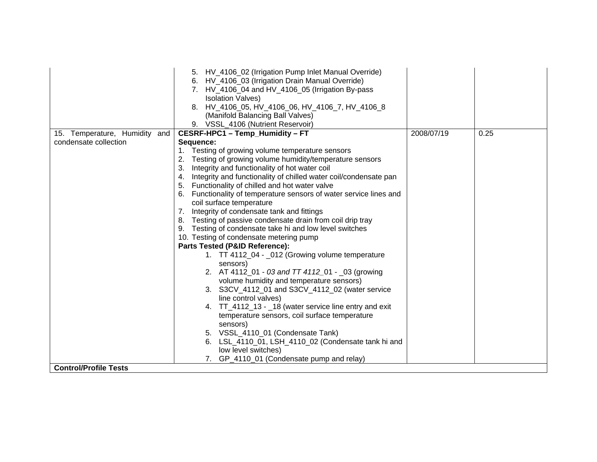|                               | 5. HV_4106_02 (Irrigation Pump Inlet Manual Override)<br>6. HV_4106_03 (Irrigation Drain Manual Override)<br>7. HV_4106_04 and HV_4106_05 (Irrigation By-pass<br><b>Isolation Valves)</b> |            |      |
|-------------------------------|-------------------------------------------------------------------------------------------------------------------------------------------------------------------------------------------|------------|------|
|                               | 8. HV_4106_05, HV_4106_06, HV_4106_7, HV_4106_8                                                                                                                                           |            |      |
|                               | (Manifold Balancing Ball Valves)                                                                                                                                                          |            |      |
|                               | 9. VSSL_4106 (Nutrient Reservoir)                                                                                                                                                         |            |      |
| 15. Temperature, Humidity and | CESRF-HPC1 - Temp Humidity - FT                                                                                                                                                           | 2008/07/19 | 0.25 |
| condensate collection         | Sequence:                                                                                                                                                                                 |            |      |
|                               | 1. Testing of growing volume temperature sensors                                                                                                                                          |            |      |
|                               | 2. Testing of growing volume humidity/temperature sensors                                                                                                                                 |            |      |
|                               | 3. Integrity and functionality of hot water coil                                                                                                                                          |            |      |
|                               | 4. Integrity and functionality of chilled water coil/condensate pan                                                                                                                       |            |      |
|                               | 5. Functionality of chilled and hot water valve                                                                                                                                           |            |      |
|                               | 6. Functionality of temperature sensors of water service lines and<br>coil surface temperature                                                                                            |            |      |
|                               | 7. Integrity of condensate tank and fittings                                                                                                                                              |            |      |
|                               | 8. Testing of passive condensate drain from coil drip tray                                                                                                                                |            |      |
|                               | 9. Testing of condensate take hi and low level switches                                                                                                                                   |            |      |
|                               | 10. Testing of condensate metering pump                                                                                                                                                   |            |      |
|                               | Parts Tested (P&ID Reference):                                                                                                                                                            |            |      |
|                               | 1. TT 4112_04 - _012 (Growing volume temperature                                                                                                                                          |            |      |
|                               | sensors)                                                                                                                                                                                  |            |      |
|                               | 2. AT 4112_01 - 03 and TT 4112_01 - _03 (growing                                                                                                                                          |            |      |
|                               | volume humidity and temperature sensors)                                                                                                                                                  |            |      |
|                               | 3. S3CV_4112_01 and S3CV_4112_02 (water service                                                                                                                                           |            |      |
|                               | line control valves)                                                                                                                                                                      |            |      |
|                               | 4. TT_4112_13 - _18 (water service line entry and exit                                                                                                                                    |            |      |
|                               | temperature sensors, coil surface temperature                                                                                                                                             |            |      |
|                               | sensors)                                                                                                                                                                                  |            |      |
|                               | 5. VSSL_4110_01 (Condensate Tank)                                                                                                                                                         |            |      |
|                               | 6. LSL_4110_01, LSH_4110_02 (Condensate tank hi and                                                                                                                                       |            |      |
|                               | low level switches)                                                                                                                                                                       |            |      |
|                               | GP_4110_01 (Condensate pump and relay)                                                                                                                                                    |            |      |
| <b>Control/Profile Tests</b>  |                                                                                                                                                                                           |            |      |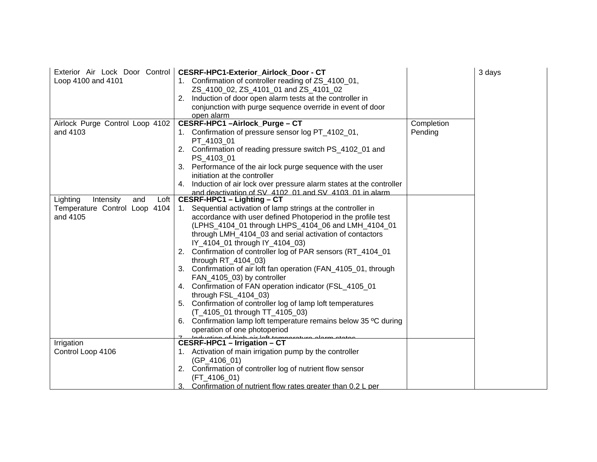| Exterior Air Lock Door Control<br>Loop 4100 and 4101 | CESRF-HPC1-Exterior_Airlock_Door - CT<br>1. Confirmation of controller reading of ZS_4100_01,<br>ZS_4100_02, ZS_4101_01 and ZS_4101_02<br>2. Induction of door open alarm tests at the controller in<br>conjunction with purge sequence override in event of door<br>open alarm |            | 3 days |
|------------------------------------------------------|---------------------------------------------------------------------------------------------------------------------------------------------------------------------------------------------------------------------------------------------------------------------------------|------------|--------|
| Airlock Purge Control Loop 4102                      | CESRF-HPC1-Airlock_Purge-CT                                                                                                                                                                                                                                                     | Completion |        |
| and 4103                                             | 1. Confirmation of pressure sensor log PT_4102_01,<br>PT_4103_01                                                                                                                                                                                                                | Pending    |        |
|                                                      | 2. Confirmation of reading pressure switch PS_4102_01 and<br>PS_4103_01                                                                                                                                                                                                         |            |        |
|                                                      | Performance of the air lock purge sequence with the user<br>3.<br>initiation at the controller                                                                                                                                                                                  |            |        |
|                                                      | Induction of air lock over pressure alarm states at the controller<br>and deactivation of SV 4102 01 and SV 4103 01 in alarm.                                                                                                                                                   |            |        |
| Lighting<br>Intensity<br>and<br>Loft                 | CESRF-HPC1 - Lighting - CT                                                                                                                                                                                                                                                      |            |        |
| Temperature Control Loop 4104                        | 1. Sequential activation of lamp strings at the controller in                                                                                                                                                                                                                   |            |        |
| and 4105                                             | accordance with user defined Photoperiod in the profile test                                                                                                                                                                                                                    |            |        |
|                                                      | (LPHS_4104_01 through LHPS_4104_06 and LMH_4104_01                                                                                                                                                                                                                              |            |        |
|                                                      | through LMH_4104_03 and serial activation of contactors                                                                                                                                                                                                                         |            |        |
|                                                      | IY_4104_01 through IY_4104_03)                                                                                                                                                                                                                                                  |            |        |
|                                                      | 2. Confirmation of controller log of PAR sensors (RT_4104_01<br>through RT_4104_03)                                                                                                                                                                                             |            |        |
|                                                      | 3. Confirmation of air loft fan operation (FAN_4105_01, through<br>FAN_4105_03) by controller                                                                                                                                                                                   |            |        |
|                                                      | 4. Confirmation of FAN operation indicator (FSL_4105_01<br>through FSL_4104_03)                                                                                                                                                                                                 |            |        |
|                                                      | 5. Confirmation of controller log of lamp loft temperatures<br>(T_4105_01 through TT_4105_03)                                                                                                                                                                                   |            |        |
|                                                      | Confirmation lamp loft temperature remains below 35 °C during<br>6.                                                                                                                                                                                                             |            |        |
|                                                      | operation of one photoperiod                                                                                                                                                                                                                                                    |            |        |
|                                                      |                                                                                                                                                                                                                                                                                 |            |        |
| Irrigation                                           | Z Lindustion of bigh oir loft tomp                                                                                                                                                                                                                                              |            |        |
| Control Loop 4106                                    | 1. Activation of main irrigation pump by the controller                                                                                                                                                                                                                         |            |        |
|                                                      | $(GP_4106_01)$                                                                                                                                                                                                                                                                  |            |        |
|                                                      | 2. Confirmation of controller log of nutrient flow sensor                                                                                                                                                                                                                       |            |        |
|                                                      | (FT_4106_01)                                                                                                                                                                                                                                                                    |            |        |
|                                                      | Confirmation of nutrient flow rates greater than 0.2 L per<br>З.                                                                                                                                                                                                                |            |        |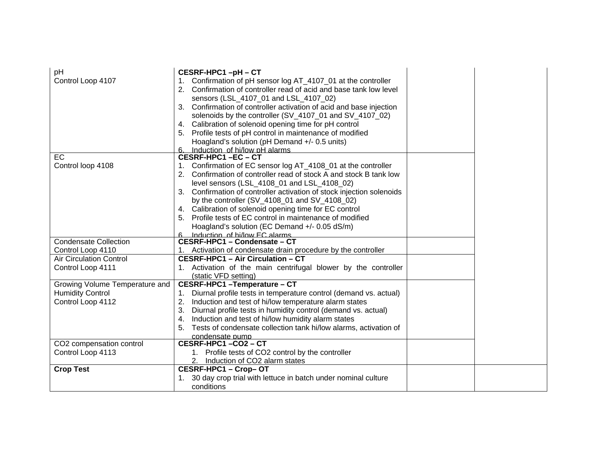| pH                             | CESRF-HPC1-pH-CT                                                       |  |
|--------------------------------|------------------------------------------------------------------------|--|
| Control Loop 4107              | Confirmation of pH sensor log AT_4107_01 at the controller<br>1.       |  |
|                                | Confirmation of controller read of acid and base tank low level<br>2.  |  |
|                                | sensors (LSL_4107_01 and LSL_4107_02)                                  |  |
|                                | Confirmation of controller activation of acid and base injection<br>3. |  |
|                                | solenoids by the controller (SV_4107_01 and SV_4107_02)                |  |
|                                | 4. Calibration of solenoid opening time for pH control                 |  |
|                                | Profile tests of pH control in maintenance of modified<br>5.           |  |
|                                | Hoagland's solution (pH Demand +/- 0.5 units)                          |  |
|                                | Induction of hi/low pH alarms<br>6                                     |  |
| EC                             | CESRF-HPC1-EC-CT                                                       |  |
| Control loop 4108              | Confirmation of EC sensor log AT_4108_01 at the controller<br>1.       |  |
|                                | Confirmation of controller read of stock A and stock B tank low        |  |
|                                | level sensors (LSL_4108_01 and LSL_4108_02)                            |  |
|                                | 3. Confirmation of controller activation of stock injection solenoids  |  |
|                                | by the controller $(SV_4108_01$ and $SV_4108_02$ )                     |  |
|                                | Calibration of solenoid opening time for EC control<br>4.              |  |
|                                | Profile tests of EC control in maintenance of modified<br>5.           |  |
|                                | Hoagland's solution (EC Demand +/- 0.05 dS/m)                          |  |
|                                | 6 Induction of hi/low FC alarms<br>CESRF-HPC1 - Condensate - CT        |  |
| <b>Condensate Collection</b>   |                                                                        |  |
| Control Loop 4110              | Activation of condensate drain procedure by the controller             |  |
| <b>Air Circulation Control</b> | <b>CESRF-HPC1 - Air Circulation - CT</b>                               |  |
| Control Loop 4111              | 1. Activation of the main centrifugal blower by the controller         |  |
|                                | (static VFD setting)                                                   |  |
| Growing Volume Temperature and | CESRF-HPC1-Temperature-CT                                              |  |
| <b>Humidity Control</b>        | Diurnal profile tests in temperature control (demand vs. actual)<br>1. |  |
| Control Loop 4112              | Induction and test of hi/low temperature alarm states<br>2.            |  |
|                                | Diurnal profile tests in humidity control (demand vs. actual)<br>3.    |  |
|                                | Induction and test of hi/low humidity alarm states<br>4.               |  |
|                                | Tests of condensate collection tank hi/low alarms, activation of<br>5. |  |
|                                | condensate pump                                                        |  |
| CO2 compensation control       | CESRF-HPC1-CO2-CT                                                      |  |
| Control Loop 4113              | 1. Profile tests of CO2 control by the controller                      |  |
|                                | 2. Induction of CO2 alarm states                                       |  |
| <b>Crop Test</b>               | CESRF-HPC1 - Crop-OT                                                   |  |
|                                | 30 day crop trial with lettuce in batch under nominal culture          |  |
|                                | conditions                                                             |  |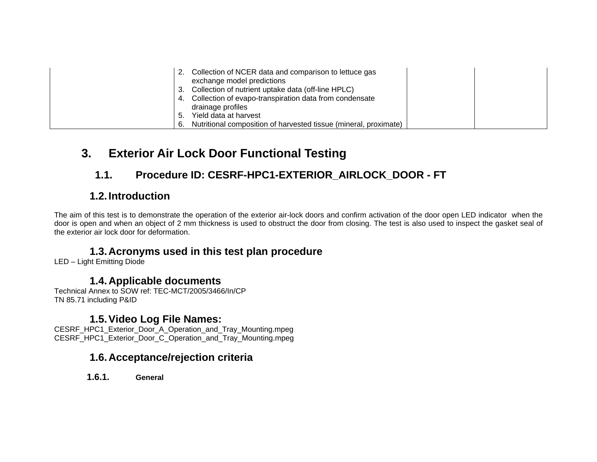|    | 2. Collection of NCER data and comparison to lettuce gas<br>exchange model predictions<br>3. Collection of nutrient uptake data (off-line HPLC)<br>4. Collection of evapo-transpiration data from condensate<br>drainage profiles |  |
|----|-----------------------------------------------------------------------------------------------------------------------------------------------------------------------------------------------------------------------------------|--|
| 5. | Yield data at harvest                                                                                                                                                                                                             |  |
|    | 6. Nutritional composition of harvested tissue (mineral, proximate)                                                                                                                                                               |  |

## **3. Exterior Air Lock Door Functional Testing**

## **1.1. Procedure ID: CESRF-HPC1-EXTERIOR\_AIRLOCK\_DOOR - FT**

## **1.2. Introduction**

The aim of this test is to demonstrate the operation of the exterior air-lock doors and confirm activation of the door open LED indicator when the door is open and when an object of 2 mm thickness is used to obstruct the door from closing. The test is also used to inspect the gasket seal of the exterior air lock door for deformation.

#### **1.3. Acronyms used in this test plan procedure**

LED – Light Emitting Diode

#### **1.4. Applicable documents**

Technical Annex to SOW ref: TEC-MCT/2005/3466/In/CP TN 85.71 including P&ID

#### **1.5. Video Log File Names:**

CESRF\_HPC1\_Exterior\_Door\_A\_Operation\_and\_Tray\_Mounting.mpeg CESRF\_HPC1\_Exterior\_Door\_C\_Operation\_and\_Tray\_Mounting.mpeg

### **1.6. Acceptance/rejection criteria**

**1.6.1. General**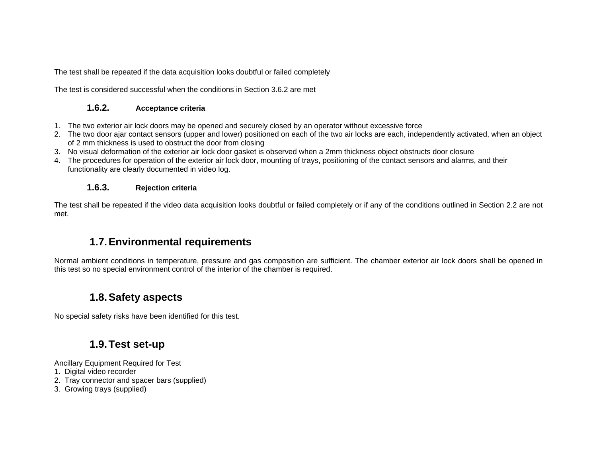The test shall be repeated if the data acquisition looks doubtful or failed completely

The test is considered successful when the conditions in Section 3.6.2 are met

#### **1.6.2. Acceptance criteria**

- 1. The two exterior air lock doors may be opened and securely closed by an operator without excessive force
- 2. The two door ajar contact sensors (upper and lower) positioned on each of the two air locks are each, independently activated, when an object of 2 mm thickness is used to obstruct the door from closing
- 3. No visual deformation of the exterior air lock door gasket is observed when a 2mm thickness object obstructs door closure
- 4. The procedures for operation of the exterior air lock door, mounting of trays, positioning of the contact sensors and alarms, and their functionality are clearly documented in video log.

#### **1.6.3. Rejection criteria**

The test shall be repeated if the video data acquisition looks doubtful or failed completely or if any of the conditions outlined in Section 2.2 are not met.

### **1.7. Environmental requirements**

Normal ambient conditions in temperature, pressure and gas composition are sufficient. The chamber exterior air lock doors shall be opened in this test so no special environment control of the interior of the chamber is required.

### **1.8. Safety aspects**

No special safety risks have been identified for this test.

### **1.9. Test set-up**

Ancillary Equipment Required for Test

- 1. Digital video recorder
- 2. Tray connector and spacer bars (supplied)
- 3. Growing trays (supplied)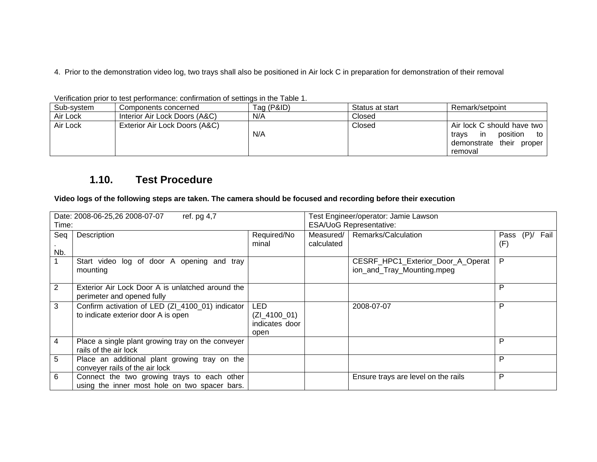4. Prior to the demonstration video log, two trays shall also be positioned in Air lock C in preparation for demonstration of their removal

|            | וו שושרט ויווי שהטוויש של השוויות המוניסט ושטוויות ושווים של השימוש ושוויה |            |                 |                               |
|------------|----------------------------------------------------------------------------|------------|-----------------|-------------------------------|
| Sub-system | Components concerned                                                       | Tag (P&ID) | Status at start | Remark/setpoint               |
| Air Lock   | Interior Air Lock Doors (A&C)                                              | N/A        | Closed          |                               |
| Air Lock   | Exterior Air Lock Doors (A&C)                                              |            | Closed          | Air lock C should have two    |
|            |                                                                            | N/A        |                 | position<br>to<br>travs<br>ın |
|            |                                                                            |            |                 | demonstrate their proper      |
|            |                                                                            |            |                 | removal                       |

Verification prior to test performance: confirmation of settings in the Table 1.

#### **1.10. Test Procedure**

**Video logs of the following steps are taken. The camera should be focused and recording before their execution** 

| Date: 2008-06-25,26 2008-07-07<br>ref. pg 4,7 |                                                   | Test Engineer/operator: Jamie Lawson |                         |                                     |      |         |      |
|-----------------------------------------------|---------------------------------------------------|--------------------------------------|-------------------------|-------------------------------------|------|---------|------|
| Time:                                         |                                                   |                                      | ESA/UoG Representative: |                                     |      |         |      |
| Seq                                           | Description                                       | Required/No                          |                         | Measured/   Remarks/Calculation     | Pass | $(P)$ / | Fail |
|                                               |                                                   | minal                                | calculated              |                                     | (F)  |         |      |
| Nb.                                           |                                                   |                                      |                         |                                     |      |         |      |
|                                               | Start video log of door A opening and tray        |                                      |                         | CESRF_HPC1_Exterior_Door_A_Operat   | P    |         |      |
|                                               | mounting                                          |                                      |                         | ion_and_Tray_Mounting.mpeg          |      |         |      |
|                                               |                                                   |                                      |                         |                                     |      |         |      |
| 2                                             | Exterior Air Lock Door A is unlatched around the  |                                      |                         |                                     | P    |         |      |
|                                               | perimeter and opened fully                        |                                      |                         |                                     |      |         |      |
| 3                                             | Confirm activation of LED (ZI_4100_01) indicator  | <b>LED</b>                           |                         | 2008-07-07                          | P    |         |      |
|                                               | to indicate exterior door A is open               | $(ZI_4100_01)$                       |                         |                                     |      |         |      |
|                                               |                                                   | indicates door                       |                         |                                     |      |         |      |
|                                               |                                                   | open                                 |                         |                                     |      |         |      |
| 4                                             | Place a single plant growing tray on the conveyer |                                      |                         |                                     | P    |         |      |
|                                               | rails of the air lock                             |                                      |                         |                                     |      |         |      |
| 5                                             | Place an additional plant growing tray on the     |                                      |                         |                                     | P    |         |      |
|                                               | conveyer rails of the air lock                    |                                      |                         |                                     |      |         |      |
| 6                                             | Connect the two growing trays to each other       |                                      |                         | Ensure trays are level on the rails | P    |         |      |
|                                               | using the inner most hole on two spacer bars.     |                                      |                         |                                     |      |         |      |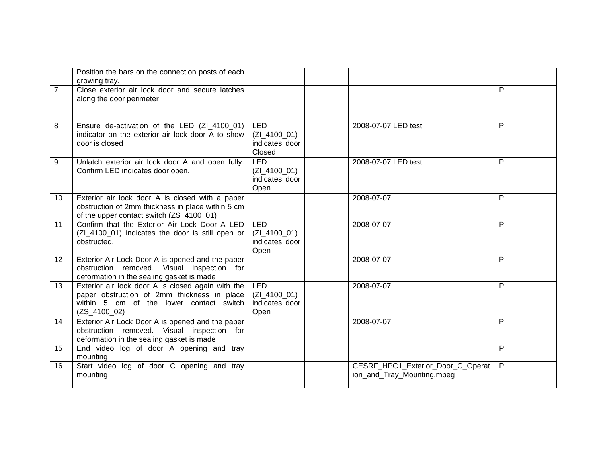|                | Position the bars on the connection posts of each<br>growing tray.                                                                                            |                                                          |                                                                 |                |
|----------------|---------------------------------------------------------------------------------------------------------------------------------------------------------------|----------------------------------------------------------|-----------------------------------------------------------------|----------------|
| $\overline{7}$ | Close exterior air lock door and secure latches<br>along the door perimeter                                                                                   |                                                          |                                                                 | P              |
| 8              | Ensure de-activation of the LED (ZI_4100_01)<br>indicator on the exterior air lock door A to show<br>door is closed                                           | <b>LED</b><br>$(ZI_4100_01)$<br>indicates door<br>Closed | 2008-07-07 LED test                                             | P              |
| 9              | Unlatch exterior air lock door A and open fully.<br>Confirm LED indicates door open.                                                                          | <b>LED</b><br>$(ZI_4100_01)$<br>indicates door<br>Open   | 2008-07-07 LED test                                             | P              |
| 10             | Exterior air lock door A is closed with a paper<br>obstruction of 2mm thickness in place within 5 cm<br>of the upper contact switch (ZS_4100_01)              |                                                          | 2008-07-07                                                      | P              |
| 11             | Confirm that the Exterior Air Lock Door A LED<br>(ZI_4100_01) indicates the door is still open or<br>obstructed.                                              | <b>LED</b><br>$(ZI_4100_01)$<br>indicates door<br>Open   | 2008-07-07                                                      | P              |
| 12             | Exterior Air Lock Door A is opened and the paper<br>obstruction removed. Visual inspection for<br>deformation in the sealing gasket is made                   |                                                          | 2008-07-07                                                      | P              |
| 13             | Exterior air lock door A is closed again with the<br>paper obstruction of 2mm thickness in place<br>within 5 cm of the lower contact switch<br>$(ZS_4100_02)$ | <b>LED</b><br>(ZI 4100 01)<br>indicates door<br>Open     | 2008-07-07                                                      | P              |
| 14             | Exterior Air Lock Door A is opened and the paper<br>obstruction removed. Visual inspection for<br>deformation in the sealing gasket is made                   |                                                          | 2008-07-07                                                      | P              |
| 15             | End video log of door A opening and tray<br>mounting                                                                                                          |                                                          |                                                                 | P              |
| 16             | Start video log of door C opening and tray<br>mounting                                                                                                        |                                                          | CESRF_HPC1_Exterior_Door_C_Operat<br>ion_and_Tray_Mounting.mpeg | $\overline{P}$ |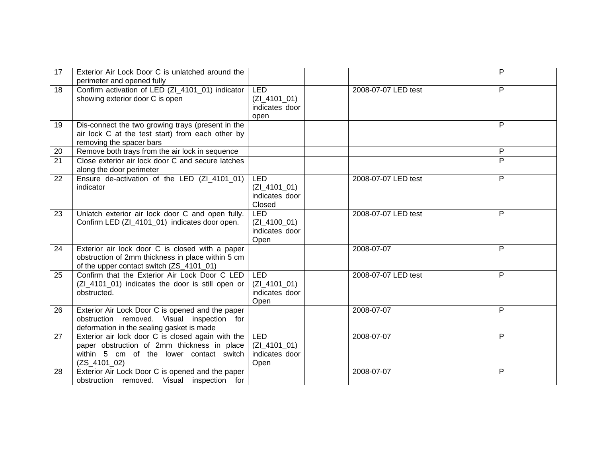| 17 | Exterior Air Lock Door C is unlatched around the<br>perimeter and opened fully                                                                                |                                                        |                     | P              |
|----|---------------------------------------------------------------------------------------------------------------------------------------------------------------|--------------------------------------------------------|---------------------|----------------|
| 18 | Confirm activation of LED (ZI_4101_01) indicator<br>showing exterior door C is open                                                                           | <b>LED</b><br>$(ZI_4101_01)$<br>indicates door<br>open | 2008-07-07 LED test | P              |
| 19 | Dis-connect the two growing trays (present in the<br>air lock C at the test start) from each other by<br>removing the spacer bars                             |                                                        |                     | P              |
| 20 | Remove both trays from the air lock in sequence                                                                                                               |                                                        |                     | P              |
| 21 | Close exterior air lock door C and secure latches<br>along the door perimeter                                                                                 |                                                        |                     | $\overline{P}$ |
| 22 | Ensure de-activation of the LED (ZI_4101_01)<br>indicator                                                                                                     | <b>LED</b><br>(ZI 4101 01)<br>indicates door<br>Closed | 2008-07-07 LED test | P              |
| 23 | Unlatch exterior air lock door C and open fully.<br>Confirm LED (ZI_4101_01) indicates door open.                                                             | LED<br>$(ZI_4100_01)$<br>indicates door<br>Open        | 2008-07-07 LED test | P              |
| 24 | Exterior air lock door C is closed with a paper<br>obstruction of 2mm thickness in place within 5 cm<br>of the upper contact switch (ZS_4101_01)              |                                                        | 2008-07-07          | P              |
| 25 | Confirm that the Exterior Air Lock Door C LED<br>(ZI_4101_01) indicates the door is still open or<br>obstructed.                                              | <b>LED</b><br>$(ZI_4101_01)$<br>indicates door<br>Open | 2008-07-07 LED test | P              |
| 26 | Exterior Air Lock Door C is opened and the paper<br>obstruction removed. Visual inspection for<br>deformation in the sealing gasket is made                   |                                                        | 2008-07-07          | P              |
| 27 | Exterior air lock door C is closed again with the<br>paper obstruction of 2mm thickness in place<br>within 5 cm of the lower contact switch<br>$(ZS_4101_02)$ | <b>LED</b><br>$(ZI_4101_01)$<br>indicates door<br>Open | 2008-07-07          | P              |
| 28 | Exterior Air Lock Door C is opened and the paper<br>obstruction removed. Visual inspection for                                                                |                                                        | 2008-07-07          | P              |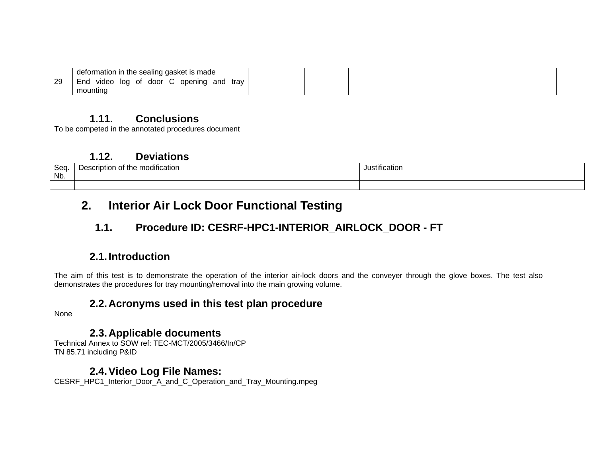|    | deformation in the sealing gasket is made                  |  |  |
|----|------------------------------------------------------------|--|--|
| 29 | door C opening<br>trav<br>and<br>End<br>video<br>log<br>of |  |  |
|    | mounting                                                   |  |  |

#### **1.11. Conclusions**

To be competed in the annotated procedures document

#### **1.12. Deviations**

| $S_{\Omega}$<br>vou<br>Nb. | .<br>Description<br>: modification<br>∶the<br>OI | .<br>Justification |
|----------------------------|--------------------------------------------------|--------------------|
|                            |                                                  |                    |

## **2. Interior Air Lock Door Functional Testing**

## **1.1. Procedure ID: CESRF-HPC1-INTERIOR\_AIRLOCK\_DOOR - FT**

## **2.1. Introduction**

The aim of this test is to demonstrate the operation of the interior air-lock doors and the conveyer through the glove boxes. The test also demonstrates the procedures for tray mounting/removal into the main growing volume.

### **2.2. Acronyms used in this test plan procedure**

None

#### **2.3. Applicable documents**

Technical Annex to SOW ref: TEC-MCT/2005/3466/In/CP TN 85.71 including P&ID

### **2.4. Video Log File Names:**

CESRF\_HPC1\_Interior\_Door\_A\_and\_C\_Operation\_and\_Tray\_Mounting.mpeg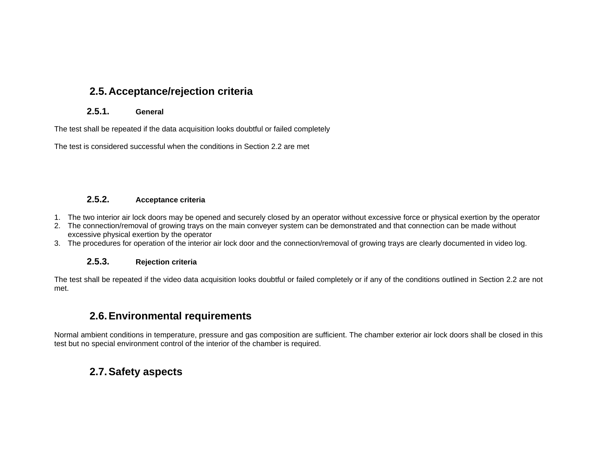### **2.5. Acceptance/rejection criteria**

#### **2.5.1. General**

The test shall be repeated if the data acquisition looks doubtful or failed completely

The test is considered successful when the conditions in Section 2.2 are met

#### **2.5.2. Acceptance criteria**

- 1. The two interior air lock doors may be opened and securely closed by an operator without excessive force or physical exertion by the operator
- 2. The connection/removal of growing trays on the main conveyer system can be demonstrated and that connection can be made without excessive physical exertion by the operator
- 3. The procedures for operation of the interior air lock door and the connection/removal of growing trays are clearly documented in video log.

#### **2.5.3. Rejection criteria**

The test shall be repeated if the video data acquisition looks doubtful or failed completely or if any of the conditions outlined in Section 2.2 are not met.

### **2.6. Environmental requirements**

Normal ambient conditions in temperature, pressure and gas composition are sufficient. The chamber exterior air lock doors shall be closed in this test but no special environment control of the interior of the chamber is required.

## **2.7. Safety aspects**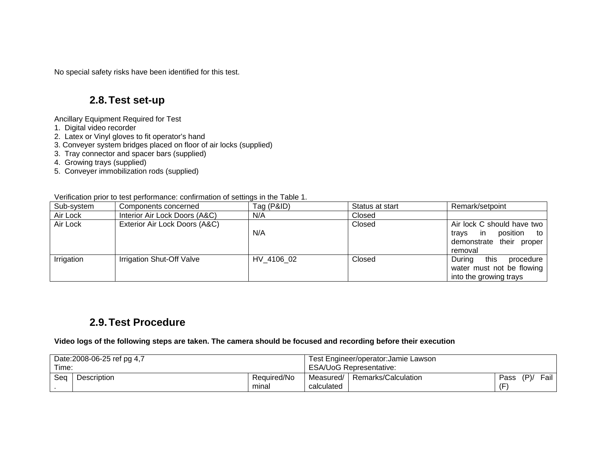No special safety risks have been identified for this test.

#### **2.8. Test set-up**

Ancillary Equipment Required for Test

- 1. Digital video recorder
- 2. Latex or Vinyl gloves to fit operator's hand
- 3. Conveyer system bridges placed on floor of air locks (supplied)
- 3. Tray connector and spacer bars (supplied)
- 4. Growing trays (supplied)
- 5. Conveyer immobilization rods (supplied)

Verification prior to test performance: confirmation of settings in the Table 1.

| Sub-system | Components concerned          | Tag (P&ID) | Status at start | Remark/setpoint                                                                                  |
|------------|-------------------------------|------------|-----------------|--------------------------------------------------------------------------------------------------|
| Air Lock   | Interior Air Lock Doors (A&C) | N/A        | Closed          |                                                                                                  |
| Air Lock   | Exterior Air Lock Doors (A&C) | N/A        | Closed          | Air lock C should have two<br>position to<br>-in<br>travs<br>demonstrate their proper<br>removal |
| Irrigation | Irrigation Shut-Off Valve     | HV 4106 02 | Closed          | During<br>this<br>procedure<br>water must not be flowing<br>into the growing trays               |

#### **2.9. Test Procedure**

**Video logs of the following steps are taken. The camera should be focused and recording before their execution** 

| Time: | Date: 2008-06-25 ref pg 4,7 |                      |            | Test Engineer/operator: Jamie Lawson<br><b>ESA/UoG Representative:</b> |      |     |        |
|-------|-----------------------------|----------------------|------------|------------------------------------------------------------------------|------|-----|--------|
| Seq   | Description                 | Required/No<br>minal | calculated | Measured/   Remarks/Calculation                                        | Pass | (P) | Fail I |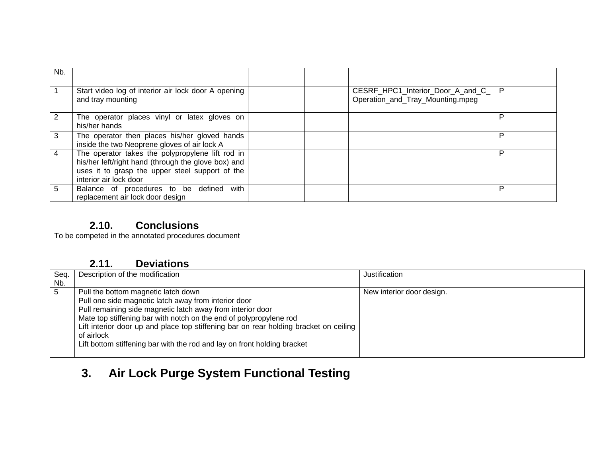| Nb. |                                                                                                                                                                                      |                                                                       |   |
|-----|--------------------------------------------------------------------------------------------------------------------------------------------------------------------------------------|-----------------------------------------------------------------------|---|
|     | Start video log of interior air lock door A opening<br>and tray mounting                                                                                                             | CESRF_HPC1_Interior_Door_A_and_C_<br>Operation_and_Tray_Mounting.mpeg | P |
|     | The operator places vinyl or latex gloves on<br>his/her hands                                                                                                                        |                                                                       | P |
| 3   | The operator then places his/her gloved hands<br>inside the two Neoprene gloves of air lock A                                                                                        |                                                                       | P |
| 4   | The operator takes the polypropylene lift rod in<br>his/her left/right hand (through the glove box) and<br>uses it to grasp the upper steel support of the<br>interior air lock door |                                                                       | P |
| 5   | Balance of procedures to be defined<br>with<br>replacement air lock door design                                                                                                      |                                                                       | P |

### **2.10. Conclusions**

To be competed in the annotated procedures document

## **2.11. Deviations**

| Seq.        | Description of the modification                                                                                                                                                                                                                                                                                                                                                                                    | Justification             |
|-------------|--------------------------------------------------------------------------------------------------------------------------------------------------------------------------------------------------------------------------------------------------------------------------------------------------------------------------------------------------------------------------------------------------------------------|---------------------------|
| Nb.         |                                                                                                                                                                                                                                                                                                                                                                                                                    |                           |
| $\mathbf b$ | Pull the bottom magnetic latch down<br>Pull one side magnetic latch away from interior door<br>Pull remaining side magnetic latch away from interior door<br>Mate top stiffening bar with notch on the end of polypropylene rod<br>Lift interior door up and place top stiffening bar on rear holding bracket on ceiling<br>of airlock<br>Lift bottom stiffening bar with the rod and lay on front holding bracket | New interior door design. |
|             |                                                                                                                                                                                                                                                                                                                                                                                                                    |                           |

# **3. Air Lock Purge System Functional Testing**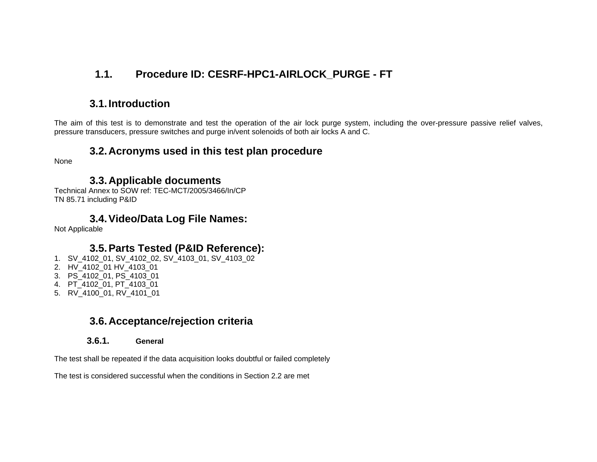## **1.1. Procedure ID: CESRF-HPC1-AIRLOCK\_PURGE - FT**

### **3.1. Introduction**

The aim of this test is to demonstrate and test the operation of the air lock purge system, including the over-pressure passive relief valves, pressure transducers, pressure switches and purge in/vent solenoids of both air locks A and C.

#### **3.2. Acronyms used in this test plan procedure**

None

#### **3.3. Applicable documents**

Technical Annex to SOW ref: TEC-MCT/2005/3466/In/CP TN 85.71 including P&ID

#### **3.4. Video/Data Log File Names:**

Not Applicable

### **3.5. Parts Tested (P&ID Reference):**

- 1. SV\_4102\_01, SV\_4102\_02, SV\_4103\_01, SV\_4103\_02
- 2. HV\_4102\_01 HV\_4103\_01
- 3. PS\_4102\_01, PS\_4103\_01
- 4. PT\_4102\_01, PT\_4103\_01
- 5. RV\_4100\_01, RV\_4101\_01

### **3.6. Acceptance/rejection criteria**

#### **3.6.1. General**

The test shall be repeated if the data acquisition looks doubtful or failed completely

The test is considered successful when the conditions in Section 2.2 are met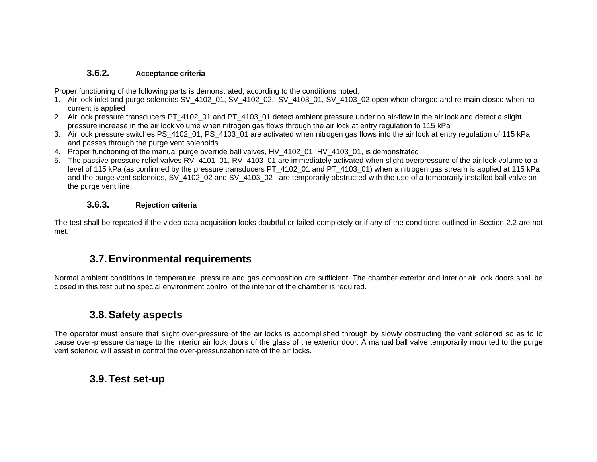#### **3.6.2. Acceptance criteria**

Proper functioning of the following parts is demonstrated, according to the conditions noted;

- 1. Air lock inlet and purge solenoids SV\_4102\_01, SV\_4102\_02, SV\_4103\_01, SV\_4103\_02 open when charged and re-main closed when no current is applied
- 2. Air lock pressure transducers PT\_4102\_01 and PT\_4103\_01 detect ambient pressure under no air-flow in the air lock and detect a slight pressure increase in the air lock volume when nitrogen gas flows through the air lock at entry regulation to 115 kPa
- 3. Air lock pressure switches PS\_4102\_01, PS\_4103\_01 are activated when nitrogen gas flows into the air lock at entry regulation of 115 kPa and passes through the purge vent solenoids
- 4. Proper functioning of the manual purge override ball valves, HV\_4102\_01, HV\_4103\_01, is demonstrated
- 5. The passive pressure relief valves RV 4101 01, RV 4103 01 are immediately activated when slight overpressure of the air lock volume to a level of 115 kPa (as confirmed by the pressure transducers PT\_4102\_01 and PT\_4103\_01) when a nitrogen gas stream is applied at 115 kPa and the purge vent solenoids, SV 4102 02 and SV 4103 02 are temporarily obstructed with the use of a temporarily installed ball valve on the purge vent line

#### **3.6.3. Rejection criteria**

The test shall be repeated if the video data acquisition looks doubtful or failed completely or if any of the conditions outlined in Section 2.2 are not met.

### **3.7. Environmental requirements**

Normal ambient conditions in temperature, pressure and gas composition are sufficient. The chamber exterior and interior air lock doors shall be closed in this test but no special environment control of the interior of the chamber is required.

### **3.8. Safety aspects**

The operator must ensure that slight over-pressure of the air locks is accomplished through by slowly obstructing the vent solenoid so as to to cause over-pressure damage to the interior air lock doors of the glass of the exterior door. A manual ball valve temporarily mounted to the purge vent solenoid will assist in control the over-pressurization rate of the air locks.

### **3.9. Test set-up**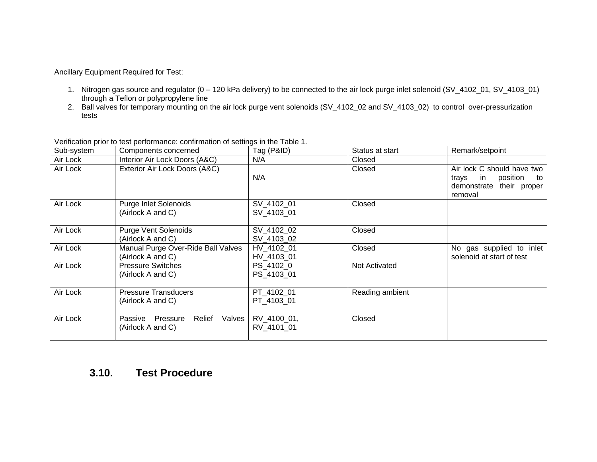Ancillary Equipment Required for Test:

- 1. Nitrogen gas source and regulator (0 120 kPa delivery) to be connected to the air lock purge inlet solenoid (SV\_4102\_01, SV\_4103\_01) through a Teflon or polypropylene line
- 2. Ball valves for temporary mounting on the air lock purge vent solenoids (SV\_4102\_02 and SV\_4103\_02) to control over-pressurization tests

| Sub-system | Components concerned                                         | Tag (P&ID)                | Status at start | Remark/setpoint                                                                                       |
|------------|--------------------------------------------------------------|---------------------------|-----------------|-------------------------------------------------------------------------------------------------------|
| Air Lock   | Interior Air Lock Doors (A&C)                                | N/A                       | Closed          |                                                                                                       |
| Air Lock   | Exterior Air Lock Doors (A&C)                                | N/A                       | Closed          | Air lock C should have two<br>in<br>position<br>travs<br>to<br>demonstrate<br>their proper<br>removal |
| Air Lock   | <b>Purge Inlet Solenoids</b><br>(Airlock A and C)            | SV_4102_01<br>SV 4103 01  | Closed          |                                                                                                       |
| Air Lock   | <b>Purge Vent Solenoids</b><br>(Airlock A and C)             | SV 4102 02<br>SV_4103_02  | Closed          |                                                                                                       |
| Air Lock   | Manual Purge Over-Ride Ball Valves<br>(Airlock A and C)      | HV 4102 01<br>HV_4103_01  | Closed          | No gas supplied to inlet<br>solenoid at start of test                                                 |
| Air Lock   | <b>Pressure Switches</b><br>(Airlock A and C)                | PS_4102_0<br>PS 4103 01   | Not Activated   |                                                                                                       |
| Air Lock   | <b>Pressure Transducers</b><br>(Airlock A and C)             | PT_4102_01<br>PT 4103 01  | Reading ambient |                                                                                                       |
| Air Lock   | Relief<br>Valves<br>Passive<br>Pressure<br>(Airlock A and C) | RV_4100_01,<br>RV 4101 01 | Closed          |                                                                                                       |

Verification prior to test performance: confirmation of settings in the Table 1.

### **3.10. Test Procedure**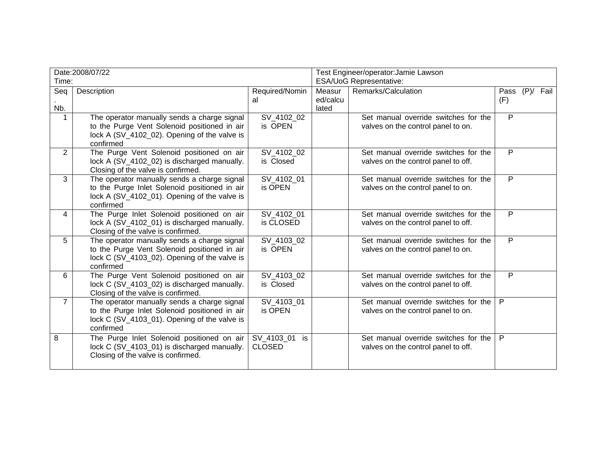| Date:2008/07/22 |                                                           | Test Engineer/operator:Jamie Lawson |                         |                                      |                |  |  |
|-----------------|-----------------------------------------------------------|-------------------------------------|-------------------------|--------------------------------------|----------------|--|--|
| Time:           |                                                           |                                     | ESA/UoG Representative: |                                      |                |  |  |
| Seq             | Description                                               | Required/Nomin                      | Measur                  | Remarks/Calculation                  | Pass (P)/ Fail |  |  |
|                 |                                                           | al                                  | ed/calcu                |                                      | (F)            |  |  |
| Nb.             |                                                           |                                     | lated                   |                                      |                |  |  |
| $\mathbf{1}$    | The operator manually sends a charge signal               | SV_4102_02                          |                         | Set manual override switches for the | P              |  |  |
|                 | to the Purge Vent Solenoid positioned in air              | is OPEN                             |                         | valves on the control panel to on.   |                |  |  |
|                 | lock A (SV_4102_02). Opening of the valve is              |                                     |                         |                                      |                |  |  |
|                 | confirmed                                                 |                                     |                         |                                      |                |  |  |
| $\overline{2}$  | The Purge Vent Solenoid positioned on air                 | SV 4102 02                          |                         | Set manual override switches for the | $\overline{P}$ |  |  |
|                 | lock A (SV_4102_02) is discharged manually.               | is Closed                           |                         | valves on the control panel to off.  |                |  |  |
|                 | Closing of the valve is confirmed.                        |                                     |                         |                                      |                |  |  |
| $\overline{3}$  | The operator manually sends a charge signal               | SV_4102_01                          |                         | Set manual override switches for the | $\overline{P}$ |  |  |
|                 | to the Purge Inlet Solenoid positioned in air             | is OPEN                             |                         | valves on the control panel to on.   |                |  |  |
|                 | lock A (SV_4102_01). Opening of the valve is              |                                     |                         |                                      |                |  |  |
|                 | confirmed                                                 |                                     |                         |                                      |                |  |  |
| 4               | The Purge Inlet Solenoid positioned on air                | SV_4102_01                          |                         | Set manual override switches for the | P              |  |  |
|                 | lock A (SV_4102_01) is discharged manually.               | is CLOSED                           |                         | valves on the control panel to off.  |                |  |  |
|                 | Closing of the valve is confirmed.                        |                                     |                         |                                      |                |  |  |
| 5               | The operator manually sends a charge signal               | SV_4103_02                          |                         | Set manual override switches for the | P              |  |  |
|                 | to the Purge Vent Solenoid positioned in air              | is OPEN                             |                         | valves on the control panel to on.   |                |  |  |
|                 | lock C (SV_4103_02). Opening of the valve is              |                                     |                         |                                      |                |  |  |
|                 | confirmed                                                 |                                     |                         |                                      |                |  |  |
| 6               | The Purge Vent Solenoid positioned on air                 | SV 4103 02                          |                         | Set manual override switches for the | P              |  |  |
|                 | lock C (SV_4103_02) is discharged manually.               | is Closed                           |                         | valves on the control panel to off.  |                |  |  |
| $\overline{7}$  | Closing of the valve is confirmed.                        |                                     |                         | Set manual override switches for the | $\mathsf{P}$   |  |  |
|                 | The operator manually sends a charge signal               | SV_4103_01                          |                         |                                      |                |  |  |
|                 | to the Purge Inlet Solenoid positioned in air             | is OPEN                             |                         | valves on the control panel to on.   |                |  |  |
|                 | lock C (SV_4103_01). Opening of the valve is<br>confirmed |                                     |                         |                                      |                |  |  |
|                 |                                                           |                                     |                         |                                      |                |  |  |
| 8               | The Purge Inlet Solenoid positioned on air                | SV 4103 01 is                       |                         | Set manual override switches for the | $\mathsf{P}$   |  |  |
|                 | lock C (SV_4103_01) is discharged manually.               | <b>CLOSED</b>                       |                         | valves on the control panel to off.  |                |  |  |
|                 | Closing of the valve is confirmed.                        |                                     |                         |                                      |                |  |  |
|                 |                                                           |                                     |                         |                                      |                |  |  |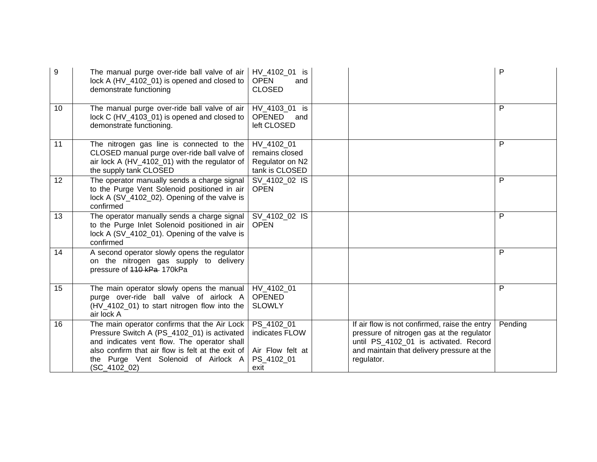| $\boldsymbol{9}$ | The manual purge over-ride ball valve of air<br>lock A (HV_4102_01) is opened and closed to<br>demonstrate functioning                                                                                                                                  | HV_4102_01 is<br><b>OPEN</b><br>and<br><b>CLOSED</b>                   | P                                                                                                                                                                                                          |  |
|------------------|---------------------------------------------------------------------------------------------------------------------------------------------------------------------------------------------------------------------------------------------------------|------------------------------------------------------------------------|------------------------------------------------------------------------------------------------------------------------------------------------------------------------------------------------------------|--|
| 10               | The manual purge over-ride ball valve of air<br>lock C (HV_4103_01) is opened and closed to<br>demonstrate functioning.                                                                                                                                 | HV_4103_01 is<br>OPENED<br>and<br>left CLOSED                          | P                                                                                                                                                                                                          |  |
| 11               | The nitrogen gas line is connected to the<br>CLOSED manual purge over-ride ball valve of<br>air lock A (HV_4102_01) with the regulator of<br>the supply tank CLOSED                                                                                     | HV 4102 01<br>remains closed<br>Regulator on N2<br>tank is CLOSED      | P                                                                                                                                                                                                          |  |
| 12               | The operator manually sends a charge signal<br>to the Purge Vent Solenoid positioned in air<br>lock A (SV_4102_02). Opening of the valve is<br>confirmed                                                                                                | SV_4102_02 IS<br><b>OPEN</b>                                           | P                                                                                                                                                                                                          |  |
| 13               | The operator manually sends a charge signal<br>to the Purge Inlet Solenoid positioned in air<br>lock A (SV_4102_01). Opening of the valve is<br>confirmed                                                                                               | SV 4102 02 IS<br><b>OPEN</b>                                           | P                                                                                                                                                                                                          |  |
| 14               | A second operator slowly opens the regulator<br>on the nitrogen gas supply to delivery<br>pressure of 440 kPa-170kPa                                                                                                                                    |                                                                        | P                                                                                                                                                                                                          |  |
| 15               | The main operator slowly opens the manual<br>purge over-ride ball valve of airlock A<br>(HV_4102_01) to start nitrogen flow into the<br>air lock A                                                                                                      | HV 4102 01<br><b>OPENED</b><br><b>SLOWLY</b>                           | P                                                                                                                                                                                                          |  |
| 16               | The main operator confirms that the Air Lock<br>Pressure Switch A (PS_4102_01) is activated<br>and indicates vent flow. The operator shall<br>also confirm that air flow is felt at the exit of<br>the Purge Vent Solenoid of Airlock A<br>(SC_4102_02) | PS 4102 01<br>indicates FLOW<br>Air Flow felt at<br>PS_4102_01<br>exit | If air flow is not confirmed, raise the entry<br>Pending<br>pressure of nitrogen gas at the regulator<br>until PS_4102_01 is activated. Record<br>and maintain that delivery pressure at the<br>regulator. |  |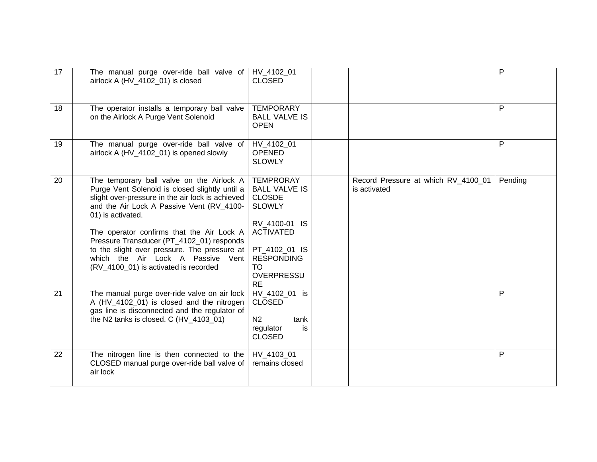| 17 | The manual purge over-ride ball valve of<br>airlock A (HV_4102_01) is closed                                                                                                                                                                                                                                                                                                                                                              | HV 4102 01<br><b>CLOSED</b>                                                                                                                                                                          |                                                     | P       |
|----|-------------------------------------------------------------------------------------------------------------------------------------------------------------------------------------------------------------------------------------------------------------------------------------------------------------------------------------------------------------------------------------------------------------------------------------------|------------------------------------------------------------------------------------------------------------------------------------------------------------------------------------------------------|-----------------------------------------------------|---------|
| 18 | The operator installs a temporary ball valve<br>on the Airlock A Purge Vent Solenoid                                                                                                                                                                                                                                                                                                                                                      | <b>TEMPORARY</b><br><b>BALL VALVE IS</b><br><b>OPEN</b>                                                                                                                                              |                                                     | P       |
| 19 | The manual purge over-ride ball valve of<br>airlock A (HV_4102_01) is opened slowly                                                                                                                                                                                                                                                                                                                                                       | HV 4102 01<br><b>OPENED</b><br><b>SLOWLY</b>                                                                                                                                                         |                                                     | P       |
| 20 | The temporary ball valve on the Airlock A<br>Purge Vent Solenoid is closed slightly until a<br>slight over-pressure in the air lock is achieved<br>and the Air Lock A Passive Vent (RV_4100-<br>01) is activated.<br>The operator confirms that the Air Lock A<br>Pressure Transducer (PT_4102_01) responds<br>to the slight over pressure. The pressure at<br>which the Air Lock A Passive Vent<br>(RV_4100_01) is activated is recorded | <b>TEMPRORAY</b><br><b>BALL VALVE IS</b><br><b>CLOSDE</b><br><b>SLOWLY</b><br>RV_4100-01 IS<br><b>ACTIVATED</b><br>PT_4102_01 IS<br><b>RESPONDING</b><br><b>TO</b><br><b>OVERPRESSU</b><br><b>RE</b> | Record Pressure at which RV_4100_01<br>is activated | Pending |
| 21 | The manual purge over-ride valve on air lock<br>A (HV_4102_01) is closed and the nitrogen<br>gas line is disconnected and the regulator of<br>the N2 tanks is closed. C $(HV_4103_01)$                                                                                                                                                                                                                                                    | HV 4102 01 is<br><b>CLOSED</b><br>N <sub>2</sub><br>tank<br>regulator<br>is<br><b>CLOSED</b>                                                                                                         |                                                     | P       |
| 22 | The nitrogen line is then connected to the<br>CLOSED manual purge over-ride ball valve of<br>air lock                                                                                                                                                                                                                                                                                                                                     | HV 4103 01<br>remains closed                                                                                                                                                                         |                                                     | P       |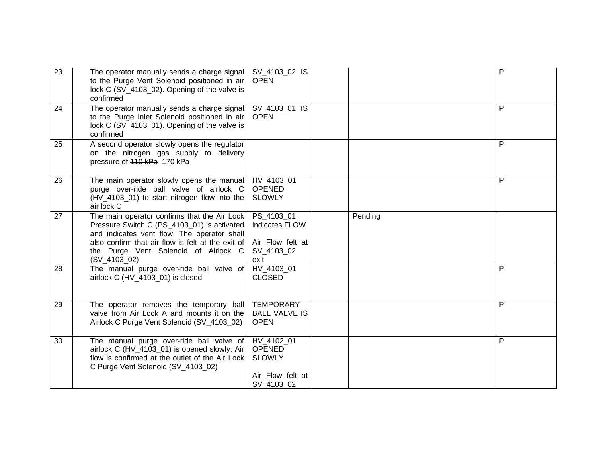| 23 | The operator manually sends a charge signal<br>to the Purge Vent Solenoid positioned in air<br>lock C (SV_4103_02). Opening of the valve is<br>confirmed                                                                                                  | SV_4103_02 IS<br><b>OPEN</b>                                                   |         | P |
|----|-----------------------------------------------------------------------------------------------------------------------------------------------------------------------------------------------------------------------------------------------------------|--------------------------------------------------------------------------------|---------|---|
| 24 | The operator manually sends a charge signal<br>to the Purge Inlet Solenoid positioned in air<br>lock C (SV_4103_01). Opening of the valve is<br>confirmed                                                                                                 | SV_4103_01 IS<br><b>OPEN</b>                                                   |         | P |
| 25 | A second operator slowly opens the regulator<br>on the nitrogen gas supply to delivery<br>pressure of 440 kPa 170 kPa                                                                                                                                     |                                                                                |         | P |
| 26 | The main operator slowly opens the manual<br>purge over-ride ball valve of airlock C<br>(HV_4103_01) to start nitrogen flow into the<br>air lock C                                                                                                        | HV 4103 01<br><b>OPENED</b><br><b>SLOWLY</b>                                   |         | P |
| 27 | The main operator confirms that the Air Lock<br>Pressure Switch C (PS_4103_01) is activated<br>and indicates vent flow. The operator shall<br>also confirm that air flow is felt at the exit of<br>the Purge Vent Solenoid of Airlock C<br>$(SV_4103_02)$ | PS_4103_01<br>indicates FLOW<br>Air Flow felt at<br>SV 4103 02<br>exit         | Pending |   |
| 28 | The manual purge over-ride ball valve of<br>airlock C (HV_4103_01) is closed                                                                                                                                                                              | HV_4103_01<br><b>CLOSED</b>                                                    |         | P |
| 29 | The operator removes the temporary ball<br>valve from Air Lock A and mounts it on the<br>Airlock C Purge Vent Solenoid (SV_4103_02)                                                                                                                       | <b>TEMPORARY</b><br><b>BALL VALVE IS</b><br><b>OPEN</b>                        |         | P |
| 30 | The manual purge over-ride ball valve of<br>airlock C (HV_4103_01) is opened slowly. Air<br>flow is confirmed at the outlet of the Air Lock<br>C Purge Vent Solenoid (SV_4103_02)                                                                         | HV 4102 01<br><b>OPENED</b><br><b>SLOWLY</b><br>Air Flow felt at<br>SV_4103_02 |         | P |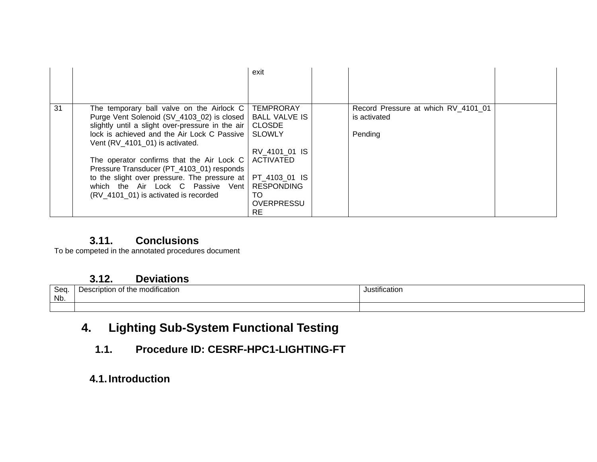|    |                                                  | exit                 |                                     |  |
|----|--------------------------------------------------|----------------------|-------------------------------------|--|
|    |                                                  |                      |                                     |  |
| 31 | The temporary ball valve on the Airlock C        | <b>TEMPRORAY</b>     | Record Pressure at which RV_4101_01 |  |
|    | Purge Vent Solenoid (SV_4103_02) is closed       | <b>BALL VALVE IS</b> | is activated                        |  |
|    | slightly until a slight over-pressure in the air | <b>CLOSDE</b>        |                                     |  |
|    | lock is achieved and the Air Lock C Passive      | <b>SLOWLY</b>        | Pending                             |  |
|    | Vent (RV_4101_01) is activated.                  |                      |                                     |  |
|    |                                                  | RV 4101 01 IS        |                                     |  |
|    | The operator confirms that the Air Lock C        | <b>ACTIVATED</b>     |                                     |  |
|    | Pressure Transducer (PT_4103_01) responds        |                      |                                     |  |
|    | to the slight over pressure. The pressure at     | PT 4103 01 IS        |                                     |  |
|    | which the Air Lock C Passive Vent                | <b>RESPONDING</b>    |                                     |  |
|    | (RV_4101_01) is activated is recorded            | TO                   |                                     |  |
|    |                                                  | <b>OVERPRESSU</b>    |                                     |  |
|    |                                                  | RE                   |                                     |  |

### **3.11. Conclusions**

To be competed in the annotated procedures document

#### **3.12. Deviations**

| $S_{\alpha\alpha}$<br>ວອບ<br>Nb. | $\cdots$<br>t the modification<br>'intior<br>, המ<br>.<br>. | $\cdots$<br>ustificatio. |
|----------------------------------|-------------------------------------------------------------|--------------------------|
|                                  |                                                             |                          |

# **4. Lighting Sub-System Functional Testing**

**1.1. Procedure ID: CESRF-HPC1-LIGHTING-FT** 

## **4.1. Introduction**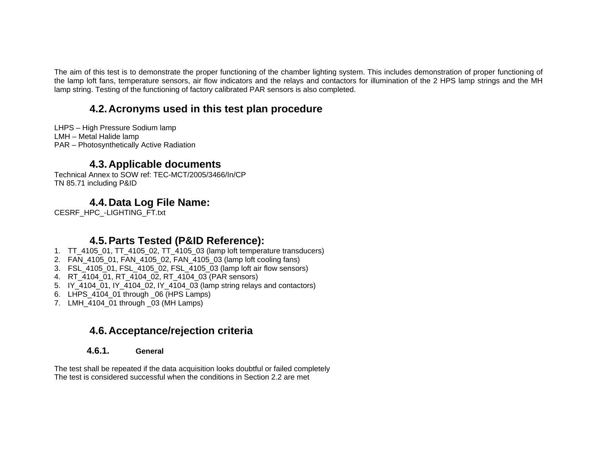The aim of this test is to demonstrate the proper functioning of the chamber lighting system. This includes demonstration of proper functioning of the lamp loft fans, temperature sensors, air flow indicators and the relays and contactors for illumination of the 2 HPS lamp strings and the MH lamp string. Testing of the functioning of factory calibrated PAR sensors is also completed.

## **4.2. Acronyms used in this test plan procedure**

LHPS – High Pressure Sodium lamp LMH – Metal Halide lamp PAR – Photosynthetically Active Radiation

#### **4.3. Applicable documents**

Technical Annex to SOW ref: TEC-MCT/2005/3466/In/CP TN 85.71 including P&ID

### **4.4. Data Log File Name:**

CESRF\_HPC\_-LIGHTING\_FT.txt

### **4.5. Parts Tested (P&ID Reference):**

- 1. TT\_4105\_01, TT\_4105\_02, TT\_4105\_03 (lamp loft temperature transducers)
- 2. FAN\_4105\_01, FAN\_4105\_02, FAN\_4105\_03 (lamp loft cooling fans)
- 3. FSL\_4105\_01, FSL\_4105\_02, FSL\_4105\_03 (lamp loft air flow sensors)
- 4. RT\_4104\_01, RT\_4104\_02, RT\_4104\_03 (PAR sensors)
- 5. IY\_4104\_01, IY\_4104\_02, IY\_4104\_03 (lamp string relays and contactors)
- 6. LHPS\_4104\_01 through \_06 (HPS Lamps)
- 7. LMH\_4104\_01 through \_03 (MH Lamps)

### **4.6. Acceptance/rejection criteria**

#### **4.6.1. General**

The test shall be repeated if the data acquisition looks doubtful or failed completely The test is considered successful when the conditions in Section 2.2 are met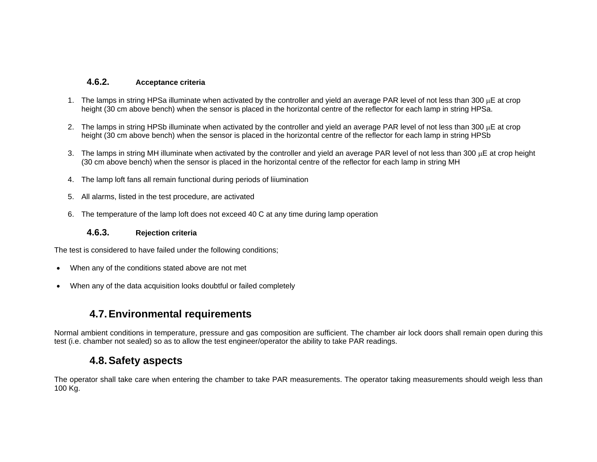#### **4.6.2. Acceptance criteria**

- 1. The lamps in string HPSa illuminate when activated by the controller and yield an average PAR level of not less than 300 μE at crop height (30 cm above bench) when the sensor is placed in the horizontal centre of the reflector for each lamp in string HPSa.
- 2. The lamps in string HPSb illuminate when activated by the controller and yield an average PAR level of not less than 300 μE at crop height (30 cm above bench) when the sensor is placed in the horizontal centre of the reflector for each lamp in string HPSb
- 3. The lamps in string MH illuminate when activated by the controller and yield an average PAR level of not less than 300  $\mu$ E at crop height (30 cm above bench) when the sensor is placed in the horizontal centre of the reflector for each lamp in string MH
- 4. The lamp loft fans all remain functional during periods of liiumination
- 5. All alarms, listed in the test procedure, are activated
- 6. The temperature of the lamp loft does not exceed 40 C at any time during lamp operation

#### **4.6.3. Rejection criteria**

The test is considered to have failed under the following conditions;

- When any of the conditions stated above are not met
- When any of the data acquisition looks doubtful or failed completely

#### **4.7. Environmental requirements**

Normal ambient conditions in temperature, pressure and gas composition are sufficient. The chamber air lock doors shall remain open during this test (i.e. chamber not sealed) so as to allow the test engineer/operator the ability to take PAR readings.

#### **4.8. Safety aspects**

The operator shall take care when entering the chamber to take PAR measurements. The operator taking measurements should weigh less than 100 Kg.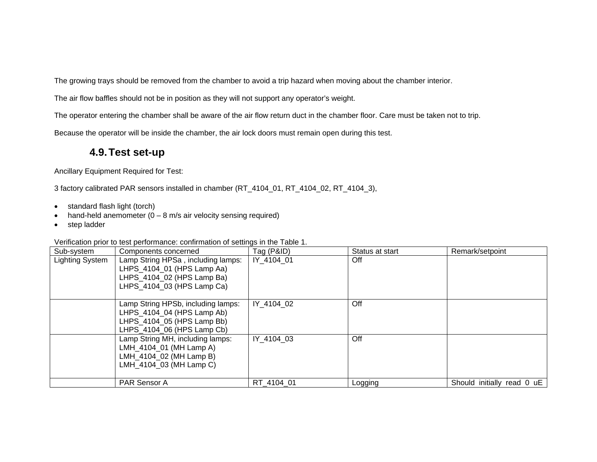The growing trays should be removed from the chamber to avoid a trip hazard when moving about the chamber interior.

The air flow baffles should not be in position as they will not support any operator's weight.

The operator entering the chamber shall be aware of the air flow return duct in the chamber floor. Care must be taken not to trip.

Because the operator will be inside the chamber, the air lock doors must remain open during this test.

#### **4.9. Test set-up**

Ancillary Equipment Required for Test:

3 factory calibrated PAR sensors installed in chamber (RT\_4104\_01, RT\_4104\_02, RT\_4104\_3),

- standard flash light (torch)
- hand-held anemometer  $(0 8 \text{ m/s}$  air velocity sensing required)
- step ladder

| Verification prior to test performance: confirmation of settings in the Table 1. |
|----------------------------------------------------------------------------------|
|----------------------------------------------------------------------------------|

| Sub-system      | Components concerned                                                                                                         | Tag (P&ID) | Status at start | Remark/setpoint            |
|-----------------|------------------------------------------------------------------------------------------------------------------------------|------------|-----------------|----------------------------|
| Lighting System | Lamp String HPSa, including lamps:<br>LHPS 4104 01 (HPS Lamp Aa)<br>LHPS_4104_02 (HPS Lamp Ba)<br>LHPS 4104 03 (HPS Lamp Ca) | IY 4104 01 | Off             |                            |
|                 | Lamp String HPSb, including lamps:<br>LHPS_4104_04 (HPS Lamp Ab)<br>LHPS 4104 05 (HPS Lamp Bb)<br>LHPS 4104 06 (HPS Lamp Cb) | IY 4104 02 | Off             |                            |
|                 | Lamp String MH, including lamps:<br>LMH_4104_01 (MH Lamp A)<br>LMH 4104 02 (MH Lamp B)<br>LMH_4104_03 (MH Lamp C)            | IY 4104 03 | Off             |                            |
|                 | PAR Sensor A                                                                                                                 | RT 4104 01 | Logging         | Should initially read 0 uE |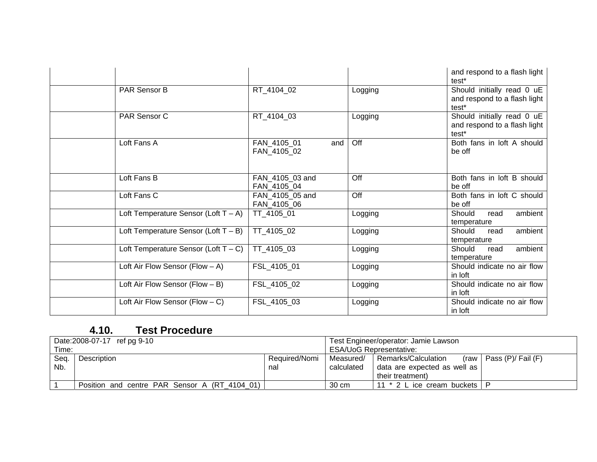|                                         |                                |            | and respond to a flash light<br>test <sup>*</sup>                               |
|-----------------------------------------|--------------------------------|------------|---------------------------------------------------------------------------------|
| PAR Sensor B                            | RT_4104_02                     | Logging    | Should initially read 0 uE<br>and respond to a flash light<br>test <sup>*</sup> |
| PAR Sensor C                            | RT 4104 03                     | Logging    | Should initially read 0 uE<br>and respond to a flash light<br>test*             |
| Loft Fans A                             | FAN_4105_01<br>FAN_4105_02     | Off<br>and | Both fans in loft A should<br>be off                                            |
| Loft Fans B                             | FAN_4105_03 and<br>FAN_4105_04 | Off        | Both fans in loft B should<br>be off                                            |
| Loft Fans C                             | FAN_4105_05 and<br>FAN_4105_06 | Off        | Both fans in loft C should<br>be off                                            |
| Loft Temperature Sensor (Loft $T - A$ ) | TT 4105 01                     | Logging    | ambient<br>Should<br>read<br>temperature                                        |
| Loft Temperature Sensor (Loft $T - B$ ) | TT_4105_02                     | Logging    | ambient<br>Should<br>read<br>temperature                                        |
| Loft Temperature Sensor (Loft $T - C$ ) | TT_4105_03                     | Logging    | ambient<br>Should<br>read<br>temperature                                        |
| Loft Air Flow Sensor (Flow $-$ A)       | FSL 4105 01                    | Logging    | Should indicate no air flow<br>in loft                                          |
| Loft Air Flow Sensor (Flow $- B$ )      | FSL_4105_02                    | Logging    | Should indicate no air flow<br>in loft                                          |
| Loft Air Flow Sensor (Flow $- C$ )      | FSL_4105_03                    | Logging    | Should indicate no air flow<br>in loft                                          |

|       | Date: 2008-07-17 ref pg 9-10                  |               |                                | Test Engineer/operator: Jamie Lawson |                           |
|-------|-----------------------------------------------|---------------|--------------------------------|--------------------------------------|---------------------------|
| Time: |                                               |               | <b>ESA/UoG Representative:</b> |                                      |                           |
| Seq.  | Description                                   | Required/Nomi | Measured/                      | Remarks/Calculation                  | (raw   Pass (P)/ Fail (F) |
| Nb.   |                                               | nal           | calculated                     | data are expected as well as         |                           |
|       |                                               |               |                                | their treatment)                     |                           |
|       | Position and centre PAR Sensor A (RT 4104 01) |               | 30 cm                          | 11 * 2 L ice cream buckets           |                           |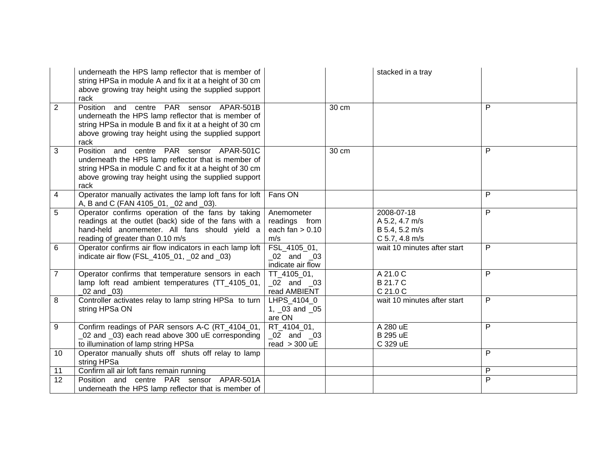|                | underneath the HPS lamp reflector that is member of<br>string HPSa in module A and fix it at a height of 30 cm<br>above growing tray height using the supplied support<br>rack                                             |                                                               |       | stacked in a tray                                                |   |
|----------------|----------------------------------------------------------------------------------------------------------------------------------------------------------------------------------------------------------------------------|---------------------------------------------------------------|-------|------------------------------------------------------------------|---|
| $\overline{2}$ | Position and centre PAR sensor APAR-501B<br>underneath the HPS lamp reflector that is member of<br>string HPSa in module B and fix it at a height of 30 cm<br>above growing tray height using the supplied support<br>rack |                                                               | 30 cm |                                                                  | P |
| 3              | Position and centre PAR sensor APAR-501C<br>underneath the HPS lamp reflector that is member of<br>string HPSa in module C and fix it at a height of 30 cm<br>above growing tray height using the supplied support<br>rack |                                                               | 30 cm |                                                                  | P |
| 4              | Operator manually activates the lamp loft fans for loft<br>A, B and C (FAN 4105_01, _02 and _03).                                                                                                                          | Fans ON                                                       |       |                                                                  | P |
| 5              | Operator confirms operation of the fans by taking<br>readings at the outlet (back) side of the fans with a<br>hand-held anomemeter. All fans should yield a<br>reading of greater than 0.10 m/s                            | Anemometer<br>readings from<br>each fan $> 0.10$<br>m/s       |       | 2008-07-18<br>A 5.2, 4.7 m/s<br>B 5.4, 5.2 m/s<br>C 5.7, 4.8 m/s | P |
| 6              | Operator confirms air flow indicators in each lamp loft<br>indicate air flow (FSL_4105_01, _02 and _03)                                                                                                                    | FSL_4105_01,<br>02 and 03<br>indicate air flow                |       | wait 10 minutes after start                                      | P |
| $\overline{7}$ | Operator confirms that temperature sensors in each<br>lamp loft read ambient temperatures (TT_4105_01,<br>$02$ and $03$                                                                                                    | TT_4105_01,<br>02 and 03<br>read AMBIENT                      |       | A 21.0 C<br><b>B21.7 C</b><br>C 21.0 C                           | P |
| 8              | Controller activates relay to lamp string HPSa to turn<br>string HPSa ON                                                                                                                                                   | LHPS_4104_0<br>1, $\sqrt{03}$ and $\sqrt{05}$<br>are ON       |       | wait 10 minutes after start                                      | P |
| 9              | Confirm readings of PAR sensors A-C (RT_4104_01,<br>_02 and _03) each read above 300 uE corresponding<br>to illumination of lamp string HPSa                                                                               | RT 4104 01,<br>$\sqrt{02}$ and $\sqrt{03}$<br>read $>$ 300 uE |       | A 280 uE<br><b>B</b> 295 uE<br>C 329 uE                          | P |
| 10             | Operator manually shuts off shuts off relay to lamp<br>string HPSa                                                                                                                                                         |                                                               |       |                                                                  | P |
| 11             | Confirm all air loft fans remain running                                                                                                                                                                                   |                                                               |       |                                                                  | P |
| 12             | Position and centre PAR sensor APAR-501A<br>underneath the HPS lamp reflector that is member of                                                                                                                            |                                                               |       |                                                                  | P |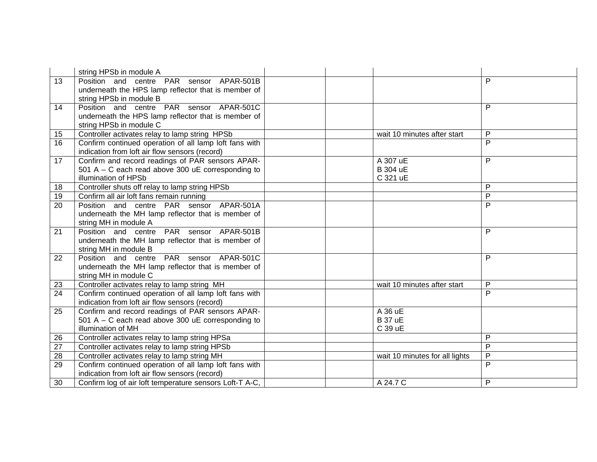|                 | string HPSb in module A                                           |                                |                     |
|-----------------|-------------------------------------------------------------------|--------------------------------|---------------------|
| 13              | Position and centre PAR sensor APAR-501B                          |                                | P                   |
|                 | underneath the HPS lamp reflector that is member of               |                                |                     |
|                 | string HPSb in module B                                           |                                |                     |
| 14              | Position and centre PAR sensor APAR-501C                          |                                | P                   |
|                 | underneath the HPS lamp reflector that is member of               |                                |                     |
|                 | string HPSb in module C                                           |                                |                     |
| 15              | Controller activates relay to lamp string HPSb                    | wait 10 minutes after start    | P                   |
| 16              | Confirm continued operation of all lamp loft fans with            |                                | $\mathsf{P}$        |
|                 | indication from loft air flow sensors (record)                    |                                |                     |
| 17              | Confirm and record readings of PAR sensors APAR-                  | A 307 uE                       | P                   |
|                 | 501 A – C each read above 300 $\mu$ E corresponding to            | <b>B</b> 304 uE                |                     |
|                 | illumination of HPSb                                              | C 321 uE                       |                     |
| 18              | Controller shuts off relay to lamp string HPSb                    |                                | P                   |
| 19              | Confirm all air loft fans remain running                          |                                | $\overline{P}$<br>P |
| 20              | Position and centre PAR sensor APAR-501A                          |                                |                     |
|                 | underneath the MH lamp reflector that is member of                |                                |                     |
| 21              | string MH in module A<br>Position and centre PAR sensor APAR-501B |                                | P                   |
|                 | underneath the MH lamp reflector that is member of                |                                |                     |
|                 | string MH in module B                                             |                                |                     |
| 22              | Position and centre PAR sensor APAR-501C                          |                                | P                   |
|                 | underneath the MH lamp reflector that is member of                |                                |                     |
|                 | string MH in module C                                             |                                |                     |
| 23              | Controller activates relay to lamp string MH                      | wait 10 minutes after start    | P                   |
| $\overline{24}$ | Confirm continued operation of all lamp loft fans with            |                                | $\mathsf{P}$        |
|                 | indication from loft air flow sensors (record)                    |                                |                     |
| 25              | Confirm and record readings of PAR sensors APAR-                  | A 36 uE                        |                     |
|                 | 501 A – C each read above 300 $\mu$ E corresponding to            | <b>B</b> 37 uE                 |                     |
|                 | illumination of MH                                                | C 39 uE                        |                     |
| 26              | Controller activates relay to lamp string HPSa                    |                                | P                   |
| 27              | Controller activates relay to lamp string HPSb                    |                                | P                   |
| 28              | Controller activates relay to lamp string MH                      | wait 10 minutes for all lights | P                   |
| 29              | Confirm continued operation of all lamp loft fans with            |                                | $\overline{P}$      |
|                 | indication from loft air flow sensors (record)                    |                                |                     |
| 30              | Confirm log of air loft temperature sensors Loft-T A-C,           | A 24.7 C                       | P                   |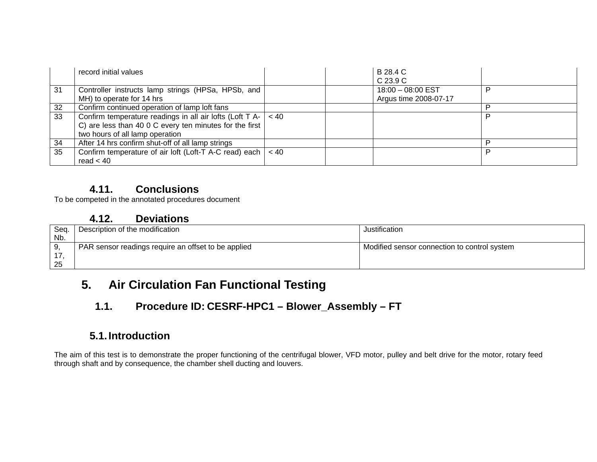|     | record initial values                                                 |      | B 28.4 C              |   |
|-----|-----------------------------------------------------------------------|------|-----------------------|---|
|     |                                                                       |      | C 23.9 C              |   |
| -31 | Controller instructs lamp strings (HPSa, HPSb, and                    |      | 18:00 - 08:00 EST     | D |
|     | MH) to operate for 14 hrs                                             |      | Argus time 2008-07-17 |   |
| 32  | Confirm continued operation of lamp loft fans                         |      |                       |   |
| 33  | Confirm temperature readings in all air lofts (Loft T A- $\vert$ < 40 |      |                       | D |
|     | C) are less than 40 0 C every ten minutes for the first               |      |                       |   |
|     | two hours of all lamp operation                                       |      |                       |   |
| 34  | After 14 hrs confirm shut-off of all lamp strings                     |      |                       | D |
| 35  | Confirm temperature of air loft (Loft-T A-C read) each                | < 40 |                       | D |
|     | read $< 40$                                                           |      |                       |   |

To be competed in the annotated procedures document

## **4.12. Deviations**

| Seq. | Description of the modification                     | Justification                                |
|------|-----------------------------------------------------|----------------------------------------------|
| Nb.  |                                                     |                                              |
|      | PAR sensor readings require an offset to be applied | Modified sensor connection to control system |
|      |                                                     |                                              |
| 25   |                                                     |                                              |

# **5. Air Circulation Fan Functional Testing**

# **1.1. Procedure ID: CESRF-HPC1 – Blower\_Assembly – FT**

# **5.1. Introduction**

The aim of this test is to demonstrate the proper functioning of the centrifugal blower, VFD motor, pulley and belt drive for the motor, rotary feed through shaft and by consequence, the chamber shell ducting and louvers.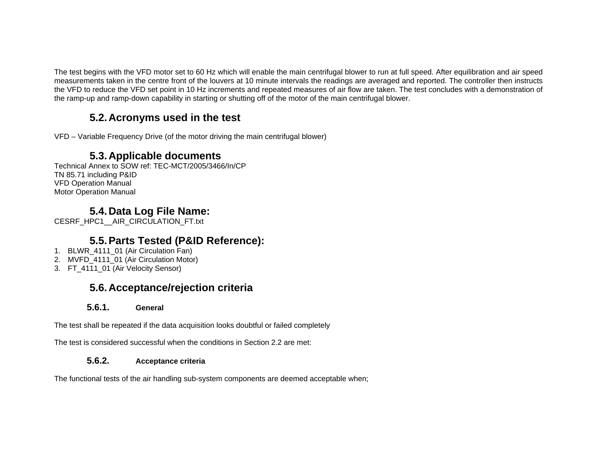The test begins with the VFD motor set to 60 Hz which will enable the main centrifugal blower to run at full speed. After equilibration and air speed measurements taken in the centre front of the louvers at 10 minute intervals the readings are averaged and reported. The controller then instructs the VFD to reduce the VFD set point in 10 Hz increments and repeated measures of air flow are taken. The test concludes with a demonstration of the ramp-up and ramp-down capability in starting or shutting off of the motor of the main centrifugal blower.

## **5.2. Acronyms used in the test**

VFD – Variable Frequency Drive (of the motor driving the main centrifugal blower)

## **5.3. Applicable documents**

Technical Annex to SOW ref: TEC-MCT/2005/3466/In/CP TN 85.71 including P&ID VFD Operation Manual Motor Operation Manual

# **5.4. Data Log File Name:**

CESRF\_HPC1\_\_AIR\_CIRCULATION\_FT.txt

# **5.5. Parts Tested (P&ID Reference):**

- 1. BLWR 4111\_01 (Air Circulation Fan)
- 2. MVFD\_4111\_01 (Air Circulation Motor)
- 3. FT\_4111\_01 (Air Velocity Sensor)

## **5.6. Acceptance/rejection criteria**

#### **5.6.1. General**

The test shall be repeated if the data acquisition looks doubtful or failed completely

The test is considered successful when the conditions in Section 2.2 are met:

#### **5.6.2. Acceptance criteria**

The functional tests of the air handling sub-system components are deemed acceptable when;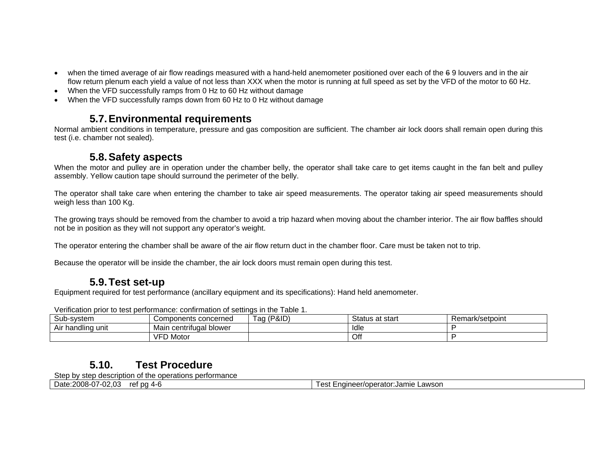- when the timed average of air flow readings measured with a hand-held anemometer positioned over each of the 69 louvers and in the air flow return plenum each yield a value of not less than XXX when the motor is running at full speed as set by the VFD of the motor to 60 Hz.
- When the VFD successfully ramps from 0 Hz to 60 Hz without damage
- When the VFD successfully ramps down from 60 Hz to 0 Hz without damage

## **5.7. Environmental requirements**

Normal ambient conditions in temperature, pressure and gas composition are sufficient. The chamber air lock doors shall remain open during this test (i.e. chamber not sealed).

#### **5.8. Safety aspects**

When the motor and pulley are in operation under the chamber belly, the operator shall take care to get items caught in the fan belt and pulley assembly. Yellow caution tape should surround the perimeter of the belly.

The operator shall take care when entering the chamber to take air speed measurements. The operator taking air speed measurements should weigh less than 100 Kg.

The growing trays should be removed from the chamber to avoid a trip hazard when moving about the chamber interior. The air flow baffles should not be in position as they will not support any operator's weight.

The operator entering the chamber shall be aware of the air flow return duct in the chamber floor. Care must be taken not to trip.

Because the operator will be inside the chamber, the air lock doors must remain open during this test.

## **5.9. Test set-up**

Equipment required for test performance (ancillary equipment and its specifications): Hand held anemometer.

| Sub-system        | Components concerned         | Tag (P&ID) | Status at start | Remark/setpoint |  |  |  |  |
|-------------------|------------------------------|------------|-----------------|-----------------|--|--|--|--|
| Air handling unit | ı centrifugal blower<br>Main |            | ldle            |                 |  |  |  |  |
|                   | <b>VFD Motor</b>             |            | Off             |                 |  |  |  |  |

Verification prior to test performance: confirmation of settings in the Table 1.

## **5.10. Test Procedure**

Step by step description of the operations performance

| Date:2008-07-02.03<br><sup>+</sup> Engineer/operator:Jamie LL<br>∟awson<br>† pa 4-t<br>$\sim$<br>ref<br>cəl<br>. . |
|--------------------------------------------------------------------------------------------------------------------|
|--------------------------------------------------------------------------------------------------------------------|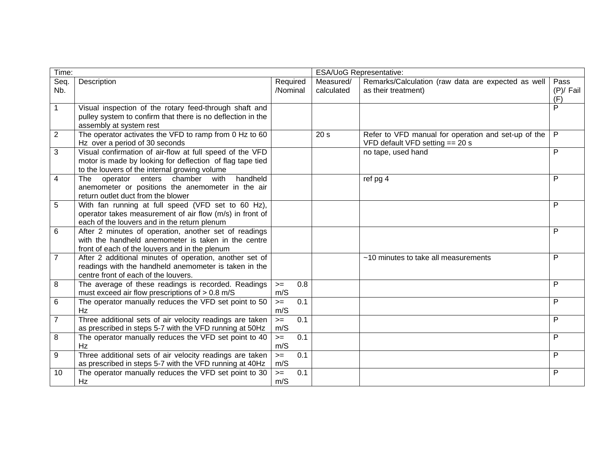| Time:          |                                                                                                                                                                        |                      |     |                         | <b>ESA/UoG Representative:</b>                                                           |                            |
|----------------|------------------------------------------------------------------------------------------------------------------------------------------------------------------------|----------------------|-----|-------------------------|------------------------------------------------------------------------------------------|----------------------------|
| Seq.<br>Nb.    | Description                                                                                                                                                            | Required<br>/Nominal |     | Measured/<br>calculated | Remarks/Calculation (raw data are expected as well<br>as their treatment)                | Pass<br>$(P)/$ Fail<br>(F) |
| $\mathbf{1}$   | Visual inspection of the rotary feed-through shaft and<br>pulley system to confirm that there is no deflection in the<br>assembly at system rest                       |                      |     |                         |                                                                                          | P                          |
| $\overline{2}$ | The operator activates the VFD to ramp from 0 $\overline{Hz}$ to 60<br>Hz over a period of 30 seconds                                                                  |                      |     | 20 <sub>s</sub>         | Refer to VFD manual for operation and set-up of the<br>VFD default VFD setting $== 20 s$ | $\mathsf{P}$               |
| 3              | Visual confirmation of air-flow at full speed of the VFD<br>motor is made by looking for deflection of flag tape tied<br>to the louvers of the internal growing volume |                      |     |                         | no tape, used hand                                                                       | P                          |
| 4              | handheld<br>chamber<br>with<br>operator<br>enters<br>The<br>anemometer or positions the anemometer in the air<br>return outlet duct from the blower                    |                      |     |                         | ref pg 4                                                                                 | P                          |
| 5              | With fan running at full speed (VFD set to 60 Hz),<br>operator takes measurement of air flow (m/s) in front of<br>each of the louvers and in the return plenum         |                      |     |                         |                                                                                          | P                          |
| 6              | After 2 minutes of operation, another set of readings<br>with the handheld anemometer is taken in the centre<br>front of each of the louvers and in the plenum         |                      |     |                         |                                                                                          | P                          |
| $\overline{7}$ | After 2 additional minutes of operation, another set of<br>readings with the handheld anemometer is taken in the<br>centre front of each of the louvers.               |                      |     |                         | ~10 minutes to take all measurements                                                     | P                          |
| 8              | The average of these readings is recorded. Readings<br>must exceed air flow prescriptions of $> 0.8$ m/S                                                               | $>=$<br>m/S          | 0.8 |                         |                                                                                          | P                          |
| 6              | The operator manually reduces the VFD set point to 50<br>Hz                                                                                                            | $>=$<br>m/S          | 0.1 |                         |                                                                                          | P                          |
| 7              | Three additional sets of air velocity readings are taken<br>as prescribed in steps 5-7 with the VFD running at 50Hz                                                    | $>=$<br>m/S          | 0.1 |                         |                                                                                          | P                          |
| 8              | The operator manually reduces the VFD set point to 40<br>Hz                                                                                                            | $>=$<br>m/S          | 0.1 |                         |                                                                                          | P                          |
| 9              | Three additional sets of air velocity readings are taken<br>as prescribed in steps 5-7 with the VFD running at 40Hz                                                    | $>=$<br>m/S          | 0.1 |                         |                                                                                          | P                          |
| 10             | The operator manually reduces the VFD set point to 30<br>Hz                                                                                                            | $\geq$<br>m/S        | 0.1 |                         |                                                                                          | P                          |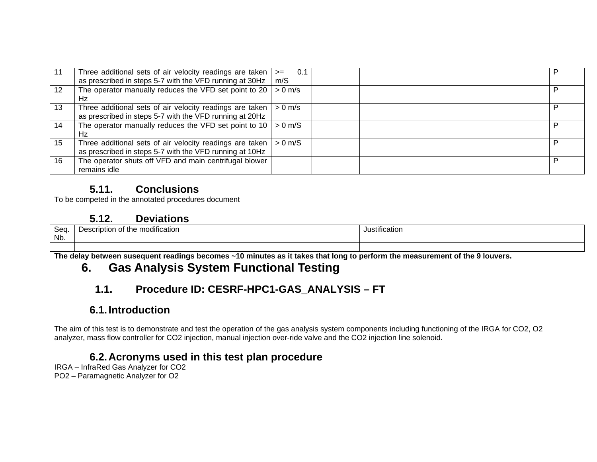| -11               | Three additional sets of air velocity readings are taken $  ==$<br>as prescribed in steps 5-7 with the VFD running at 30Hz $\mid$ m/S | 0.1 |  |
|-------------------|---------------------------------------------------------------------------------------------------------------------------------------|-----|--|
| $12 \overline{ }$ | The operator manually reduces the VFD set point to 20   $> 0$ m/s                                                                     |     |  |
|                   | Hz                                                                                                                                    |     |  |
| 13                | Three additional sets of air velocity readings are taken $\vert$ > 0 m/s<br>as prescribed in steps 5-7 with the VFD running at 20Hz   |     |  |
| 14                | The operator manually reduces the VFD set point to 10   $> 0$ m/S<br>Hz                                                               |     |  |
| 15                | Three additional sets of air velocity readings are taken $  > 0$ m/S<br>as prescribed in steps 5-7 with the VFD running at 10Hz       |     |  |
| 16                | The operator shuts off VFD and main centrifugal blower<br>remains idle                                                                |     |  |

To be competed in the annotated procedures document

## **5.12. Deviations**

| <b>Soo</b><br>ocu.<br>Nb. | utication<br>, the mod<br>. ution -<br>πινατινι<br>. | ∵ıstıtır<br>atıo. |
|---------------------------|------------------------------------------------------|-------------------|
|                           |                                                      |                   |

**The delay between susequent readings becomes ~10 minutes as it takes that long to perform the measurement of the 9 louvers.** 

# **6. Gas Analysis System Functional Testing**

# **1.1. Procedure ID: CESRF-HPC1-GAS\_ANALYSIS – FT**

## **6.1. Introduction**

The aim of this test is to demonstrate and test the operation of the gas analysis system components including functioning of the IRGA for CO2, O2 analyzer, mass flow controller for CO2 injection, manual injection over-ride valve and the CO2 injection line solenoid.

## **6.2. Acronyms used in this test plan procedure**

IRGA – InfraRed Gas Analyzer for CO2 PO2 – Paramagnetic Analyzer for O2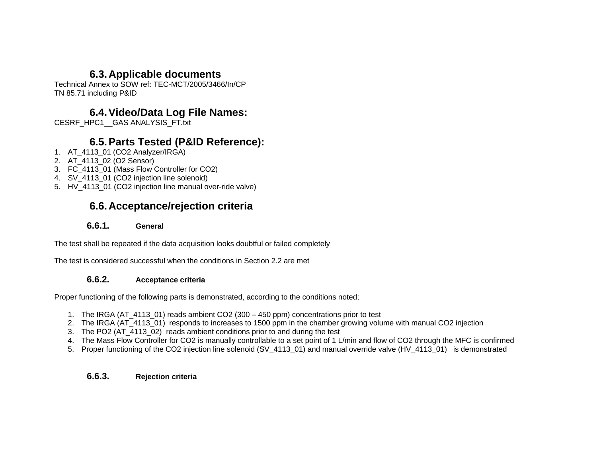## **6.3. Applicable documents**

Technical Annex to SOW ref: TEC-MCT/2005/3466/In/CP TN 85.71 including P&ID

## **6.4. Video/Data Log File Names:**

CESRF\_HPC1\_\_GAS ANALYSIS\_FT.txt

## **6.5. Parts Tested (P&ID Reference):**

- 1. AT\_4113\_01 (CO2 Analyzer/IRGA)
- 2. AT\_4113\_02 (O2 Sensor)
- 3. FC\_4113\_01 (Mass Flow Controller for CO2)
- 4. SV 4113 01 (CO2 injection line solenoid)
- 5. HV 4113 01 (CO2 injection line manual over-ride valve)

# **6.6. Acceptance/rejection criteria**

#### **6.6.1. General**

The test shall be repeated if the data acquisition looks doubtful or failed completely

The test is considered successful when the conditions in Section 2.2 are met

#### **6.6.2. Acceptance criteria**

Proper functioning of the following parts is demonstrated, according to the conditions noted;

- 1. The IRGA (AT\_4113\_01) reads ambient CO2 (300 450 ppm) concentrations prior to test
- 2. The IRGA (AT\_4113\_01) responds to increases to 1500 ppm in the chamber growing volume with manual CO2 injection
- 3. The PO2 (AT\_4113\_02) reads ambient conditions prior to and during the test
- 4. The Mass Flow Controller for CO2 is manually controllable to a set point of 1 L/min and flow of CO2 through the MFC is confirmed
- 5. Proper functioning of the CO2 injection line solenoid (SV 4113 01) and manual override valve (HV 4113 01) is demonstrated

#### **6.6.3. Rejection criteria**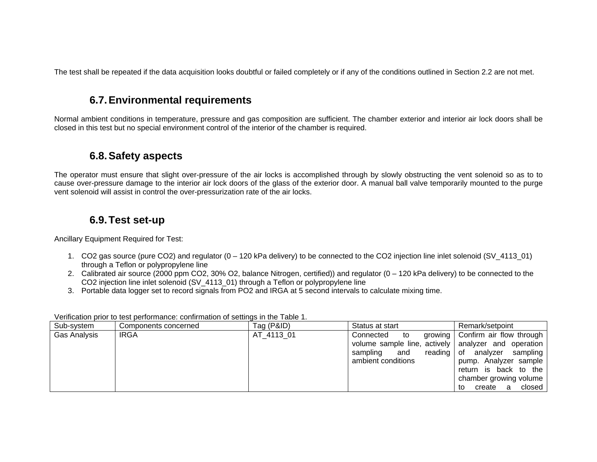The test shall be repeated if the data acquisition looks doubtful or failed completely or if any of the conditions outlined in Section 2.2 are not met.

## **6.7. Environmental requirements**

Normal ambient conditions in temperature, pressure and gas composition are sufficient. The chamber exterior and interior air lock doors shall be closed in this test but no special environment control of the interior of the chamber is required.

## **6.8. Safety aspects**

The operator must ensure that slight over-pressure of the air locks is accomplished through by slowly obstructing the vent solenoid so as to to cause over-pressure damage to the interior air lock doors of the glass of the exterior door. A manual ball valve temporarily mounted to the purge vent solenoid will assist in control the over-pressurization rate of the air locks.

## **6.9. Test set-up**

Ancillary Equipment Required for Test:

- 1. CO2 gas source (pure CO2) and regulator (0 120 kPa delivery) to be connected to the CO2 injection line inlet solenoid (SV\_4113\_01) through a Teflon or polypropylene line
- 2. Calibrated air source (2000 ppm CO2, 30% O2, balance Nitrogen, certified)) and regulator (0 120 kPa delivery) to be connected to the CO2 injection line inlet solenoid (SV\_4113\_01) through a Teflon or polypropylene line
- 3. Portable data logger set to record signals from PO2 and IRGA at 5 second intervals to calculate mixing time.

| Sub-system   | Components concerned | Tag (P&ID) | Status at start                                                                                                   | Remark/setpoint                                                                                                                                                                 |
|--------------|----------------------|------------|-------------------------------------------------------------------------------------------------------------------|---------------------------------------------------------------------------------------------------------------------------------------------------------------------------------|
| Gas Analysis | <b>IRGA</b>          | AT 4113 01 | Connected<br>to<br>volume sample line, actively   analyzer and operation<br>and<br>sampling<br>ambient conditions | growing   Confirm air flow through  <br>reading of analyzer sampling<br>pump. Analyzer sample<br>return is back to the<br>chamber growing volume<br>closed<br>create<br>to<br>a |

Verification prior to test performance: confirmation of settings in the Table 1.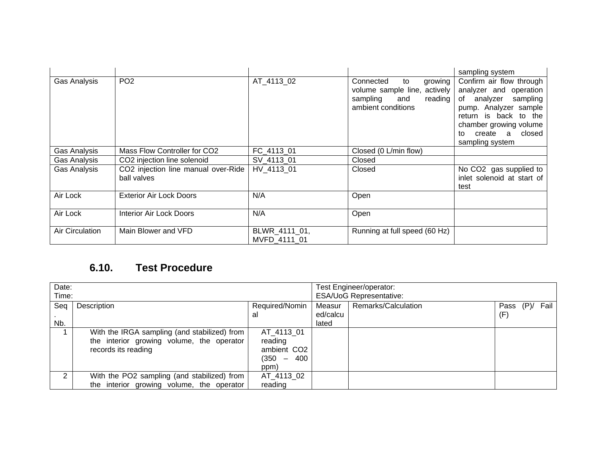|                 |                                                    |                               |                                                                                                                     | sampling system                                                                                                                                                                                       |
|-----------------|----------------------------------------------------|-------------------------------|---------------------------------------------------------------------------------------------------------------------|-------------------------------------------------------------------------------------------------------------------------------------------------------------------------------------------------------|
| Gas Analysis    | PO <sub>2</sub>                                    | AT_4113_02                    | Connected<br>to<br>growing<br>volume sample line,<br>actively  <br>sampling<br>reading<br>and<br>ambient conditions | Confirm air flow through<br>analyzer and operation<br>of analyzer sampling<br>pump. Analyzer sample<br>return is back to the<br>chamber growing volume<br>closed<br>create a<br>to<br>sampling system |
| Gas Analysis    | Mass Flow Controller for CO2                       | FC_4113_01                    | Closed (0 L/min flow)                                                                                               |                                                                                                                                                                                                       |
| Gas Analysis    | CO2 injection line solenoid                        | SV 4113 01                    | Closed                                                                                                              |                                                                                                                                                                                                       |
| Gas Analysis    | CO2 injection line manual over-Ride<br>ball valves | HV 4113 01                    | Closed                                                                                                              | No CO2 gas supplied to<br>inlet solenoid at start of<br>test                                                                                                                                          |
| Air Lock        | <b>Exterior Air Lock Doors</b>                     | N/A                           | Open                                                                                                                |                                                                                                                                                                                                       |
| Air Lock        | Interior Air Lock Doors                            | N/A                           | Open                                                                                                                |                                                                                                                                                                                                       |
| Air Circulation | Main Blower and VFD                                | BLWR 4111 01,<br>MVFD 4111 01 | Running at full speed (60 Hz)                                                                                       |                                                                                                                                                                                                       |

| Date: |                                              |                                | Test Engineer/operator: |                     |                           |
|-------|----------------------------------------------|--------------------------------|-------------------------|---------------------|---------------------------|
| Time: |                                              | <b>ESA/UoG Representative:</b> |                         |                     |                           |
| Seg   | Description                                  | Required/Nomin                 | Measur                  | Remarks/Calculation | Pass<br>$(P)$ /<br>Fail I |
|       |                                              | al                             | ed/calcu                |                     | (F)                       |
| Nb.   |                                              |                                | lated                   |                     |                           |
|       | With the IRGA sampling (and stabilized) from | AT 4113 01                     |                         |                     |                           |
|       | the interior growing volume, the operator    | reading                        |                         |                     |                           |
|       | records its reading                          | ambient CO <sub>2</sub>        |                         |                     |                           |
|       |                                              | (350 –<br>400                  |                         |                     |                           |
|       |                                              | ppm)                           |                         |                     |                           |
| ົ     | With the PO2 sampling (and stabilized) from  | AT 4113 02                     |                         |                     |                           |
|       | the interior growing volume, the operator    | reading                        |                         |                     |                           |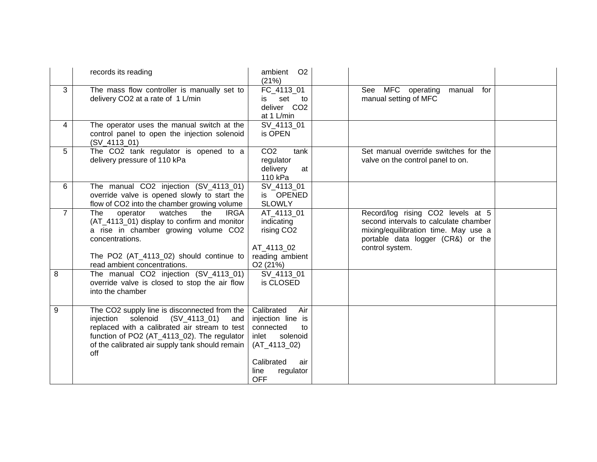|                | records its reading                                                                                                                                                                                                                                      | ambient O2<br>(21%)                                                                                                                                      |                                                                                                                                                                            |  |
|----------------|----------------------------------------------------------------------------------------------------------------------------------------------------------------------------------------------------------------------------------------------------------|----------------------------------------------------------------------------------------------------------------------------------------------------------|----------------------------------------------------------------------------------------------------------------------------------------------------------------------------|--|
| 3              | The mass flow controller is manually set to<br>delivery CO2 at a rate of 1 L/min                                                                                                                                                                         | FC_4113_01<br>set to<br>is<br>deliver CO2<br>at 1 L/min                                                                                                  | See MFC operating<br>manual<br>for<br>manual setting of MFC                                                                                                                |  |
| 4              | The operator uses the manual switch at the<br>control panel to open the injection solenoid<br>$(SV_4113_01)$                                                                                                                                             | SV 4113 01<br>is OPEN                                                                                                                                    |                                                                                                                                                                            |  |
| 5              | The CO2 tank regulator is opened to a<br>delivery pressure of 110 kPa                                                                                                                                                                                    | CO <sub>2</sub><br>tank<br>regulator<br>delivery<br>at<br>110 kPa                                                                                        | Set manual override switches for the<br>valve on the control panel to on.                                                                                                  |  |
| 6              | The manual CO2 injection (SV_4113_01)<br>override valve is opened slowly to start the<br>flow of CO2 into the chamber growing volume                                                                                                                     | SV 4113 01<br>is OPENED<br><b>SLOWLY</b>                                                                                                                 |                                                                                                                                                                            |  |
| $\overline{7}$ | watches<br>operator<br>the<br><b>IRGA</b><br>The<br>(AT_4113_01) display to confirm and monitor<br>a rise in chamber growing volume CO2<br>concentrations.<br>The PO2 (AT_4113_02) should continue to<br>read ambient concentrations.                    | AT 4113 01<br>indicating<br>rising CO <sub>2</sub><br>AT_4113_02<br>reading ambient<br>O <sub>2</sub> (21%)                                              | Record/log rising CO2 levels at 5<br>second intervals to calculate chamber<br>mixing/equilibration time. May use a<br>portable data logger (CR&) or the<br>control system. |  |
| 8              | The manual CO2 injection (SV_4113_01)<br>override valve is closed to stop the air flow<br>into the chamber                                                                                                                                               | SV_4113_01<br>is CLOSED                                                                                                                                  |                                                                                                                                                                            |  |
| 9              | The CO2 supply line is disconnected from the<br>solenoid<br>$(SV_4113_01)$<br>injection<br>and<br>replaced with a calibrated air stream to test<br>function of PO2 (AT_4113_02). The regulator<br>of the calibrated air supply tank should remain<br>off | Calibrated<br>Air<br>injection line is<br>connected<br>to<br>inlet<br>solenoid<br>$(AT_4113_02)$<br>Calibrated<br>air<br>regulator<br>line<br><b>OFF</b> |                                                                                                                                                                            |  |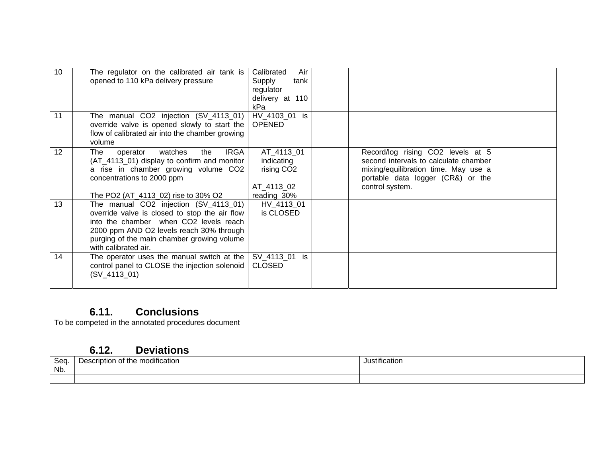| 10 | The regulator on the calibrated air tank is<br>opened to 110 kPa delivery pressure                                                                                                                                                                 | Calibrated<br>Air<br>Supply<br>tank<br>regulator<br>delivery at 110<br>kPa      |                                                                                                                                                                            |  |
|----|----------------------------------------------------------------------------------------------------------------------------------------------------------------------------------------------------------------------------------------------------|---------------------------------------------------------------------------------|----------------------------------------------------------------------------------------------------------------------------------------------------------------------------|--|
| 11 | The manual CO2 injection (SV_4113_01)<br>override valve is opened slowly to start the<br>flow of calibrated air into the chamber growing<br>volume                                                                                                 | HV 4103 01 is<br><b>OPENED</b>                                                  |                                                                                                                                                                            |  |
| 12 | <b>IRGA</b><br>watches<br>the<br>The<br>operator<br>(AT_4113_01) display to confirm and monitor<br>a rise in chamber growing volume CO2<br>concentrations to 2000 ppm<br>The PO2 (AT_4113_02) rise to 30% O2                                       | AT_4113_01<br>indicating<br>rising CO <sub>2</sub><br>AT_4113_02<br>reading 30% | Record/log rising CO2 levels at 5<br>second intervals to calculate chamber<br>mixing/equilibration time. May use a<br>portable data logger (CR&) or the<br>control system. |  |
| 13 | The manual CO2 injection (SV_4113_01)<br>override valve is closed to stop the air flow<br>into the chamber when CO2 levels reach<br>2000 ppm AND O2 levels reach 30% through<br>purging of the main chamber growing volume<br>with calibrated air. | HV_4113_01<br>is CLOSED                                                         |                                                                                                                                                                            |  |
| 14 | The operator uses the manual switch at the<br>control panel to CLOSE the injection solenoid<br>$(SV_4113_01)$                                                                                                                                      | SV_4113_01 is<br><b>CLOSED</b>                                                  |                                                                                                                                                                            |  |

To be competed in the annotated procedures document

## **6.12. Deviations**

| Seq | <br>modification<br><b>JASCEINTION</b><br>of the<br><b>LUBSCITION</b> | .<br>stification |
|-----|-----------------------------------------------------------------------|------------------|
| Nb. |                                                                       |                  |
|     |                                                                       |                  |
|     |                                                                       |                  |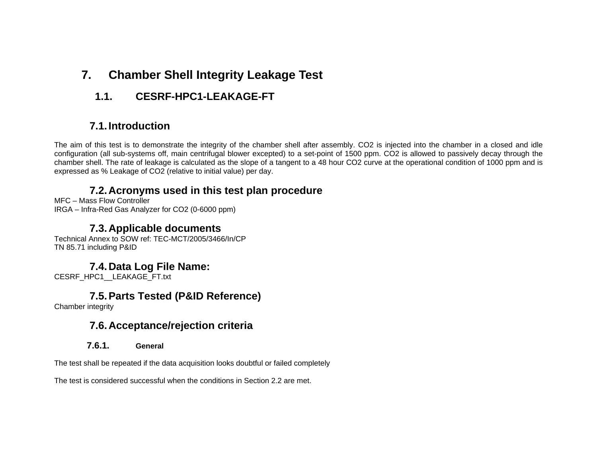# **7. Chamber Shell Integrity Leakage Test**

**1.1. CESRF-HPC1-LEAKAGE-FT** 

# **7.1. Introduction**

The aim of this test is to demonstrate the integrity of the chamber shell after assembly. CO2 is injected into the chamber in a closed and idle configuration (all sub-systems off, main centrifugal blower excepted) to a set-point of 1500 ppm. CO2 is allowed to passively decay through the chamber shell. The rate of leakage is calculated as the slope of a tangent to a 48 hour CO2 curve at the operational condition of 1000 ppm and is expressed as % Leakage of CO2 (relative to initial value) per day.

## **7.2. Acronyms used in this test plan procedure**

MFC – Mass Flow Controller IRGA – Infra-Red Gas Analyzer for CO2 (0-6000 ppm)

## **7.3. Applicable documents**

Technical Annex to SOW ref: TEC-MCT/2005/3466/In/CP TN 85.71 including P&ID

## **7.4. Data Log File Name:**

CESRF\_HPC1\_\_LEAKAGE\_FT.txt

## **7.5. Parts Tested (P&ID Reference)**

Chamber integrity

## **7.6. Acceptance/rejection criteria**

#### **7.6.1. General**

The test shall be repeated if the data acquisition looks doubtful or failed completely

The test is considered successful when the conditions in Section 2.2 are met.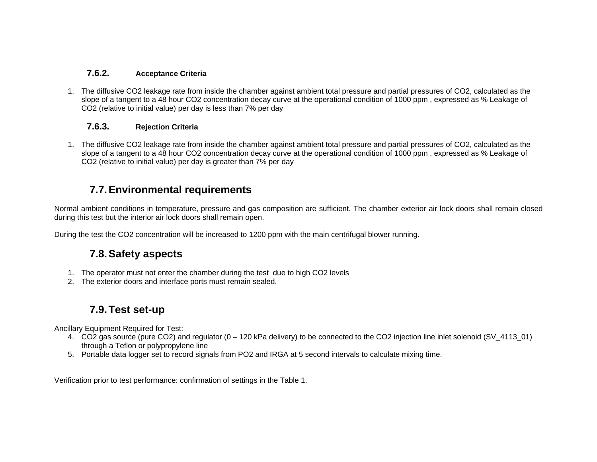#### **7.6.2. Acceptance Criteria**

1. The diffusive CO2 leakage rate from inside the chamber against ambient total pressure and partial pressures of CO2, calculated as the slope of a tangent to a 48 hour CO2 concentration decay curve at the operational condition of 1000 ppm , expressed as % Leakage of CO2 (relative to initial value) per day is less than 7% per day

#### **7.6.3. Rejection Criteria**

1. The diffusive CO2 leakage rate from inside the chamber against ambient total pressure and partial pressures of CO2, calculated as the slope of a tangent to a 48 hour CO2 concentration decay curve at the operational condition of 1000 ppm , expressed as % Leakage of CO2 (relative to initial value) per day is greater than 7% per day

## **7.7. Environmental requirements**

Normal ambient conditions in temperature, pressure and gas composition are sufficient. The chamber exterior air lock doors shall remain closed during this test but the interior air lock doors shall remain open.

During the test the CO2 concentration will be increased to 1200 ppm with the main centrifugal blower running.

## **7.8. Safety aspects**

- 1. The operator must not enter the chamber during the test due to high CO2 levels
- 2. The exterior doors and interface ports must remain sealed.

## **7.9. Test set-up**

Ancillary Equipment Required for Test:

- 4. CO2 gas source (pure CO2) and regulator (0 120 kPa delivery) to be connected to the CO2 injection line inlet solenoid (SV\_4113\_01) through a Teflon or polypropylene line
- 5. Portable data logger set to record signals from PO2 and IRGA at 5 second intervals to calculate mixing time.

Verification prior to test performance: confirmation of settings in the Table 1.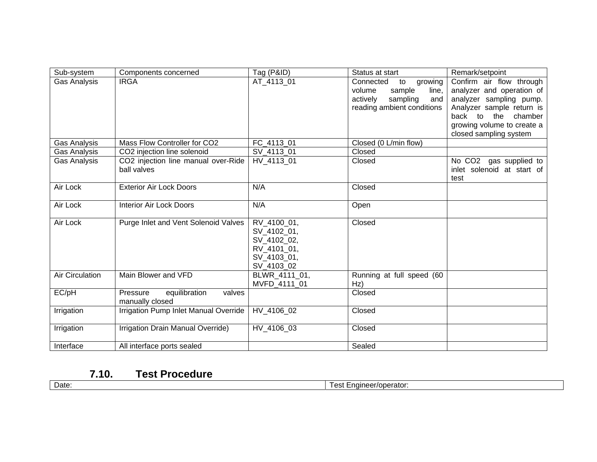| Sub-system             | Components concerned                                   | Tag (P&ID)                                                                            | Status at start                                                                                                      | Remark/setpoint                                                                                                                                                                                                  |
|------------------------|--------------------------------------------------------|---------------------------------------------------------------------------------------|----------------------------------------------------------------------------------------------------------------------|------------------------------------------------------------------------------------------------------------------------------------------------------------------------------------------------------------------|
| Gas Analysis           | <b>IRGA</b>                                            | AT 4113 01                                                                            | growing<br>Connected<br>to<br>sample<br>line,<br>volume<br>sampling<br>actively<br>and<br>reading ambient conditions | Confirm air flow through<br>analyzer and operation of<br>analyzer sampling pump.<br>Analyzer sample return is<br>back<br>$\mathsf{to}$<br>the<br>chamber<br>growing volume to create a<br>closed sampling system |
| Gas Analysis           | Mass Flow Controller for CO2                           | FC_4113_01                                                                            | Closed (0 L/min flow)                                                                                                |                                                                                                                                                                                                                  |
| Gas Analysis           | CO2 injection line solenoid                            | SV_4113_01                                                                            | Closed                                                                                                               |                                                                                                                                                                                                                  |
| Gas Analysis           | CO2 injection line manual over-Ride<br>ball valves     | HV 4113 01                                                                            | Closed                                                                                                               | No CO2 gas supplied to<br>inlet solenoid at start of<br>test                                                                                                                                                     |
| Air Lock               | <b>Exterior Air Lock Doors</b>                         | N/A                                                                                   | Closed                                                                                                               |                                                                                                                                                                                                                  |
| Air Lock               | <b>Interior Air Lock Doors</b>                         | N/A                                                                                   | Open                                                                                                                 |                                                                                                                                                                                                                  |
| Air Lock               | Purge Inlet and Vent Solenoid Valves                   | RV 4100 01,<br>SV_4102_01,<br>SV_4102_02,<br>RV 4101 01,<br>SV_4103_01,<br>SV_4103_02 | Closed                                                                                                               |                                                                                                                                                                                                                  |
| <b>Air Circulation</b> | Main Blower and VFD                                    | BLWR 4111 01,<br>MVFD 4111 01                                                         | Running at full speed (60<br>Hz)                                                                                     |                                                                                                                                                                                                                  |
| EC/pH                  | equilibration<br>valves<br>Pressure<br>manually closed |                                                                                       | Closed                                                                                                               |                                                                                                                                                                                                                  |
| Irrigation             | Irrigation Pump Inlet Manual Override                  | HV 4106 02                                                                            | Closed                                                                                                               |                                                                                                                                                                                                                  |
| Irrigation             | Irrigation Drain Manual Override)                      | HV 4106 03                                                                            | Closed                                                                                                               |                                                                                                                                                                                                                  |
| Interface              | All interface ports sealed                             |                                                                                       | Sealed                                                                                                               |                                                                                                                                                                                                                  |

Date: Test Engineer/operator: Test Engineer/operator: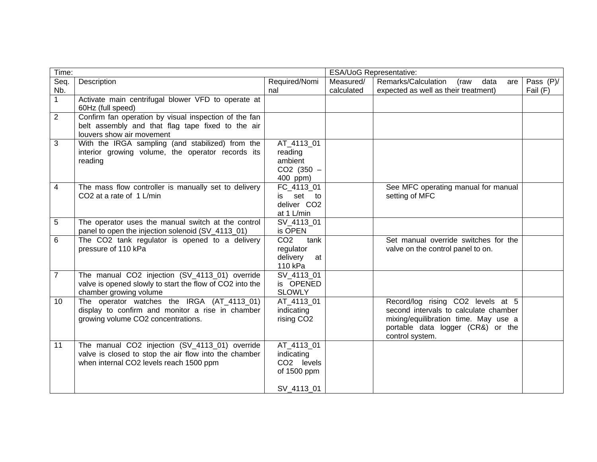| Time:          |                                                          |                         | ESA/UoG Representative: |                                            |           |  |
|----------------|----------------------------------------------------------|-------------------------|-------------------------|--------------------------------------------|-----------|--|
| Seq.           | Description                                              | Required/Nomi           | Measured/               | Remarks/Calculation<br>(raw<br>data<br>are | Pass (P)/ |  |
| Nb.            |                                                          | nal                     | calculated              | expected as well as their treatment)       | Fail (F)  |  |
| $\mathbf 1$    | Activate main centrifugal blower VFD to operate at       |                         |                         |                                            |           |  |
|                | 60Hz (full speed)                                        |                         |                         |                                            |           |  |
| $\overline{2}$ | Confirm fan operation by visual inspection of the fan    |                         |                         |                                            |           |  |
|                | belt assembly and that flag tape fixed to the air        |                         |                         |                                            |           |  |
|                | louvers show air movement                                |                         |                         |                                            |           |  |
| 3              | With the IRGA sampling (and stabilized) from the         | AT_4113_01              |                         |                                            |           |  |
|                | interior growing volume, the operator records its        | reading                 |                         |                                            |           |  |
|                | reading                                                  | ambient                 |                         |                                            |           |  |
|                |                                                          | $CO2$ (350 $-$          |                         |                                            |           |  |
|                |                                                          | 400 ppm)                |                         |                                            |           |  |
| 4              | The mass flow controller is manually set to delivery     | FC_4113_01              |                         | See MFC operating manual for manual        |           |  |
|                | CO2 at a rate of 1 L/min                                 | set to<br>is            |                         | setting of MFC                             |           |  |
|                |                                                          | deliver CO2             |                         |                                            |           |  |
|                |                                                          | at 1 L/min              |                         |                                            |           |  |
| 5              | The operator uses the manual switch at the control       | SV_4113_01              |                         |                                            |           |  |
|                | panel to open the injection solenoid (SV_4113_01)        | is OPEN                 |                         |                                            |           |  |
| 6              | The CO2 tank regulator is opened to a delivery           | CO <sub>2</sub><br>tank |                         | Set manual override switches for the       |           |  |
|                | pressure of 110 kPa                                      | regulator               |                         | valve on the control panel to on.          |           |  |
|                |                                                          | delivery<br>at          |                         |                                            |           |  |
|                |                                                          | 110 kPa                 |                         |                                            |           |  |
| $\overline{7}$ | The manual CO2 injection (SV_4113_01) override           | SV_4113_01              |                         |                                            |           |  |
|                | valve is opened slowly to start the flow of CO2 into the | is OPENED               |                         |                                            |           |  |
|                | chamber growing volume                                   | <b>SLOWLY</b>           |                         |                                            |           |  |
| 10             | The operator watches the IRGA (AT_4113_01)               | AT 4113 01              |                         | Record/log rising CO2 levels at 5          |           |  |
|                | display to confirm and monitor a rise in chamber         | indicating              |                         | second intervals to calculate chamber      |           |  |
|                | growing volume CO2 concentrations.                       | rising CO <sub>2</sub>  |                         | mixing/equilibration time. May use a       |           |  |
|                |                                                          |                         |                         | portable data logger (CR&) or the          |           |  |
|                |                                                          |                         |                         | control system.                            |           |  |
| 11             | The manual CO2 injection (SV_4113_01) override           | AT_4113_01              |                         |                                            |           |  |
|                | valve is closed to stop the air flow into the chamber    | indicating              |                         |                                            |           |  |
|                | when internal CO2 levels reach 1500 ppm                  | CO <sub>2</sub> levels  |                         |                                            |           |  |
|                |                                                          | of 1500 ppm             |                         |                                            |           |  |
|                |                                                          |                         |                         |                                            |           |  |
|                |                                                          | SV_4113_01              |                         |                                            |           |  |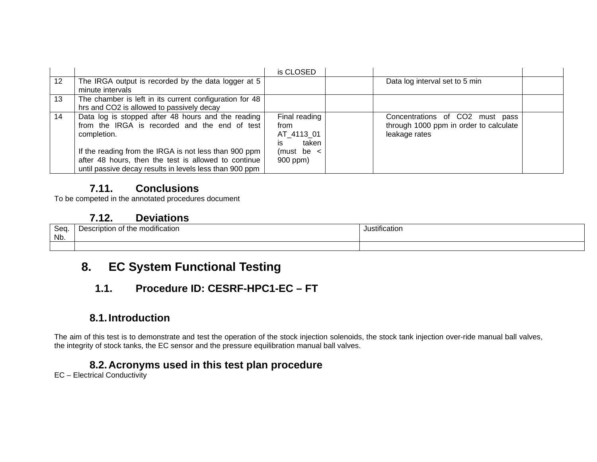|    |                                                                                                                                                                                                                                                                                                | is CLOSED                                                                        |                                                                                            |  |
|----|------------------------------------------------------------------------------------------------------------------------------------------------------------------------------------------------------------------------------------------------------------------------------------------------|----------------------------------------------------------------------------------|--------------------------------------------------------------------------------------------|--|
| 12 | The IRGA output is recorded by the data logger at 5<br>minute intervals                                                                                                                                                                                                                        |                                                                                  | Data log interval set to 5 min                                                             |  |
| 13 | The chamber is left in its current configuration for 48<br>hrs and CO2 is allowed to passively decay                                                                                                                                                                                           |                                                                                  |                                                                                            |  |
| 14 | Data log is stopped after 48 hours and the reading<br>from the IRGA is recorded and the end of test<br>completion.<br>If the reading from the IRGA is not less than 900 ppm<br>after 48 hours, then the test is allowed to continue<br>until passive decay results in levels less than 900 ppm | Final reading<br>from<br>AT 4113 01<br>taken<br>İS<br>(must be $\lt$<br>900 ppm) | Concentrations of CO2 must pass<br>through 1000 ppm in order to calculate<br>leakage rates |  |

To be competed in the annotated procedures document

## **7.12. Deviations**

| Seq<br>Nb. | $\cdots$<br>Description<br>e modification<br>⊦of the<br>້ | .<br>ustification. |
|------------|-----------------------------------------------------------|--------------------|
|            |                                                           |                    |

# **8. EC System Functional Testing**

# **1.1. Procedure ID: CESRF-HPC1-EC – FT**

## **8.1. Introduction**

The aim of this test is to demonstrate and test the operation of the stock injection solenoids, the stock tank injection over-ride manual ball valves, the integrity of stock tanks, the EC sensor and the pressure equilibration manual ball valves.

## **8.2. Acronyms used in this test plan procedure**

EC – Electrical Conductivity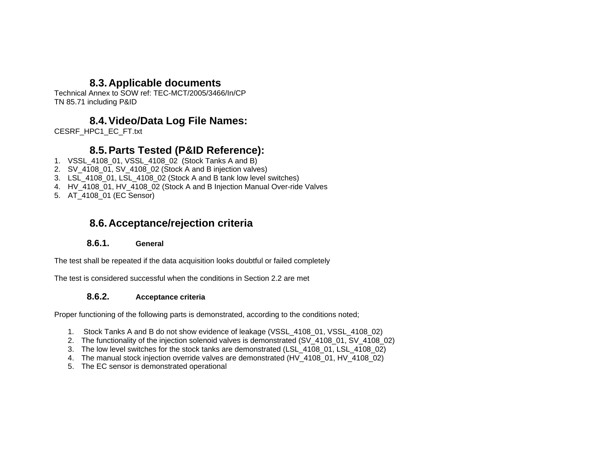## **8.3. Applicable documents**

Technical Annex to SOW ref: TEC-MCT/2005/3466/In/CP TN 85.71 including P&ID

## **8.4. Video/Data Log File Names:**

CESRF\_HPC1\_EC\_FT.txt

## **8.5. Parts Tested (P&ID Reference):**

- 1. VSSL\_4108\_01, VSSL\_4108\_02 (Stock Tanks A and B)
- 2. SV\_4108\_01, SV\_4108\_02 (Stock A and B injection valves)
- 3. LSL\_4108\_01, LSL\_4108\_02 (Stock A and B tank low level switches)
- 4. HV\_4108\_01, HV\_4108\_02 (Stock A and B Injection Manual Over-ride Valves
- 5. AT\_4108\_01 (EC Sensor)

## **8.6. Acceptance/rejection criteria**

#### **8.6.1. General**

The test shall be repeated if the data acquisition looks doubtful or failed completely

The test is considered successful when the conditions in Section 2.2 are met

#### **8.6.2. Acceptance criteria**

Proper functioning of the following parts is demonstrated, according to the conditions noted;

- 1. Stock Tanks A and B do not show evidence of leakage (VSSL\_4108\_01, VSSL\_4108\_02)
- 2. The functionality of the injection solenoid valves is demonstrated (SV 4108 01, SV 4108 02)
- 3. The low level switches for the stock tanks are demonstrated (LSL\_4108\_01, LSL\_4108\_02)
- 4. The manual stock injection override valves are demonstrated (HV\_4108\_01, HV\_4108\_02)
- 5. The EC sensor is demonstrated operational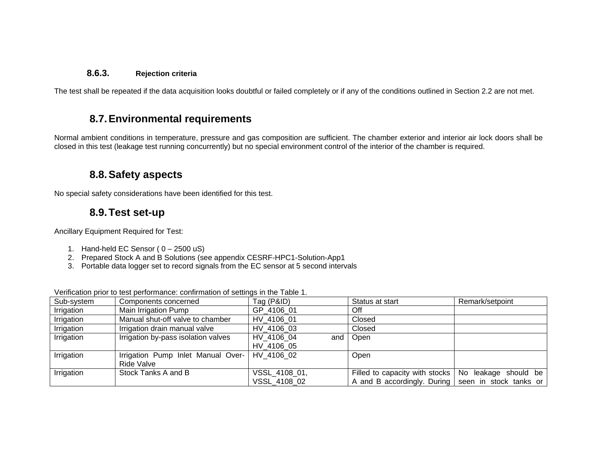#### **8.6.3. Rejection criteria**

The test shall be repeated if the data acquisition looks doubtful or failed completely or if any of the conditions outlined in Section 2.2 are not met.

## **8.7. Environmental requirements**

Normal ambient conditions in temperature, pressure and gas composition are sufficient. The chamber exterior and interior air lock doors shall be closed in this test (leakage test running concurrently) but no special environment control of the interior of the chamber is required.

#### **8.8. Safety aspects**

No special safety considerations have been identified for this test.

## **8.9. Test set-up**

Ancillary Equipment Required for Test:

- 1. Hand-held EC Sensor ( $0 2500$  uS)
- 2. Prepared Stock A and B Solutions (see appendix CESRF-HPC1-Solution-App1
- 3. Portable data logger set to record signals from the EC sensor at 5 second intervals

Verification prior to test performance: confirmation of settings in the Table 1.

| Sub-system | Components concerned                | Tag (P&ID)    | Status at start                                       | Remark/setpoint |
|------------|-------------------------------------|---------------|-------------------------------------------------------|-----------------|
| Irrigation | Main Irrigation Pump                | GP 4106 01    | <b>Off</b>                                            |                 |
| Irrigation | Manual shut-off valve to chamber    | HV 4106 01    | Closed                                                |                 |
| Irrigation | Irrigation drain manual valve       | HV 4106 03    | Closed                                                |                 |
| Irrigation | Irrigation by-pass isolation valves | HV 4106 04    | and   Open                                            |                 |
|            |                                     | HV 4106 05    |                                                       |                 |
| Irrigation | Irrigation Pump Inlet Manual Over-  | HV 4106 02    | Open                                                  |                 |
|            | Ride Valve                          |               |                                                       |                 |
| Irrigation | Stock Tanks A and B                 | VSSL 4108 01, | Filled to capacity with stocks   No leakage should be |                 |
|            |                                     | VSSL 4108 02  | A and B accordingly. During seen in stock tanks or    |                 |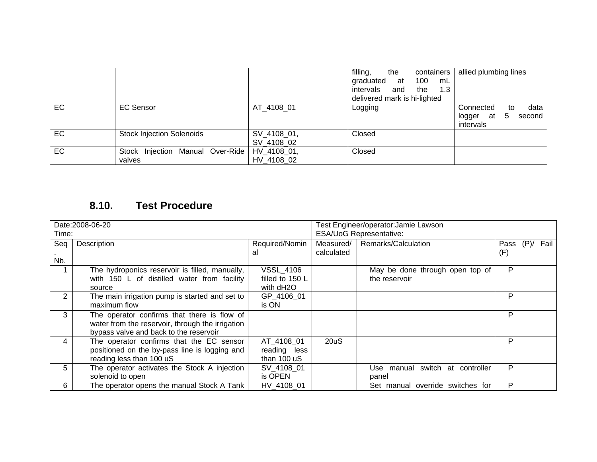|           |                                            |                           | filling,<br>the<br>containers<br>100<br>graduated<br>at<br>mL<br>1.3<br>intervals<br>and<br>the<br>delivered mark is hi-lighted | allied plumbing lines                                                         |
|-----------|--------------------------------------------|---------------------------|---------------------------------------------------------------------------------------------------------------------------------|-------------------------------------------------------------------------------|
| <b>EC</b> | <b>EC Sensor</b>                           | AT 4108 01                | Logging                                                                                                                         | data<br>Connected<br>to<br>second<br>at<br>logger<br>$\mathbf b$<br>intervals |
| <b>EC</b> | <b>Stock Injection Solenoids</b>           | SV_4108_01,<br>SV_4108_02 | Closed                                                                                                                          |                                                                               |
| <b>EC</b> | Stock Injection Manual Over-Ride<br>valves | HV 4108 01,<br>HV 4108 02 | Closed                                                                                                                          |                                                                               |

|                | Date: 2008-06-20                                 |                  |                                | Test Engineer/operator:Jamie Lawson |      |      |      |
|----------------|--------------------------------------------------|------------------|--------------------------------|-------------------------------------|------|------|------|
| Time:          |                                                  |                  | <b>ESA/UoG Representative:</b> |                                     |      |      |      |
| Seq            | Description                                      | Required/Nomin   | Measured/                      | Remarks/Calculation                 | Pass | (P)/ | Fail |
|                |                                                  | al               | calculated                     |                                     | (F)  |      |      |
| Nb.            |                                                  |                  |                                |                                     |      |      |      |
|                | The hydroponics reservoir is filled, manually,   | <b>VSSL 4106</b> |                                | May be done through open top of     | P    |      |      |
|                | with 150 L of distilled water from facility      | filled to 150 L  |                                | the reservoir                       |      |      |      |
|                | source                                           | with dH2O        |                                |                                     |      |      |      |
| $\overline{2}$ | The main irrigation pump is started and set to   | GP 4106 01       |                                |                                     | P    |      |      |
|                | maximum flow                                     | is ON            |                                |                                     |      |      |      |
| 3              | The operator confirms that there is flow of      |                  |                                |                                     | P    |      |      |
|                | water from the reservoir, through the irrigation |                  |                                |                                     |      |      |      |
|                | bypass valve and back to the reservoir           |                  |                                |                                     |      |      |      |
| 4              | The operator confirms that the EC sensor         | AT 4108 01       | 20uS                           |                                     | P    |      |      |
|                | positioned on the by-pass line is logging and    | reading less     |                                |                                     |      |      |      |
|                | reading less than 100 uS                         | than 100 uS      |                                |                                     |      |      |      |
| 5              | The operator activates the Stock A injection     | SV 4108 01       |                                | Use manual switch at controller     | P    |      |      |
|                | solenoid to open                                 | is OPEN          |                                | panel                               |      |      |      |
| 6              | The operator opens the manual Stock A Tank       | HV 4108 01       |                                | Set manual override switches for    | P    |      |      |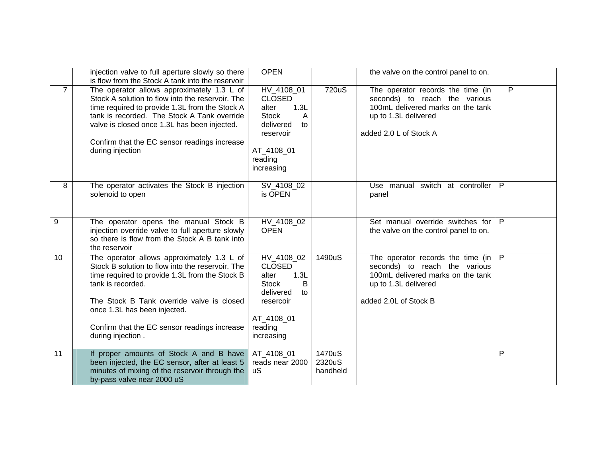|                | injection valve to full aperture slowly so there<br>is flow from the Stock A tank into the reservoir                                                                                                                                                                                                                    | <b>OPEN</b>                                                                                                                              |                              | the valve on the control panel to on.                                                                                                                     |   |
|----------------|-------------------------------------------------------------------------------------------------------------------------------------------------------------------------------------------------------------------------------------------------------------------------------------------------------------------------|------------------------------------------------------------------------------------------------------------------------------------------|------------------------------|-----------------------------------------------------------------------------------------------------------------------------------------------------------|---|
| $\overline{7}$ | The operator allows approximately 1.3 L of<br>Stock A solution to flow into the reservoir. The<br>time required to provide 1.3L from the Stock A<br>tank is recorded. The Stock A Tank override<br>valve is closed once 1.3L has been injected.<br>Confirm that the EC sensor readings increase<br>during injection     | HV_4108_01<br><b>CLOSED</b><br>1.3L<br>alter<br><b>Stock</b><br>A<br>delivered<br>to<br>reservoir<br>AT_4108_01<br>reading<br>increasing | 720uS                        | The operator records the time (in<br>seconds) to reach the various<br>100mL delivered marks on the tank<br>up to 1.3L delivered<br>added 2.0 L of Stock A | P |
| 8              | The operator activates the Stock B injection<br>solenoid to open                                                                                                                                                                                                                                                        | SV_4108_02<br>is OPEN                                                                                                                    |                              | Use manual switch at controller<br>panel                                                                                                                  | P |
| 9              | The operator opens the manual Stock B<br>injection override valve to full aperture slowly<br>so there is flow from the Stock A B tank into<br>the reservoir                                                                                                                                                             | HV_4108_02<br><b>OPEN</b>                                                                                                                |                              | Set manual override switches for<br>the valve on the control panel to on.                                                                                 | P |
| 10             | The operator allows approximately 1.3 L of<br>Stock B solution to flow into the reservoir. The<br>time required to provide 1.3L from the Stock B<br>tank is recorded.<br>The Stock B Tank override valve is closed<br>once 1.3L has been injected.<br>Confirm that the EC sensor readings increase<br>during injection. | HV_4108_02<br><b>CLOSED</b><br>1.3L<br>alter<br><b>Stock</b><br>B<br>delivered<br>to<br>resercoir<br>AT_4108_01<br>reading<br>increasing | 1490uS                       | The operator records the time (in<br>seconds) to reach the various<br>100mL delivered marks on the tank<br>up to 1.3L delivered<br>added 2.0L of Stock B  | P |
| 11             | If proper amounts of Stock A and B have<br>been injected, the EC sensor, after at least 5<br>minutes of mixing of the reservoir through the<br>by-pass valve near 2000 uS                                                                                                                                               | AT_4108_01<br>reads near 2000<br><b>uS</b>                                                                                               | 1470uS<br>2320uS<br>handheld |                                                                                                                                                           | P |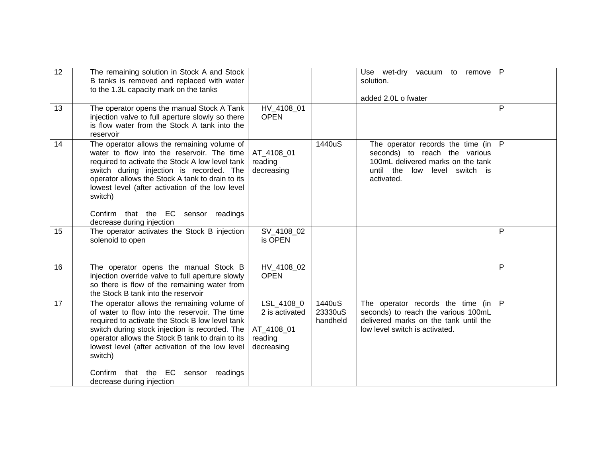| 12 | The remaining solution in Stock A and Stock<br>B tanks is removed and replaced with water<br>to the 1.3L capacity mark on the tanks                                                                                                                                                                                                                                                           |                                                                     |                               | Use wet-dry vacuum to remove<br>solution.<br>added 2.0L o fwater                                                                                                | P            |
|----|-----------------------------------------------------------------------------------------------------------------------------------------------------------------------------------------------------------------------------------------------------------------------------------------------------------------------------------------------------------------------------------------------|---------------------------------------------------------------------|-------------------------------|-----------------------------------------------------------------------------------------------------------------------------------------------------------------|--------------|
| 13 | The operator opens the manual Stock A Tank<br>injection valve to full aperture slowly so there<br>is flow water from the Stock A tank into the<br>reservoir                                                                                                                                                                                                                                   | HV_4108_01<br><b>OPEN</b>                                           |                               |                                                                                                                                                                 | P            |
| 14 | The operator allows the remaining volume of<br>water to flow into the reservoir. The time<br>required to activate the Stock A low level tank<br>switch during injection is recorded. The<br>operator allows the Stock A tank to drain to its<br>lowest level (after activation of the low level<br>switch)<br>Confirm that the EC sensor readings<br>decrease during injection                | AT_4108_01<br>reading<br>decreasing                                 | 1440uS                        | The operator records the time (in<br>seconds) to reach the various<br>100mL delivered marks on the tank<br>until the<br>low<br>level<br>switch is<br>activated. | $\mathsf{P}$ |
| 15 | The operator activates the Stock B injection<br>solenoid to open                                                                                                                                                                                                                                                                                                                              | SV_4108_02<br>is OPEN                                               |                               |                                                                                                                                                                 | P            |
| 16 | The operator opens the manual Stock B<br>injection override valve to full aperture slowly<br>so there is flow of the remaining water from<br>the Stock B tank into the reservoir                                                                                                                                                                                                              | HV_4108_02<br><b>OPEN</b>                                           |                               |                                                                                                                                                                 | P            |
| 17 | The operator allows the remaining volume of<br>of water to flow into the reservoir. The time<br>required to activate the Stock B low level tank<br>switch during stock injection is recorded. The<br>operator allows the Stock B tank to drain to its<br>lowest level (after activation of the low level<br>switch)<br>that the EC sensor<br>Confirm<br>readings<br>decrease during injection | LSL_4108_0<br>2 is activated<br>AT_4108_01<br>reading<br>decreasing | 1440uS<br>23330uS<br>handheld | The operator records the time (in<br>seconds) to reach the various 100mL<br>delivered marks on the tank until the<br>low level switch is activated.             | $\mathsf{P}$ |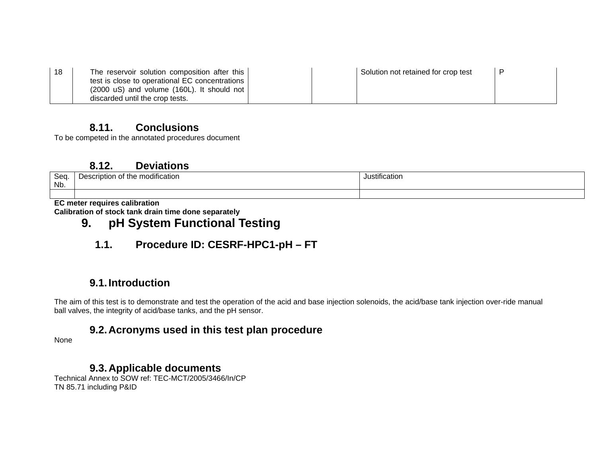| 18 | The reservoir solution composition after this           | Solution not retained for crop test |  |
|----|---------------------------------------------------------|-------------------------------------|--|
|    | test is close to operational EC concentrations          |                                     |  |
|    | $(2000 \text{ uS})$ and volume $(160L)$ . It should not |                                     |  |
|    | discarded until the crop tests.                         |                                     |  |

To be competed in the annotated procedures document

#### **8.12. Deviations**

| <b>Son</b><br>vou<br>Nb. | <br>hodification<br>m<br>Desci<br>the<br>escription<br>v | Justification |
|--------------------------|----------------------------------------------------------|---------------|
| ___                      | ----                                                     |               |

**EC meter requires calibration Calibration of stock tank drain time done separately** 

# **9. pH System Functional Testing**

## **1.1. Procedure ID: CESRF-HPC1-pH – FT**

## **9.1. Introduction**

The aim of this test is to demonstrate and test the operation of the acid and base injection solenoids, the acid/base tank injection over-ride manual ball valves, the integrity of acid/base tanks, and the pH sensor.

## **9.2. Acronyms used in this test plan procedure**

None

## **9.3. Applicable documents**

Technical Annex to SOW ref: TEC-MCT/2005/3466/In/CP TN 85.71 including P&ID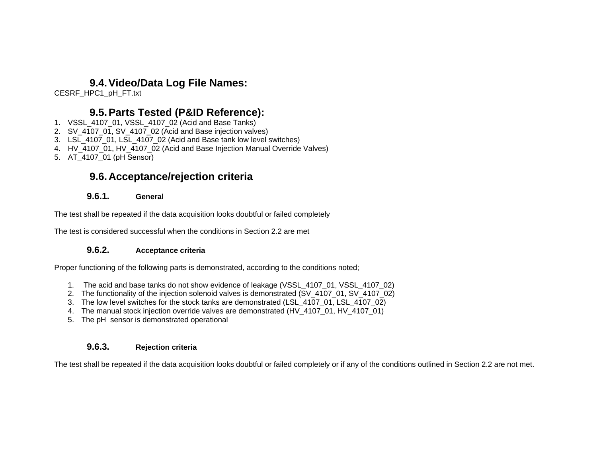#### **9.4. Video/Data Log File Names:**

CESRF\_HPC1\_pH\_FT.txt

## **9.5. Parts Tested (P&ID Reference):**

- 1. VSSL\_4107\_01, VSSL\_4107\_02 (Acid and Base Tanks)
- 2. SV\_4107\_01, SV\_4107\_02 (Acid and Base injection valves)
- 3. LSL\_4107\_01, LSL\_4107\_02 (Acid and Base tank low level switches)
- 4. HV\_4107\_01, HV\_4107\_02 (Acid and Base Injection Manual Override Valves)
- 5. AT\_4107\_01 (pH Sensor)

## **9.6. Acceptance/rejection criteria**

#### **9.6.1. General**

The test shall be repeated if the data acquisition looks doubtful or failed completely

The test is considered successful when the conditions in Section 2.2 are met

#### **9.6.2. Acceptance criteria**

Proper functioning of the following parts is demonstrated, according to the conditions noted;

- 1. The acid and base tanks do not show evidence of leakage (VSSL\_4107\_01, VSSL\_4107\_02)
- 2. The functionality of the injection solenoid valves is demonstrated (SV 4107 01, SV 4107 02)
- 3. The low level switches for the stock tanks are demonstrated (LSL\_4107\_01, LSL\_4107\_02)
- 4. The manual stock injection override valves are demonstrated (HV\_4107\_01, HV\_4107\_01)
- 5. The pH sensor is demonstrated operational

#### **9.6.3. Rejection criteria**

The test shall be repeated if the data acquisition looks doubtful or failed completely or if any of the conditions outlined in Section 2.2 are not met.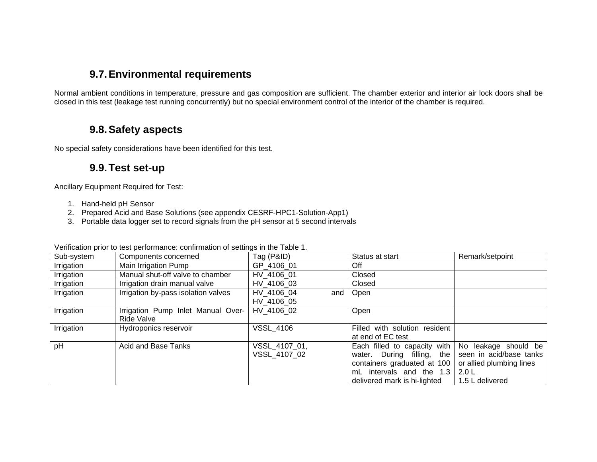## **9.7. Environmental requirements**

Normal ambient conditions in temperature, pressure and gas composition are sufficient. The chamber exterior and interior air lock doors shall be closed in this test (leakage test running concurrently) but no special environment control of the interior of the chamber is required.

## **9.8. Safety aspects**

No special safety considerations have been identified for this test.

#### **9.9. Test set-up**

Ancillary Equipment Required for Test:

- 1. Hand-held pH Sensor
- 2. Prepared Acid and Base Solutions (see appendix CESRF-HPC1-Solution-App1)
- 3. Portable data logger set to record signals from the pH sensor at 5 second intervals

| . Onlineation prior to toot portormanoo: commutation or collingo in the rapid in |                                     |                     |                               |                          |  |  |  |
|----------------------------------------------------------------------------------|-------------------------------------|---------------------|-------------------------------|--------------------------|--|--|--|
| Sub-system                                                                       | Components concerned                | Tag (P&ID)          | Status at start               | Remark/setpoint          |  |  |  |
| Irrigation                                                                       | Main Irrigation Pump                | GP 4106 01          | Off                           |                          |  |  |  |
| Irrigation                                                                       | Manual shut-off valve to chamber    | HV 4106 01          | Closed                        |                          |  |  |  |
| Irrigation                                                                       | Irrigation drain manual valve       | HV 4106 03          | Closed                        |                          |  |  |  |
| Irrigation                                                                       | Irrigation by-pass isolation valves | HV 4106 04<br>and I | Open                          |                          |  |  |  |
|                                                                                  |                                     | HV 4106 05          |                               |                          |  |  |  |
| Irrigation                                                                       | Irrigation Pump Inlet Manual Over-  | HV 4106 02          | Open                          |                          |  |  |  |
|                                                                                  | Ride Valve                          |                     |                               |                          |  |  |  |
| Irrigation                                                                       | Hydroponics reservoir               | <b>VSSL_4106</b>    | Filled with solution resident |                          |  |  |  |
|                                                                                  |                                     |                     | at end of EC test             |                          |  |  |  |
| pH                                                                               | Acid and Base Tanks                 | VSSL 4107 01,       | Each filled to capacity with  | No leakage should be     |  |  |  |
|                                                                                  |                                     | VSSL 4107 02        | water. During filling, the    | seen in acid/base tanks  |  |  |  |
|                                                                                  |                                     |                     | containers graduated at 100   | or allied plumbing lines |  |  |  |
|                                                                                  |                                     |                     | mL intervals and the 1.3      | 2.0 L                    |  |  |  |
|                                                                                  |                                     |                     | delivered mark is hi-lighted  | 1.5 L delivered          |  |  |  |

Verification prior to test performance: confirmation of settings in the Table 1.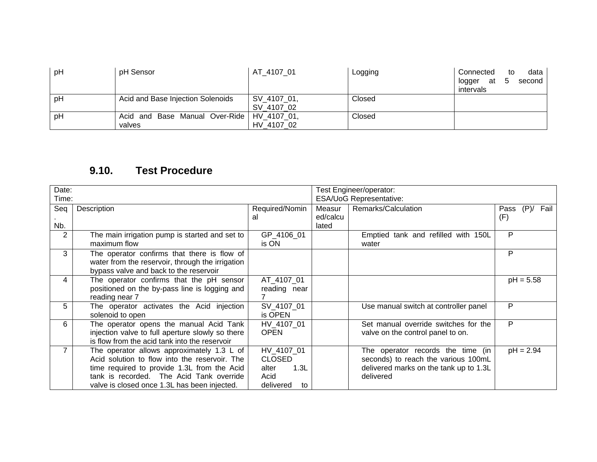| pH | pH Sensor                                    | AT 4107 01  | Logging | Connected<br>at 5<br>logger<br>intervals | data<br>to<br>second |
|----|----------------------------------------------|-------------|---------|------------------------------------------|----------------------|
| рH | Acid and Base Injection Solenoids            | SV_4107_01, | Closed  |                                          |                      |
|    |                                              | SV 4107 02  |         |                                          |                      |
| pH | Acid and Base Manual Over-Ride   HV_4107_01, |             | Closed  |                                          |                      |
|    | valves                                       | HV 4107 02  |         |                                          |                      |

| Date:          |                                                  |                 |                                | Test Engineer/operator:                |                         |  |
|----------------|--------------------------------------------------|-----------------|--------------------------------|----------------------------------------|-------------------------|--|
| Time:          |                                                  |                 | <b>ESA/UoG Representative:</b> |                                        |                         |  |
| Seq            | Description                                      | Required/Nomin  | Measur                         | Remarks/Calculation                    | Fail<br>$(P)$ /<br>Pass |  |
|                |                                                  | al              | ed/calcu                       |                                        | (F)                     |  |
| Nb.            |                                                  |                 | lated                          |                                        |                         |  |
| 2              | The main irrigation pump is started and set to   | GP 4106 01      |                                | Emptied tank and refilled with 150L    | P                       |  |
|                | maximum flow                                     | is ON           |                                | water                                  |                         |  |
| 3              | The operator confirms that there is flow of      |                 |                                |                                        | P                       |  |
|                | water from the reservoir, through the irrigation |                 |                                |                                        |                         |  |
|                | bypass valve and back to the reservoir           |                 |                                |                                        |                         |  |
| 4              | The operator confirms that the pH sensor         | AT 4107 01      |                                |                                        | $pH = 5.58$             |  |
|                | positioned on the by-pass line is logging and    | reading near    |                                |                                        |                         |  |
|                | reading near 7                                   |                 |                                |                                        |                         |  |
| 5              | The operator activates the Acid injection        | SV 4107 01      |                                | Use manual switch at controller panel  | P                       |  |
|                | solenoid to open                                 | is OPEN         |                                |                                        |                         |  |
| 6              | The operator opens the manual Acid Tank          | HV_4107_01      |                                | Set manual override switches for the   | P                       |  |
|                | injection valve to full aperture slowly so there | <b>OPEN</b>     |                                | valve on the control panel to on.      |                         |  |
|                | is flow from the acid tank into the reservoir    |                 |                                |                                        |                         |  |
| $\overline{7}$ | The operator allows approximately 1.3 L of       | HV_4107_01      |                                | The operator records the time (in      | $pH = 2.94$             |  |
|                | Acid solution to flow into the reservoir. The    | <b>CLOSED</b>   |                                | seconds) to reach the various 100mL    |                         |  |
|                | time required to provide 1.3L from the Acid      | 1.3L<br>alter   |                                | delivered marks on the tank up to 1.3L |                         |  |
|                | tank is recorded. The Acid Tank override         | Acid            |                                | delivered                              |                         |  |
|                | valve is closed once 1.3L has been injected.     | delivered<br>to |                                |                                        |                         |  |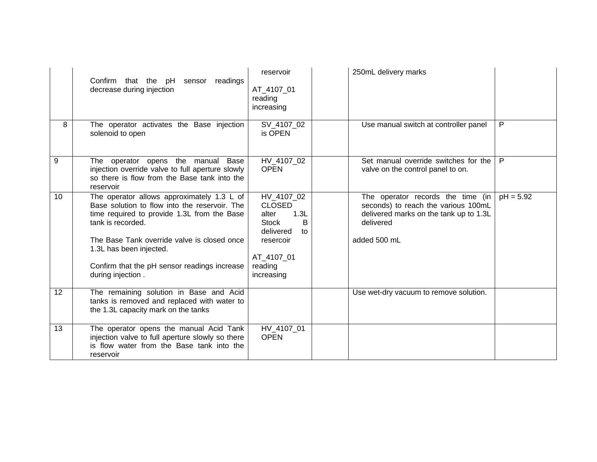|                | Confirm that the pH sensor readings<br>decrease during injection                                                                                                                                                                                                                          | reservoir<br>AT 4107 01<br>reading<br>increasing                                                                           | 250mL delivery marks                                                                                                                            |             |
|----------------|-------------------------------------------------------------------------------------------------------------------------------------------------------------------------------------------------------------------------------------------------------------------------------------------|----------------------------------------------------------------------------------------------------------------------------|-------------------------------------------------------------------------------------------------------------------------------------------------|-------------|
| 8              | The operator activates the Base injection<br>solenoid to open                                                                                                                                                                                                                             | SV_4107_02<br>is OPEN                                                                                                      | Use manual switch at controller panel                                                                                                           | P           |
| $\overline{9}$ | The operator opens the manual Base<br>injection override valve to full aperture slowly<br>so there is flow from the Base tank into the<br>reservoir                                                                                                                                       | HV_4107_02<br><b>OPEN</b>                                                                                                  | Set manual override switches for the<br>valve on the control panel to on.                                                                       | P           |
| 10             | The operator allows approximately 1.3 L of<br>Base solution to flow into the reservoir. The<br>time required to provide 1.3L from the Base<br>tank is recorded.<br>The Base Tank override valve is closed once<br>1.3L has been injected.<br>Confirm that the pH sensor readings increase | HV 4107 02<br><b>CLOSED</b><br>1.3L<br>alter<br><b>Stock</b><br>B<br>delivered<br>to<br>resercoir<br>AT_4107_01<br>reading | The operator records the time (in<br>seconds) to reach the various 100mL<br>delivered marks on the tank up to 1.3L<br>delivered<br>added 500 mL | $pH = 5.92$ |
|                | during injection.                                                                                                                                                                                                                                                                         | increasing                                                                                                                 |                                                                                                                                                 |             |
| 12             | The remaining solution in Base and Acid<br>tanks is removed and replaced with water to<br>the 1.3L capacity mark on the tanks                                                                                                                                                             |                                                                                                                            | Use wet-dry vacuum to remove solution.                                                                                                          |             |
| 13             | The operator opens the manual Acid Tank<br>injection valve to full aperture slowly so there<br>is flow water from the Base tank into the<br>reservoir                                                                                                                                     | HV_4107_01<br><b>OPEN</b>                                                                                                  |                                                                                                                                                 |             |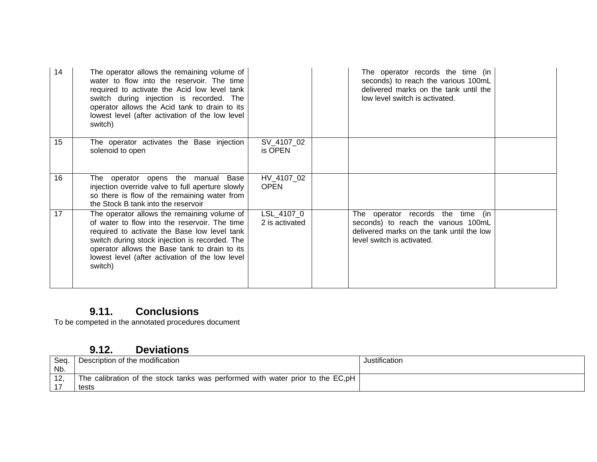| 14 | The operator allows the remaining volume of<br>water to flow into the reservoir. The time<br>required to activate the Acid low level tank<br>switch during injection is recorded. The<br>operator allows the Acid tank to drain to its<br>lowest level (after activation of the low level<br>switch)           |                              | The operator records the time (in<br>seconds) to reach the various 100mL<br>delivered marks on the tank until the<br>low level switch is activated. |  |
|----|----------------------------------------------------------------------------------------------------------------------------------------------------------------------------------------------------------------------------------------------------------------------------------------------------------------|------------------------------|-----------------------------------------------------------------------------------------------------------------------------------------------------|--|
| 15 | The operator activates the Base injection<br>solenoid to open                                                                                                                                                                                                                                                  | SV_4107_02<br>is OPEN        |                                                                                                                                                     |  |
| 16 | The operator opens the manual Base<br>injection override valve to full aperture slowly<br>so there is flow of the remaining water from<br>the Stock B tank into the reservoir                                                                                                                                  | HV_4107_02<br><b>OPEN</b>    |                                                                                                                                                     |  |
| 17 | The operator allows the remaining volume of<br>of water to flow into the reservoir. The time<br>required to activate the Base low level tank<br>switch during stock injection is recorded. The<br>operator allows the Base tank to drain to its<br>lowest level (after activation of the low level)<br>switch) | LSL_4107_0<br>2 is activated | The operator records the time (in<br>seconds) to reach the various 100mL<br>delivered marks on the tank until the low<br>level switch is activated. |  |

To be competed in the annotated procedures document

## **9.12. Deviations**

| Seq. | Description of the modification                                                 | Justification |
|------|---------------------------------------------------------------------------------|---------------|
| Nb.  |                                                                                 |               |
|      | The calibration of the stock tanks was performed with water prior to the EC, pH |               |
|      | tests                                                                           |               |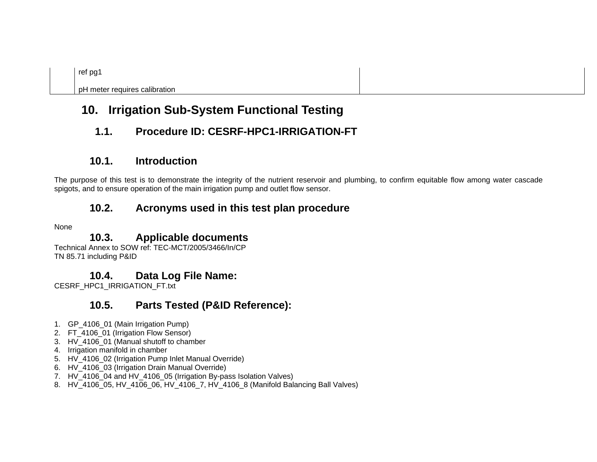pH meter requires calibration

# **10. Irrigation Sub-System Functional Testing**

# **1.1. Procedure ID: CESRF-HPC1-IRRIGATION-FT**

## **10.1. Introduction**

The purpose of this test is to demonstrate the integrity of the nutrient reservoir and plumbing, to confirm equitable flow among water cascade spigots, and to ensure operation of the main irrigation pump and outlet flow sensor.

## **10.2. Acronyms used in this test plan procedure**

None

## **10.3. Applicable documents**

Technical Annex to SOW ref: TEC-MCT/2005/3466/In/CP TN 85.71 including P&ID

## **10.4. Data Log File Name:**

CESRF\_HPC1\_IRRIGATION\_FT.txt

## **10.5. Parts Tested (P&ID Reference):**

- 1. GP\_4106\_01 (Main Irrigation Pump)
- 2. FT\_4106\_01 (Irrigation Flow Sensor)
- 3. HV\_4106\_01 (Manual shutoff to chamber
- 4. Irrigation manifold in chamber
- 5. HV\_4106\_02 (Irrigation Pump Inlet Manual Override)
- 6. HV\_4106\_03 (Irrigation Drain Manual Override)
- 7. HV\_4106\_04 and HV\_4106\_05 (Irrigation By-pass Isolation Valves)
- 8. HV 4106 05, HV 4106 06, HV 4106 7, HV 4106 8 (Manifold Balancing Ball Valves)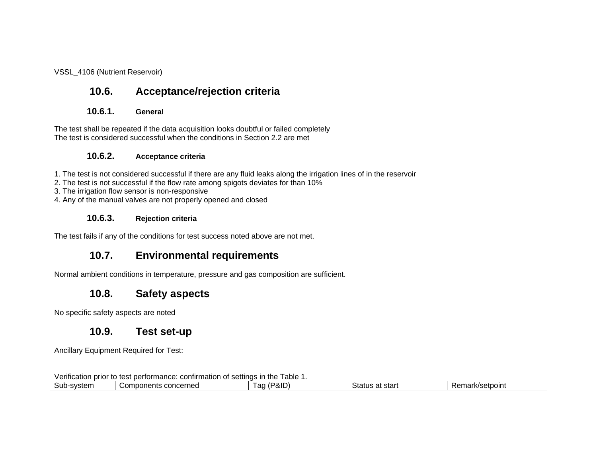VSSL\_4106 (Nutrient Reservoir)

# **10.6. Acceptance/rejection criteria**

#### **10.6.1. General**

The test shall be repeated if the data acquisition looks doubtful or failed completely The test is considered successful when the conditions in Section 2.2 are met

#### **10.6.2. Acceptance criteria**

1. The test is not considered successful if there are any fluid leaks along the irrigation lines of in the reservoir

- 2. The test is not successful if the flow rate among spigots deviates for than 10%
- 3. The irrigation flow sensor is non-responsive

4. Any of the manual valves are not properly opened and closed

#### **10.6.3. Rejection criteria**

The test fails if any of the conditions for test success noted above are not met.

## **10.7. Environmental requirements**

Normal ambient conditions in temperature, pressure and gas composition are sufficient.

## **10.8. Safety aspects**

No specific safety aspects are noted

#### **10.9. Test set-up**

Ancillary Equipment Required for Test:

Verification prior to test performance: confirmation of settings in the Table 1.

| - יישו<br>svstem<br>our<br>וווסוכ | .cornod<br>ית ה<br>`nn r<br>````<br>1160<br><b>SUIDUIRING</b><br>.<br>.<br>. <i>.</i> . | $\sim$<br>$\cdots$<br>ີ<br>αιυ<br>. au | -<br>star<br>הו ולה<br>ાતાuડ<br>a | 'setpoint<br>пь.<br>на |  |
|-----------------------------------|-----------------------------------------------------------------------------------------|----------------------------------------|-----------------------------------|------------------------|--|
|                                   |                                                                                         |                                        |                                   |                        |  |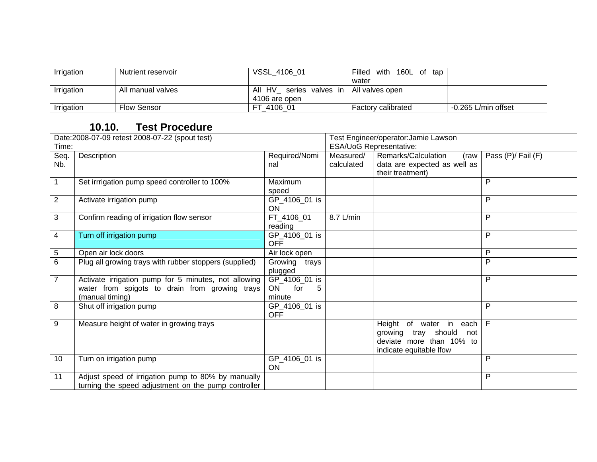| Irrigation | Nutrient reservoir | VSSL 4106 01                              | Filled<br>with 160L of tap |                     |
|------------|--------------------|-------------------------------------------|----------------------------|---------------------|
|            |                    |                                           | water                      |                     |
| Irrigation | All manual valves  | All HV series valves in   All valves open |                            |                     |
|            |                    | 4106 are open                             |                            |                     |
| Irrigation | Flow Sensor        | 4106 01<br>FТ                             | <b>Factory calibrated</b>  | -0.265 L/min offset |

| Date:2008-07-09 retest 2008-07-22 (spout test) |                                                        |                       | Test Engineer/operator: Jamie Lawson |                               |                    |
|------------------------------------------------|--------------------------------------------------------|-----------------------|--------------------------------------|-------------------------------|--------------------|
| Time:                                          |                                                        |                       | ESA/UoG Representative:              |                               |                    |
| Seq.                                           | Description                                            | Required/Nomi         | Measured/                            | Remarks/Calculation<br>(raw   | Pass (P)/ Fail (F) |
| Nb.                                            |                                                        | nal                   | calculated                           | data are expected as well as  |                    |
|                                                |                                                        |                       |                                      | their treatment)              |                    |
| 1                                              | Set irrrigation pump speed controller to 100%          | Maximum               |                                      |                               | P                  |
|                                                |                                                        | speed                 |                                      |                               |                    |
| $\overline{c}$                                 | Activate irrigation pump                               | GP_4106_01 is         |                                      |                               | P                  |
|                                                |                                                        | <b>ON</b>             |                                      |                               |                    |
| 3                                              | Confirm reading of irrigation flow sensor              | FT_4106_01            | 8.7 L/min                            |                               | P                  |
|                                                |                                                        | reading               |                                      |                               |                    |
| 4                                              | Turn off irrigation pump                               | GP_4106_01 is         |                                      |                               | P                  |
|                                                |                                                        | <b>OFF</b>            |                                      |                               |                    |
| 5                                              | Open air lock doors                                    | Air lock open         |                                      |                               | P                  |
| 6                                              | Plug all growing trays with rubber stoppers (supplied) | Growing<br>trays      |                                      |                               | P                  |
|                                                |                                                        | plugged               |                                      |                               |                    |
| $\overline{7}$                                 | Activate irrigation pump for 5 minutes, not allowing   | GP_4106_01 is         |                                      |                               | P                  |
|                                                | water from spigots to drain from growing trays         | <b>ON</b><br>for<br>5 |                                      |                               |                    |
|                                                | (manual timing)                                        | minute                |                                      |                               |                    |
| 8                                              | Shut off irrigation pump                               | GP_4106_01 is         |                                      |                               | P                  |
|                                                |                                                        | <b>OFF</b>            |                                      |                               |                    |
| 9                                              | Measure height of water in growing trays               |                       |                                      | Height of water in<br>each    | F                  |
|                                                |                                                        |                       |                                      | tray should<br>growing<br>not |                    |
|                                                |                                                        |                       |                                      | deviate more than 10% to      |                    |
|                                                |                                                        |                       |                                      | indicate equitable Ifow       |                    |
| 10                                             | Turn on irrigation pump                                | GP_4106_01 is         |                                      |                               | P                  |
|                                                |                                                        | <b>ON</b>             |                                      |                               |                    |
| 11                                             | Adjust speed of irrigation pump to 80% by manually     |                       |                                      |                               | P                  |
|                                                | turning the speed adjustment on the pump controller    |                       |                                      |                               |                    |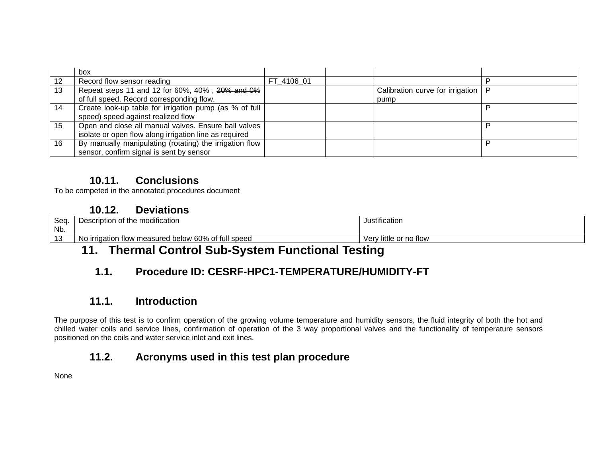|    | box                                                     |            |                                  |   |
|----|---------------------------------------------------------|------------|----------------------------------|---|
| 12 | Record flow sensor reading                              | FT 4106 01 |                                  |   |
| 13 | Repeat steps 11 and 12 for 60%, 40%, 20% and 0%         |            | Calibration curve for irrigation |   |
|    | of full speed. Record corresponding flow.               |            | pump                             |   |
| 14 | Create look-up table for irrigation pump (as % of full  |            |                                  |   |
|    | speed) speed against realized flow                      |            |                                  |   |
| 15 | Open and close all manual valves. Ensure ball valves    |            |                                  | D |
|    | isolate or open flow along irrigation line as required  |            |                                  |   |
| 16 | By manually manipulating (rotating) the irrigation flow |            |                                  | D |
|    | sensor, confirm signal is sent by sensor                |            |                                  |   |

To be competed in the annotated procedures document

## **10.12. Deviations**

| Seq<br>Nb. | scription of the modification<br>Deso                         | .<br>Justification         |
|------------|---------------------------------------------------------------|----------------------------|
|            | v measured below 60% of full speed<br>No irrigation<br>ı flow | ' little or no flow<br>ver |
|            |                                                               |                            |

# **11. Thermal Control Sub-System Functional Testing**

# **1.1. Procedure ID: CESRF-HPC1-TEMPERATURE/HUMIDITY-FT**

## **11.1. Introduction**

The purpose of this test is to confirm operation of the growing volume temperature and humidity sensors, the fluid integrity of both the hot and chilled water coils and service lines, confirmation of operation of the 3 way proportional valves and the functionality of temperature sensors positioned on the coils and water service inlet and exit lines.

# **11.2. Acronyms used in this test plan procedure**

None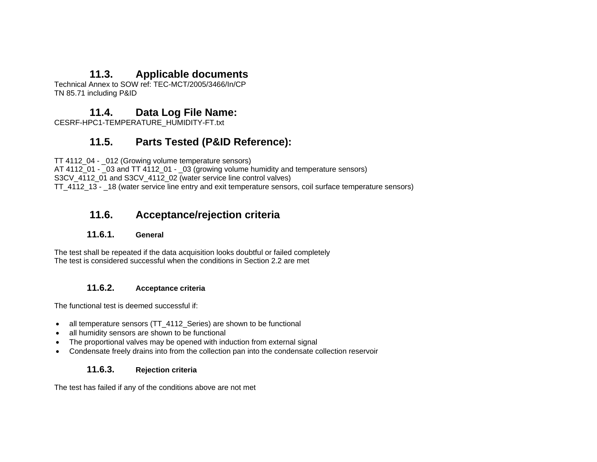## **11.3. Applicable documents**

Technical Annex to SOW ref: TEC-MCT/2005/3466/In/CP TN 85.71 including P&ID

## **11.4. Data Log File Name:**

CESRF-HPC1-TEMPERATURE\_HUMIDITY-FT.txt

## **11.5. Parts Tested (P&ID Reference):**

TT 4112\_04 - \_012 (Growing volume temperature sensors)

AT 4112\_01 - \_03 and TT 4112\_01 - \_03 (growing volume humidity and temperature sensors) S3CV 4112\_01 and S3CV\_4112\_02 (water service line control valves)

TT\_4112\_13 - \_18 (water service line entry and exit temperature sensors, coil surface temperature sensors)

## **11.6. Acceptance/rejection criteria**

#### **11.6.1. General**

The test shall be repeated if the data acquisition looks doubtful or failed completely The test is considered successful when the conditions in Section 2.2 are met

#### **11.6.2. Acceptance criteria**

The functional test is deemed successful if:

- all temperature sensors (TT\_4112\_Series) are shown to be functional
- all humidity sensors are shown to be functional
- The proportional valves may be opened with induction from external signal
- Condensate freely drains into from the collection pan into the condensate collection reservoir

#### **11.6.3. Rejection criteria**

The test has failed if any of the conditions above are not met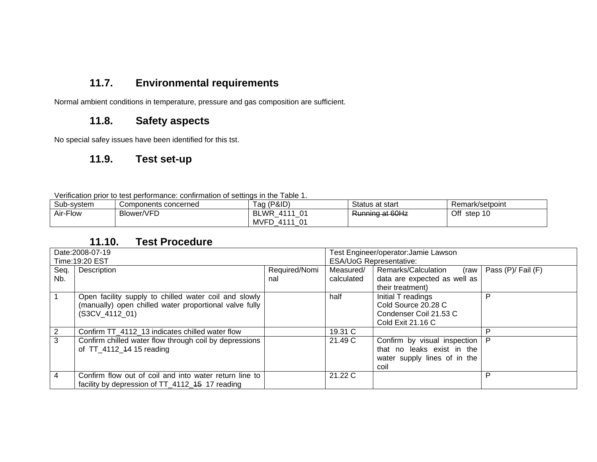# **11.7. Environmental requirements**

Normal ambient conditions in temperature, pressure and gas composition are sufficient.

## **11.8. Safety aspects**

No special safey issues have been identified for this tst.

## **11.9. Test set-up**

Verification prior to test performance: confirmation of settings in the Table 1.

| Sub-system | Components concerned | Tag (P&ID)                      | Status at start                             | Remark/setpoint |
|------------|----------------------|---------------------------------|---------------------------------------------|-----------------|
| Air-Flow   | Blower/VFD           | <b>BLWR</b><br>4111 01          | Running of 60Hz<br><del>namma at bonz</del> | Off<br>step 10  |
|            |                      | <b>MVFD</b><br>-01<br>4111<br>_ |                                             |                 |

| Date:2008-07-19<br>Time: 19:20 EST |                                                                                                                                   |               | Test Engineer/operator: Jamie Lawson<br><b>ESA/UoG Representative:</b> |                                                                                                    |                    |
|------------------------------------|-----------------------------------------------------------------------------------------------------------------------------------|---------------|------------------------------------------------------------------------|----------------------------------------------------------------------------------------------------|--------------------|
| Seq.                               | Description                                                                                                                       | Required/Nomi | Measured/                                                              | Remarks/Calculation<br>(raw                                                                        | Pass (P)/ Fail (F) |
| Nb.                                |                                                                                                                                   | nal           | calculated                                                             | data are expected as well as<br>their treatment)                                                   |                    |
|                                    | Open facility supply to chilled water coil and slowly<br>(manually) open chilled water proportional valve fully<br>(S3CV 4112 01) |               | half                                                                   | Initial T readings<br>Cold Source 20.28 C<br>Condenser Coil 21.53 C<br>Cold Exit 21.16 C           | P                  |
| $\overline{2}$                     | Confirm TT 4112 13 indicates chilled water flow                                                                                   |               | 19.31 C                                                                |                                                                                                    | P                  |
| 3                                  | Confirm chilled water flow through coil by depressions<br>of TT 4112 44 15 reading                                                |               | 21.49 C                                                                | Confirm by visual inspection<br>that no leaks exist in the<br>water supply lines of in the<br>coil | P                  |
| 4                                  | Confirm flow out of coil and into water return line to<br>facility by depression of TT_4112_45 17 reading                         |               | 21.22C                                                                 |                                                                                                    | P                  |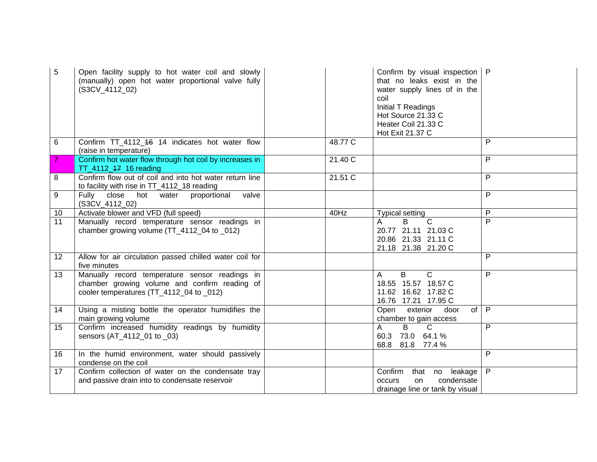| 5               | Open facility supply to hot water coil and slowly<br>(manually) open hot water proportional valve fully<br>(S3CV_4112_02)                   |         | Confirm by visual inspection   P<br>that no leaks exist in the<br>water supply lines of in the<br>coil<br>Initial T Readings<br>Hot Source 21.33 C<br>Heater Coil 21.33 C<br>Hot Exit 21.37 C |                         |
|-----------------|---------------------------------------------------------------------------------------------------------------------------------------------|---------|-----------------------------------------------------------------------------------------------------------------------------------------------------------------------------------------------|-------------------------|
| 6               | Confirm TT_4112_46 14 indicates hot water flow<br>(raise in temperature)                                                                    | 48.77 C |                                                                                                                                                                                               | P                       |
|                 | Confirm hot water flow through hot coil by increases in<br>TT_4112_ <del>17</del> 16 reading                                                | 21.40 C |                                                                                                                                                                                               | P                       |
| 8               | Confirm flow out of coil and into hot water return line<br>to facility with rise in TT_4112_18 reading                                      | 21.51 C |                                                                                                                                                                                               | P                       |
| 9               | Fully close<br>hot<br>proportional<br>valve<br>water<br>(S3CV_4112_02)                                                                      |         |                                                                                                                                                                                               | P                       |
| 10              | Activate blower and VFD (full speed)                                                                                                        | 40Hz    | <b>Typical setting</b>                                                                                                                                                                        | P                       |
| 11              | Manually record temperature sensor readings in<br>chamber growing volume (TT_4112_04 to _012)                                               |         | $\overline{B}$<br>$\mathsf{C}$<br>A<br>20.77 21.11 21.03 C<br>20.86 21.33 21.11 C<br>21.18 21.38 21.20 C                                                                                      | $\overline{\mathsf{P}}$ |
| 12 <sup>°</sup> | Allow for air circulation passed chilled water coil for<br>five minutes                                                                     |         |                                                                                                                                                                                               | P                       |
| 13              | Manually record temperature sensor readings in<br>chamber growing volume and confirm reading of<br>cooler temperatures (TT_4112_04 to _012) |         | B<br>$\mathsf{C}$<br>A<br>18.55 15.57 18.57 C<br>11.62 16.62 17.82 C<br>16.76 17.21 17.95 C                                                                                                   | P                       |
| 14              | Using a misting bottle the operator humidifies the<br>main growing volume                                                                   |         | Open exterior<br>of<br>door<br>chamber to gain access                                                                                                                                         | $\mathsf{P}$            |
| 15              | Confirm increased humidity readings by humidity<br>sensors (AT_4112_01 to _03)                                                              |         | $\overline{C}$<br>A<br>B<br>60.3 73.0 64.1 %<br>68.8 81.8 77.4 %                                                                                                                              | P                       |
| 16              | In the humid environment, water should passively<br>condense on the coil                                                                    |         |                                                                                                                                                                                               | P                       |
| 17              | Confirm collection of water on the condensate tray<br>and passive drain into to condensate reservoir                                        |         | Confirm<br>that no leakage<br>condensate<br><b>occurs</b><br>on<br>drainage line or tank by visual                                                                                            | P                       |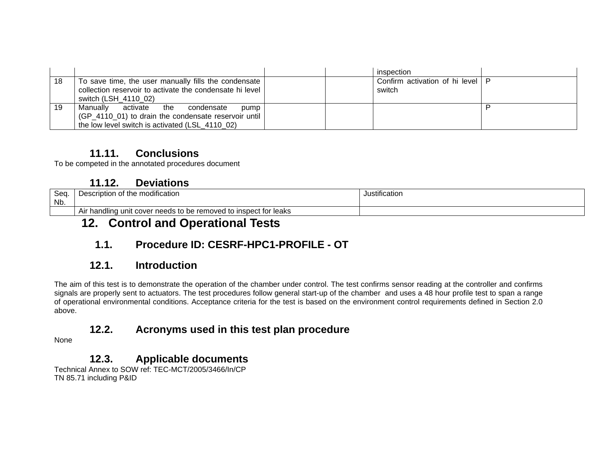|    |                                                          |  | inspection                     |  |
|----|----------------------------------------------------------|--|--------------------------------|--|
| 18 | To save time, the user manually fills the condensate     |  | Confirm activation of hi level |  |
|    | collection reservoir to activate the condensate hi level |  | switch                         |  |
|    | switch (LSH 4110 02)                                     |  |                                |  |
| 19 | Manually<br>activate<br>the<br>condensate<br>pump        |  |                                |  |
|    | (GP_4110_01) to drain the condensate reservoir until     |  |                                |  |
|    | the low level switch is activated (LSL 4110 02)          |  |                                |  |

#### **11.11. Conclusions**

To be competed in the annotated procedures document

## **11.12. Deviations**

| $S_{\Omega}$<br>vou<br>Nb. | <br>of the modification<br>:riptior<br>$\sim$<br>∠⊏ง⊍<br>ושו               | $\cdot$ .<br><b>ustificatio</b> |
|----------------------------|----------------------------------------------------------------------------|---------------------------------|
|                            | If needs to be removed to inspect for leaks<br>lina unit cover<br>Air hand |                                 |

# **12. Control and Operational Tests**

# **1.1. Procedure ID: CESRF-HPC1-PROFILE - OT**

## **12.1. Introduction**

The aim of this test is to demonstrate the operation of the chamber under control. The test confirms sensor reading at the controller and confirms signals are properly sent to actuators. The test procedures follow general start-up of the chamber and uses a 48 hour profile test to span a range of operational environmental conditions. Acceptance criteria for the test is based on the environment control requirements defined in Section 2.0 above.

# **12.2. Acronyms used in this test plan procedure**

None

# **12.3. Applicable documents**

Technical Annex to SOW ref: TEC-MCT/2005/3466/In/CP TN 85.71 including P&ID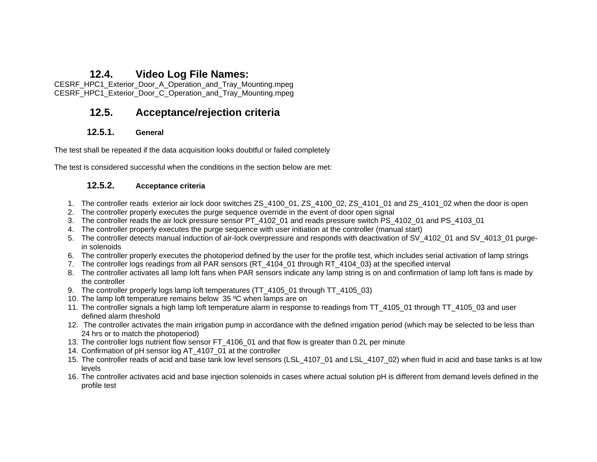#### **12.4. Video Log File Names:**

CESRF\_HPC1\_Exterior\_Door\_A\_Operation\_and\_Tray\_Mounting.mpeg CESRF\_HPC1\_Exterior\_Door\_C\_Operation\_and\_Tray\_Mounting.mpeg

## **12.5. Acceptance/rejection criteria**

#### **12.5.1. General**

The test shall be repeated if the data acquisition looks doubtful or failed completely

The test is considered successful when the conditions in the section below are met:

#### **12.5.2. Acceptance criteria**

- 1. The controller reads exterior air lock door switches ZS\_4100\_01, ZS\_4100\_02, ZS\_4101\_01 and ZS\_4101\_02 when the door is open
- 2. The controller properly executes the purge sequence override in the event of door open signal
- 3. The controller reads the air lock pressure sensor PT\_4102\_01 and reads pressure switch PS\_4102\_01 and PS\_4103\_01
- 4. The controller properly executes the purge sequence with user initiation at the controller (manual start)
- 5. The controller detects manual induction of air-lock overpressure and responds with deactivation of SV\_4102\_01 and SV\_4013\_01 purgein solenoids
- 6. The controller properly executes the photoperiod defined by the user for the profile test, which includes serial activation of lamp strings
- 7. The controller logs readings from all PAR sensors (RT\_4104\_01 through RT\_4104\_03) at the specified interval
- 8. The controller activates all lamp loft fans when PAR sensors indicate any lamp string is on and confirmation of lamp loft fans is made by the controller
- 9. The controller properly logs lamp loft temperatures (TT 4105 01 through TT 4105 03)
- 10. The lamp loft temperature remains below 35 ºC when lamps are on
- 11. The controller signals a high lamp loft temperature alarm in response to readings from TT\_4105\_01 through TT\_4105\_03 and user defined alarm threshold
- 12. The controller activates the main irrigation pump in accordance with the defined irrigation period (which may be selected to be less than 24 hrs or to match the photoperiod)
- 13. The controller logs nutrient flow sensor FT\_4106\_01 and that flow is greater than 0.2L per minute
- 14. Confirmation of pH sensor log AT 4107 01 at the controller
- 15. The controller reads of acid and base tank low level sensors (LSL\_4107\_01 and LSL\_4107\_02) when fluid in acid and base tanks is at low levels
- 16. The controller activates acid and base injection solenoids in cases where actual solution pH is different from demand levels defined in the profile test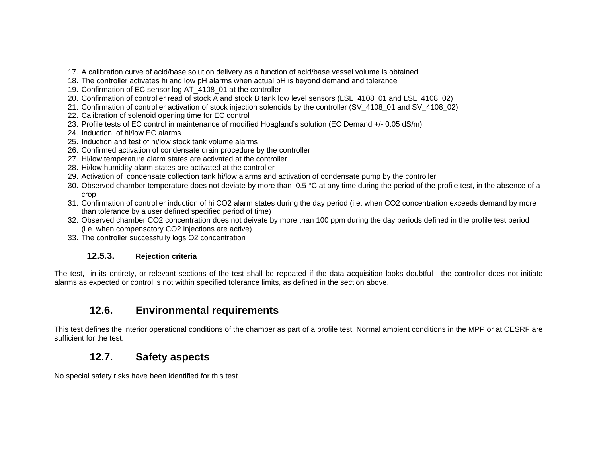- 17. A calibration curve of acid/base solution delivery as a function of acid/base vessel volume is obtained
- 18. The controller activates hi and low pH alarms when actual pH is beyond demand and tolerance
- 19. Confirmation of EC sensor log AT\_4108\_01 at the controller
- 20. Confirmation of controller read of stock A and stock B tank low level sensors (LSL\_4108\_01 and LSL\_4108\_02)
- 21. Confirmation of controller activation of stock injection solenoids by the controller (SV\_4108\_01 and SV\_4108\_02)
- 22. Calibration of solenoid opening time for EC control
- 23. Profile tests of EC control in maintenance of modified Hoagland's solution (EC Demand +/- 0.05 dS/m)
- 24. Induction of hi/low EC alarms
- 25. Induction and test of hi/low stock tank volume alarms
- 26. Confirmed activation of condensate drain procedure by the controller
- 27. Hi/low temperature alarm states are activated at the controller
- 28. Hi/low humidity alarm states are activated at the controller
- 29. Activation of condensate collection tank hi/low alarms and activation of condensate pump by the controller
- 30. Observed chamber temperature does not deviate by more than 0.5  $\degree$ C at any time during the period of the profile test, in the absence of a crop
- 31. Confirmation of controller induction of hi CO2 alarm states during the day period (i.e. when CO2 concentration exceeds demand by more than tolerance by a user defined specified period of time)
- 32. Observed chamber CO2 concentration does not deivate by more than 100 ppm during the day periods defined in the profile test period (i.e. when compensatory CO2 injections are active)
- 33. The controller successfully logs O2 concentration

#### **12.5.3. Rejection criteria**

The test, in its entirety, or relevant sections of the test shall be repeated if the data acquisition looks doubtful , the controller does not initiate alarms as expected or control is not within specified tolerance limits, as defined in the section above.

## **12.6. Environmental requirements**

This test defines the interior operational conditions of the chamber as part of a profile test. Normal ambient conditions in the MPP or at CESRF are sufficient for the test.

## **12.7. Safety aspects**

No special safety risks have been identified for this test.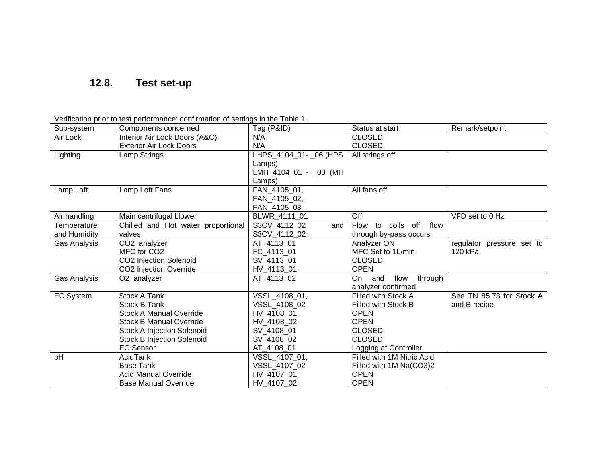# **12.8. Test set-up**

Verification prior to test performance: confirmation of settings in the Table 1.

| Sub-system       | Components concerned               | Tag (P&ID)               | Status at start                   | Remark/setpoint           |
|------------------|------------------------------------|--------------------------|-----------------------------------|---------------------------|
| Air Lock         | Interior Air Lock Doors (A&C)      | N/A                      | <b>CLOSED</b>                     |                           |
|                  | <b>Exterior Air Lock Doors</b>     | N/A                      | <b>CLOSED</b>                     |                           |
| Lighting         | Lamp Strings                       | LHPS_4104_01-_06 (HPS    | All strings off                   |                           |
|                  |                                    | Lamps)                   |                                   |                           |
|                  |                                    | LMH_4104_01 - _03 (MH    |                                   |                           |
|                  |                                    | Lamps)                   |                                   |                           |
| Lamp Loft        | Lamp Loft Fans                     | FAN_4105_01,             | All fans off                      |                           |
|                  |                                    | FAN 4105 02,             |                                   |                           |
|                  |                                    | FAN_4105_03              |                                   |                           |
| Air handling     | Main centrifugal blower            | BLWR_4111_01             | Off                               | VFD set to 0 Hz           |
| Temperature      | Chilled and Hot water proportional | S3CV_4112_02<br>and      | to coils off, flow<br><b>Flow</b> |                           |
| and Humidity     | valves                             | S3CV_4112_02             | through by-pass occurs            |                           |
| Gas Analysis     | CO2 analyzer                       | AT_4113_01               | Analyzer ON                       | regulator pressure set to |
|                  | MFC for CO <sub>2</sub>            | FC_4113_01               | MFC Set to 1L/min                 | 120 kPa                   |
|                  | CO2 Injection Solenoid             | SV_4113_01               | <b>CLOSED</b>                     |                           |
|                  | CO2 Injection Override             | HV_4113_01               | <b>OPEN</b>                       |                           |
| Gas Analysis     | O2 analyzer                        | $\overline{AT}$ _4113_02 | and<br>On<br>flow<br>through      |                           |
|                  |                                    |                          | analyzer confirmed                |                           |
| <b>EC System</b> | <b>Stock A Tank</b>                | VSSL_4108_01,            | Filled with Stock A               | See TN 85.73 for Stock A  |
|                  | Stock B Tank                       | VSSL_4108_02             | Filled with Stock B               | and B recipe              |
|                  | <b>Stock A Manual Override</b>     | HV_4108_01               | <b>OPEN</b>                       |                           |
|                  | <b>Stock B Manual Override</b>     | HV 4108 02               | <b>OPEN</b>                       |                           |
|                  | <b>Stock A Injection Solenoid</b>  | SV_4108_01               | <b>CLOSED</b>                     |                           |
|                  | <b>Stock B Injection Solenoid</b>  | SV_4108_02               | <b>CLOSED</b>                     |                           |
|                  | <b>EC Sensor</b>                   | AT_4108_01               | Logging at Controller             |                           |
| pH               | AcidTank                           | VSSL_4107_01,            | Filled with 1M Nitric Acid        |                           |
|                  | <b>Base Tank</b>                   | VSSL_4107_02             | Filled with 1M Na(CO3)2           |                           |
|                  | <b>Acid Manual Override</b>        | HV_4107_01               | <b>OPEN</b>                       |                           |
|                  | <b>Base Manual Override</b>        | HV 4107 02               | <b>OPEN</b>                       |                           |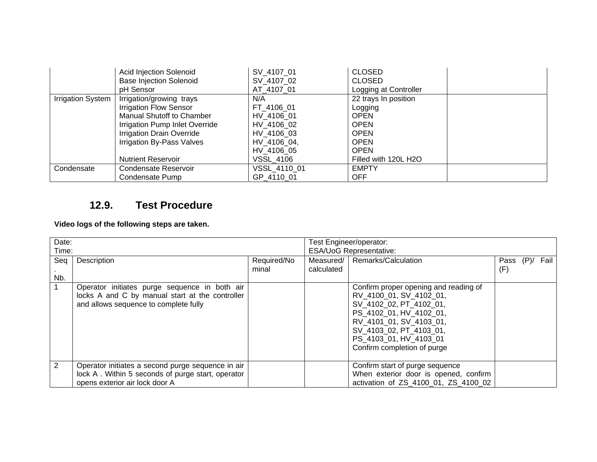|                          | Acid Injection Solenoid          | SV 4107 01       | <b>CLOSED</b>         |
|--------------------------|----------------------------------|------------------|-----------------------|
|                          | <b>Base Injection Solenoid</b>   | SV 4107 02       | <b>CLOSED</b>         |
|                          | pH Sensor                        | AT 4107 01       | Logging at Controller |
| <b>Irrigation System</b> | Irrigation/growing trays         | N/A              | 22 trays In position  |
|                          | <b>Irrigation Flow Sensor</b>    | FT 4106 01       | Logging               |
|                          | <b>Manual Shutoff to Chamber</b> | HV 4106 01       | <b>OPEN</b>           |
|                          | Irrigation Pump Inlet Override   | HV 4106 02       | <b>OPEN</b>           |
|                          | <b>Irrigation Drain Override</b> | HV 4106 03       | <b>OPEN</b>           |
|                          | Irrigation By-Pass Valves        | HV 4106 04,      | <b>OPEN</b>           |
|                          |                                  | HV 4106 05       | <b>OPEN</b>           |
|                          | <b>Nutrient Reservoir</b>        | <b>VSSL 4106</b> | Filled with 120L H2O  |
| Condensate               | Condensate Reservoir             | VSSL 4110 01     | <b>EMPTY</b>          |
|                          | Condensate Pump                  | GP 4110 01       | <b>OFF</b>            |

## **12.9. Test Procedure**

**Video logs of the following steps are taken.** 

| Date: |                                                   |             | Test Engineer/operator:        |                                       |      |      |      |
|-------|---------------------------------------------------|-------------|--------------------------------|---------------------------------------|------|------|------|
| Time: |                                                   |             | <b>ESA/UoG Representative:</b> |                                       |      |      |      |
| Seq   | Description                                       | Required/No |                                | Measured/   Remarks/Calculation       | Pass | (P)/ | Fail |
|       |                                                   | minal       | calculated                     |                                       | (F)  |      |      |
| Nb.   |                                                   |             |                                |                                       |      |      |      |
| 1     | Operator initiates purge sequence in both air     |             |                                | Confirm proper opening and reading of |      |      |      |
|       | locks A and C by manual start at the controller   |             |                                | RV_4100_01, SV_4102_01,               |      |      |      |
|       | and allows sequence to complete fully             |             |                                | SV 4102 02, PT 4102 01,               |      |      |      |
|       |                                                   |             |                                | PS 4102 01, HV 4102 01,               |      |      |      |
|       |                                                   |             |                                | RV 4101 01, SV 4103 01,               |      |      |      |
|       |                                                   |             |                                | SV 4103 02, PT 4103 01,               |      |      |      |
|       |                                                   |             |                                | PS 4103 01, HV 4103 01                |      |      |      |
|       |                                                   |             |                                | Confirm completion of purge           |      |      |      |
|       |                                                   |             |                                |                                       |      |      |      |
| 2     | Operator initiates a second purge sequence in air |             |                                | Confirm start of purge sequence       |      |      |      |
|       | lock A. Within 5 seconds of purge start, operator |             |                                | When exterior door is opened, confirm |      |      |      |
|       | opens exterior air lock door A                    |             |                                | activation of ZS 4100 01, ZS 4100 02  |      |      |      |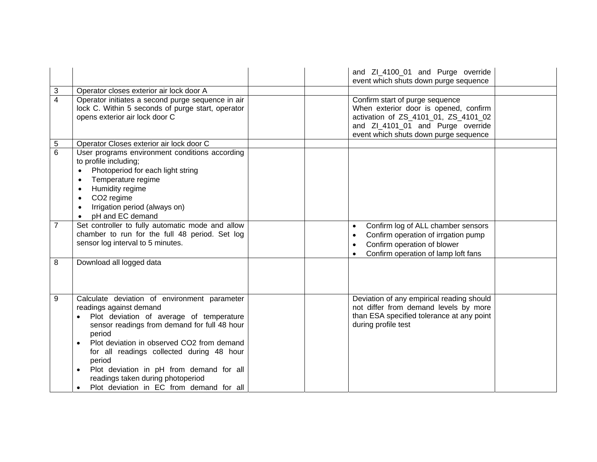|                |                                                                                                                                                                                                                                                                                                                                                                                                                 | and ZI_4100_01 and Purge override<br>event which shuts down purge sequence                                                                                                                     |  |
|----------------|-----------------------------------------------------------------------------------------------------------------------------------------------------------------------------------------------------------------------------------------------------------------------------------------------------------------------------------------------------------------------------------------------------------------|------------------------------------------------------------------------------------------------------------------------------------------------------------------------------------------------|--|
| 3              | Operator closes exterior air lock door A                                                                                                                                                                                                                                                                                                                                                                        |                                                                                                                                                                                                |  |
| $\overline{4}$ | Operator initiates a second purge sequence in air<br>lock C. Within 5 seconds of purge start, operator<br>opens exterior air lock door C                                                                                                                                                                                                                                                                        | Confirm start of purge sequence<br>When exterior door is opened, confirm<br>activation of ZS_4101_01, ZS_4101_02<br>and ZI_4101_01 and Purge override<br>event which shuts down purge sequence |  |
| 5              | Operator Closes exterior air lock door C                                                                                                                                                                                                                                                                                                                                                                        |                                                                                                                                                                                                |  |
| $6\phantom{1}$ | User programs environment conditions according<br>to profile including;<br>Photoperiod for each light string<br>Temperature regime<br>$\bullet$<br>Humidity regime<br>$\bullet$<br>CO <sub>2</sub> regime<br>$\bullet$<br>Irrigation period (always on)<br>$\bullet$<br>pH and EC demand                                                                                                                        |                                                                                                                                                                                                |  |
| $\overline{7}$ | Set controller to fully automatic mode and allow<br>chamber to run for the full 48 period. Set log<br>sensor log interval to 5 minutes.                                                                                                                                                                                                                                                                         | Confirm log of ALL chamber sensors<br>Confirm operation of irrgation pump<br>Confirm operation of blower<br>Confirm operation of lamp loft fans                                                |  |
| 8              | Download all logged data                                                                                                                                                                                                                                                                                                                                                                                        |                                                                                                                                                                                                |  |
| 9              | Calculate deviation of environment parameter<br>readings against demand<br>Plot deviation of average of temperature<br>sensor readings from demand for full 48 hour<br>period<br>Plot deviation in observed CO2 from demand<br>for all readings collected during 48 hour<br>period<br>Plot deviation in pH from demand for all<br>readings taken during photoperiod<br>Plot deviation in EC from demand for all | Deviation of any empirical reading should<br>not differ from demand levels by more<br>than ESA specified tolerance at any point<br>during profile test                                         |  |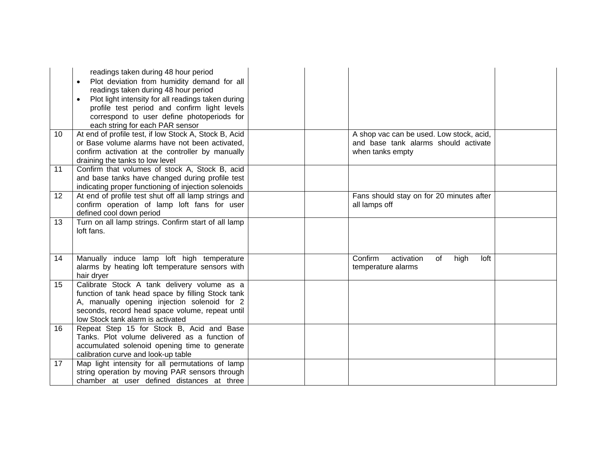|    | readings taken during 48 hour period<br>Plot deviation from humidity demand for all<br>$\bullet$<br>readings taken during 48 hour period<br>Plot light intensity for all readings taken during<br>profile test period and confirm light levels<br>correspond to user define photoperiods for<br>each string for each PAR sensor |                                                                                                      |  |
|----|---------------------------------------------------------------------------------------------------------------------------------------------------------------------------------------------------------------------------------------------------------------------------------------------------------------------------------|------------------------------------------------------------------------------------------------------|--|
| 10 | At end of profile test, if low Stock A, Stock B, Acid<br>or Base volume alarms have not been activated.<br>confirm activation at the controller by manually<br>draining the tanks to low level                                                                                                                                  | A shop vac can be used. Low stock, acid,<br>and base tank alarms should activate<br>when tanks empty |  |
| 11 | Confirm that volumes of stock A, Stock B, acid<br>and base tanks have changed during profile test<br>indicating proper functioning of injection solenoids                                                                                                                                                                       |                                                                                                      |  |
| 12 | At end of profile test shut off all lamp strings and<br>confirm operation of lamp loft fans for user<br>defined cool down period                                                                                                                                                                                                | Fans should stay on for 20 minutes after<br>all lamps off                                            |  |
| 13 | Turn on all lamp strings. Confirm start of all lamp<br>loft fans.                                                                                                                                                                                                                                                               |                                                                                                      |  |
| 14 | Manually induce lamp loft high temperature<br>alarms by heating loft temperature sensors with<br>hair dryer                                                                                                                                                                                                                     | Confirm<br>activation<br>loft<br>of<br>high<br>temperature alarms                                    |  |
| 15 | Calibrate Stock A tank delivery volume as a<br>function of tank head space by filling Stock tank<br>A, manually opening injection solenoid for 2<br>seconds, record head space volume, repeat until<br>low Stock tank alarm is activated                                                                                        |                                                                                                      |  |
| 16 | Repeat Step 15 for Stock B, Acid and Base<br>Tanks. Plot volume delivered as a function of<br>accumulated solenoid opening time to generate<br>calibration curve and look-up table                                                                                                                                              |                                                                                                      |  |
| 17 | Map light intensity for all permutations of lamp<br>string operation by moving PAR sensors through<br>chamber at user defined distances at three                                                                                                                                                                                |                                                                                                      |  |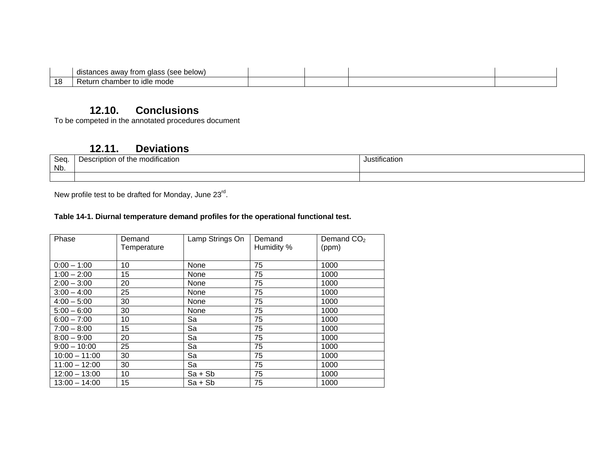|           | (see below)<br>diass<br>awav<br>Trom<br>' Il . <del></del> .<br>יותו |  |  |
|-----------|----------------------------------------------------------------------|--|--|
| 1 R<br>טו | ∟namber to<br>keturr.<br>moae                                        |  |  |

#### **12.10. Conclusions**

To be competed in the annotated procedures document

#### **12.11. Deviations**

| Seq<br>Nb. | $\cdots$<br>of the modification ،<br>∍eerıntı∩n<br>ہں<br><br>. | ustificatior |
|------------|----------------------------------------------------------------|--------------|
|            |                                                                |              |

New profile test to be drafted for Monday, June 23<sup>rd</sup>.

#### **Table 14-1. Diurnal temperature demand profiles for the operational functional test.**

| Phase           | Demand      | Lamp Strings On | Demand     | Demand $CO2$ |
|-----------------|-------------|-----------------|------------|--------------|
|                 | Temperature |                 | Humidity % | (ppm)        |
|                 |             |                 |            |              |
| $0:00 - 1:00$   | 10          | None            | 75         | 1000         |
| $1:00 - 2:00$   | 15          | None            | 75         | 1000         |
| $2:00 - 3:00$   | 20          | None            | 75         | 1000         |
| $3:00 - 4:00$   | 25          | None            | 75         | 1000         |
| $4:00 - 5:00$   | 30          | None            | 75         | 1000         |
| $5:00 - 6:00$   | 30          | None            | 75         | 1000         |
| $6:00 - 7:00$   | 10          | Sa              | 75         | 1000         |
| $7:00 - 8:00$   | 15          | Sa              | 75         | 1000         |
| $8:00 - 9:00$   | 20          | Sa              | 75         | 1000         |
| $9:00 - 10:00$  | 25          | Sa              | 75         | 1000         |
| $10:00 - 11:00$ | 30          | Sa              | 75         | 1000         |
| $11:00 - 12:00$ | 30          | Sa              | 75         | 1000         |
| $12:00 - 13:00$ | 10          | $Sa + Sb$       | 75         | 1000         |
| $13:00 - 14:00$ | 15          | $Sa + Sb$       | 75         | 1000         |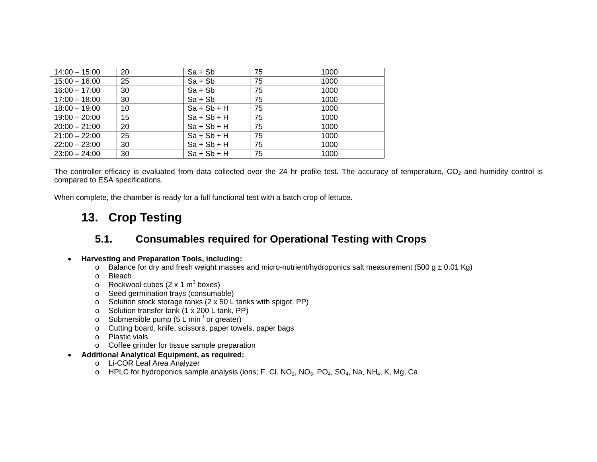| $14:00 - 15:00$ | 20 | $Sa + Sb$     | 75 | 1000 |
|-----------------|----|---------------|----|------|
| $15:00 - 16:00$ | 25 | $Sa + Sb$     | 75 | 1000 |
| $16:00 - 17:00$ | 30 | $Sa + Sb$     | 75 | 1000 |
| $17:00 - 18:00$ | 30 | $Sa + Sb$     | 75 | 1000 |
| $18:00 - 19:00$ | 10 | $Sa + Sb + H$ | 75 | 1000 |
| $19:00 - 20:00$ | 15 | $Sa + Sb + H$ | 75 | 1000 |
| $20:00 - 21:00$ | 20 | $Sa + Sb + H$ | 75 | 1000 |
| $21:00 - 22:00$ | 25 | $Sa + Sb + H$ | 75 | 1000 |
| $22:00 - 23:00$ | 30 | $Sa + Sb + H$ | 75 | 1000 |
| $23:00 - 24:00$ | 30 | $Sa + Sb + H$ | 75 | 1000 |

The controller efficacy is evaluated from data collected over the 24 hr profile test. The accuracy of temperature,  $CO<sub>2</sub>$  and humidity control is compared to ESA specifications.

When complete, the chamber is ready for a full functional test with a batch crop of lettuce.

# **13. Crop Testing**

# **5.1. Consumables required for Operational Testing with Crops**

#### •**Harvesting and Preparation Tools, including:**

- $\circ$  Balance for dry and fresh weight masses and micro-nutrient/hydroponics salt measurement (500 g  $\pm$  0.01 Kg)
- o Bleach
- $\circ$  Rockwool cubes (2 x 1 m<sup>3</sup> boxes)
- <sup>o</sup> Seed germination trays (consumable)
- <sup>o</sup> Solution stock storage tanks (2 x 50 L tanks with spigot, PP)
- <sup>o</sup> Solution transfer tank (1 x 200 L tank, PP)
- o Submersible pump  $(5 \text{ L min}^{-1} \text{ or greater})$
- <sup>o</sup> Cutting board, knife, scissors, paper towels, paper bags
- o Plastic vials
- <sup>o</sup> Coffee grinder for tissue sample preparation
- **Additional Analytical Equipment, as required:** 
	- <sup>o</sup> Li-COR Leaf Area Analyzer
	- o HPLC for hydroponics sample analysis (ions; F. Cl. NO<sub>2</sub>, NO<sub>3</sub>, PO<sub>4</sub>, SO<sub>4</sub>, Na, NH<sub>4</sub>, K, Mg, Ca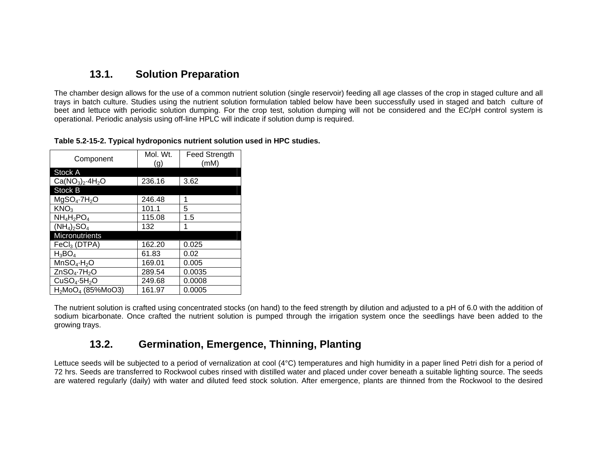## **13.1. Solution Preparation**

The chamber design allows for the use of a common nutrient solution (single reservoir) feeding all age classes of the crop in staged culture and all trays in batch culture. Studies using the nutrient solution formulation tabled below have been successfully used in staged and batch culture of beet and lettuce with periodic solution dumping. For the crop test, solution dumping will not be considered and the EC/pH control system is operational. Periodic analysis using off-line HPLC will indicate if solution dump is required.

| Component                            | Mol. Wt.<br>(g) | <b>Feed Strength</b><br>(mM) |
|--------------------------------------|-----------------|------------------------------|
| <b>Stock A</b>                       |                 |                              |
| $Ca(NO3)2·4H2O$                      | 236.16          | 3.62                         |
| Stock B                              |                 |                              |
| MqSO <sub>4</sub> ·7H <sub>2</sub> O | 246.48          | 1                            |
| KNO <sub>3</sub>                     | 101.1           | 5                            |
| $NH_4H_2PO_4$                        | 115.08          | 1.5                          |
| $(NH_4)_2SO_4$                       | 132             | 1                            |
| <b>Micronutrients</b>                |                 |                              |
| $FeCl3$ (DTPA)                       | 162.20          | 0.025                        |
| $H_3BO_4$                            | 61.83           | 0.02                         |
| $MnSO_4 \cdot H_2O$                  | 169.01          | 0.005                        |
| $ZnSO_4 \cdot 7H_2O$                 | 289.54          | 0.0035                       |
| CuSO <sub>4</sub> ·5H <sub>2</sub> O | 249.68          | 0.0008                       |
| $H_2MOQ_4$ (85%MoO3)                 | 161.97          | 0.0005                       |

**Table 5.2-15-2. Typical hydroponics nutrient solution used in HPC studies.** 

The nutrient solution is crafted using concentrated stocks (on hand) to the feed strength by dilution and adjusted to a pH of 6.0 with the addition of sodium bicarbonate. Once crafted the nutrient solution is pumped through the irrigation system once the seedlings have been added to the growing trays.

## **13.2. Germination, Emergence, Thinning, Planting**

Lettuce seeds will be subjected to a period of vernalization at cool (4°C) temperatures and high humidity in a paper lined Petri dish for a period of 72 hrs. Seeds are transferred to Rockwool cubes rinsed with distilled water and placed under cover beneath a suitable lighting source. The seeds are watered regularly (daily) with water and diluted feed stock solution. After emergence, plants are thinned from the Rockwool to the desired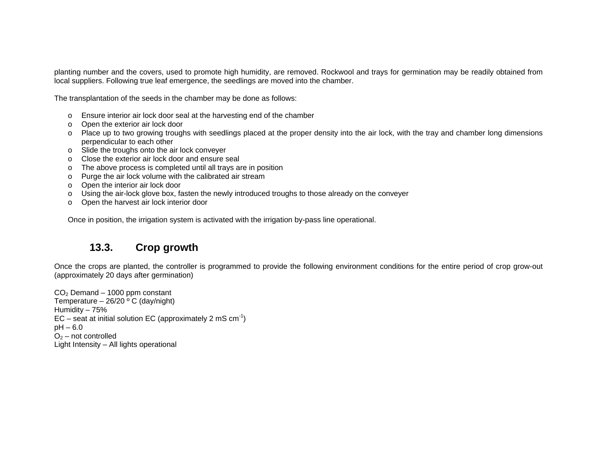planting number and the covers, used to promote high humidity, are removed. Rockwool and trays for germination may be readily obtained from local suppliers. Following true leaf emergence, the seedlings are moved into the chamber.

The transplantation of the seeds in the chamber may be done as follows:

- <sup>o</sup> Ensure interior air lock door seal at the harvesting end of the chamber
- <sup>o</sup> Open the exterior air lock door
- <sup>o</sup> Place up to two growing troughs with seedlings placed at the proper density into the air lock, with the tray and chamber long dimensions perpendicular to each other
- <sup>o</sup> Slide the troughs onto the air lock conveyer
- o Close the exterior air lock door and ensure seal
- <sup>o</sup> The above process is completed until all trays are in position
- <sup>o</sup> Purge the air lock volume with the calibrated air stream
- <sup>o</sup> Open the interior air lock door
- <sup>o</sup> Using the air-lock glove box, fasten the newly introduced troughs to those already on the conveyer
- <sup>o</sup> Open the harvest air lock interior door

Once in position, the irrigation system is activated with the irrigation by-pass line operational.

#### **13.3. Crop growth**

Once the crops are planted, the controller is programmed to provide the following environment conditions for the entire period of crop grow-out (approximately 20 days after germination)

 $CO<sub>2</sub>$  Demand – 1000 ppm constant Temperature –  $26/20$  ° C (day/night) Humidity – 75%  $EC$  – seat at initial solution EC (approximately 2 mS cm<sup>-1</sup>) pH – 6.0  $O<sub>2</sub>$  – not controlled Light Intensity – All lights operational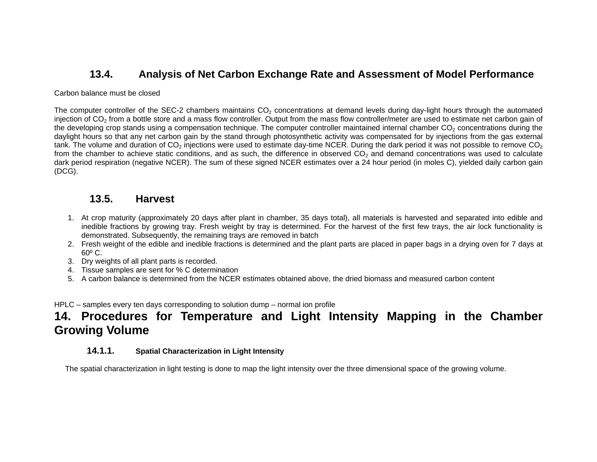## **13.4. Analysis of Net Carbon Exchange Rate and Assessment of Model Performance**

#### Carbon balance must be closed

The computer controller of the SEC-2 chambers maintains  $CO<sub>2</sub>$  concentrations at demand levels during day-light hours through the automated injection of  $CO<sub>2</sub>$  from a bottle store and a mass flow controller. Output from the mass flow controller/meter are used to estimate net carbon gain of the developing crop stands using a compensation technique. The computer controller maintained internal chamber  $CO<sub>2</sub>$  concentrations during the daylight hours so that any net carbon gain by the stand through photosynthetic activity was compensated for by injections from the gas external tank. The volume and duration of  $CO<sub>2</sub>$  injections were used to estimate day-time NCER. During the dark period it was not possible to remove  $CO<sub>2</sub>$ from the chamber to achieve static conditions, and as such, the difference in observed  $CO<sub>2</sub>$  and demand concentrations was used to calculate dark period respiration (negative NCER). The sum of these signed NCER estimates over a 24 hour period (in moles C), yielded daily carbon gain (DCG).

#### **13.5. Harvest**

- 1. At crop maturity (approximately 20 days after plant in chamber, 35 days total), all materials is harvested and separated into edible and inedible fractions by growing tray. Fresh weight by tray is determined. For the harvest of the first few trays, the air lock functionality is demonstrated. Subsequently, the remaining trays are removed in batch
- 2. Fresh weight of the edible and inedible fractions is determined and the plant parts are placed in paper bags in a drying oven for 7 days at 60º C.
- 3. Dry weights of all plant parts is recorded.
- 4. Tissue samples are sent for % C determination
- 5. A carbon balance is determined from the NCER estimates obtained above, the dried biomass and measured carbon content

HPLC – samples every ten days corresponding to solution dump – normal ion profile

# **14. Procedures for Temperature and Light Intensity Mapping in the Chamber Growing Volume**

#### **14.1.1. Spatial Characterization in Light Intensity**

The spatial characterization in light testing is done to map the light intensity over the three dimensional space of the growing volume.